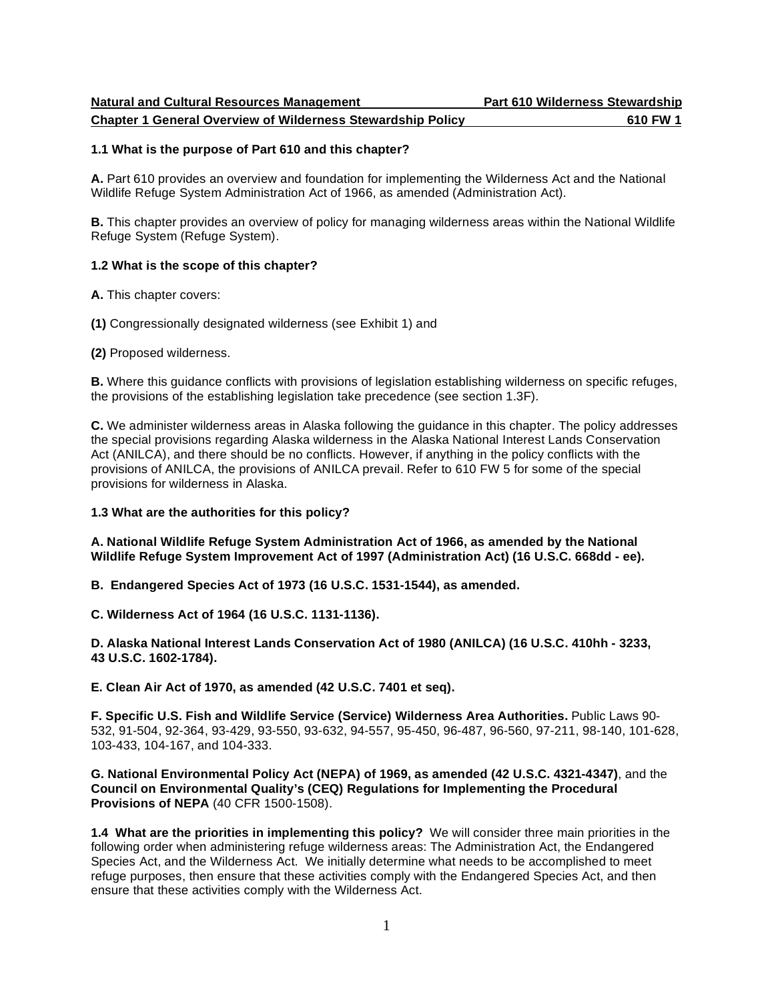<u>**Chapter 1 General Overview of Wilderness Stewardship Policy 610 FW 1 610 FW 1**</u>

#### **1.1 What is the purpose of Part 610 and this chapter?**

 **A.** Part 610 provides an overview and foundation for implementing the Wilderness Act and the National Wildlife Refuge System Administration Act of 1966, as amended (Administration Act).

 **B.** This chapter provides an overview of policy for managing wilderness areas within the National Wildlife Refuge System (Refuge System).

### **1.2 What is the scope of this chapter?**

**A.** This chapter covers:

**(1)** Congressionally designated wilderness (see Exhibit 1) and

**(2)** Proposed wilderness.

 **B.** Where this guidance conflicts with provisions of legislation establishing wilderness on specific refuges, the provisions of the establishing legislation take precedence (see section 1.3F).

 **C.** We administer wilderness areas in Alaska following the guidance in this chapter. The policy addresses the special provisions regarding Alaska wilderness in the Alaska National Interest Lands Conservation Act (ANILCA), and there should be no conflicts. However, if anything in the policy conflicts with the provisions of ANILCA, the provisions of ANILCA prevail. Refer to 610 FW 5 for some of the special provisions for wilderness in Alaska.

# **1.3 What are the authorities for this policy?**

 **A. National Wildlife Refuge System Administration Act of 1966, as amended by the National Wildlife Refuge System Improvement Act of 1997 (Administration Act) (16 U.S.C. 668dd - ee).** 

 **B. Endangered Species Act of 1973 (16 U.S.C. 1531-1544), as amended.** 

 **C. Wilderness Act of 1964 (16 U.S.C. 1131-1136).** 

 **D. Alaska National Interest Lands Conservation Act of 1980 (ANILCA) (16 U.S.C. 410hh - 3233, 43 U.S.C. 1602-1784).** 

 **E. Clean Air Act of 1970, as amended (42 U.S.C. 7401 et seq).** 

 **F. Specific U.S. Fish and Wildlife Service (Service) Wilderness Area Authorities.** Public Laws 90- 103-433, 104-167, and 104-333. 532, 91-504, 92-364, 93-429, 93-550, 93-632, 94-557, 95-450, 96-487, 96-560, 97-211, 98-140, 101-628,

 **G. National Environmental Policy Act (NEPA) of 1969, as amended (42 U.S.C. 4321-4347)**, and the  **Council on Environmental Quality's (CEQ) Regulations for Implementing the Procedural Provisions of NEPA** (40 CFR 1500-1508).

 **1.4 What are the priorities in implementing this policy?** We will consider three main priorities in the following order when administering refuge wilderness areas: The Administration Act, the Endangered Species Act, and the Wilderness Act. We initially determine what needs to be accomplished to meet refuge purposes, then ensure that these activities comply with the Endangered Species Act, and then ensure that these activities comply with the Wilderness Act.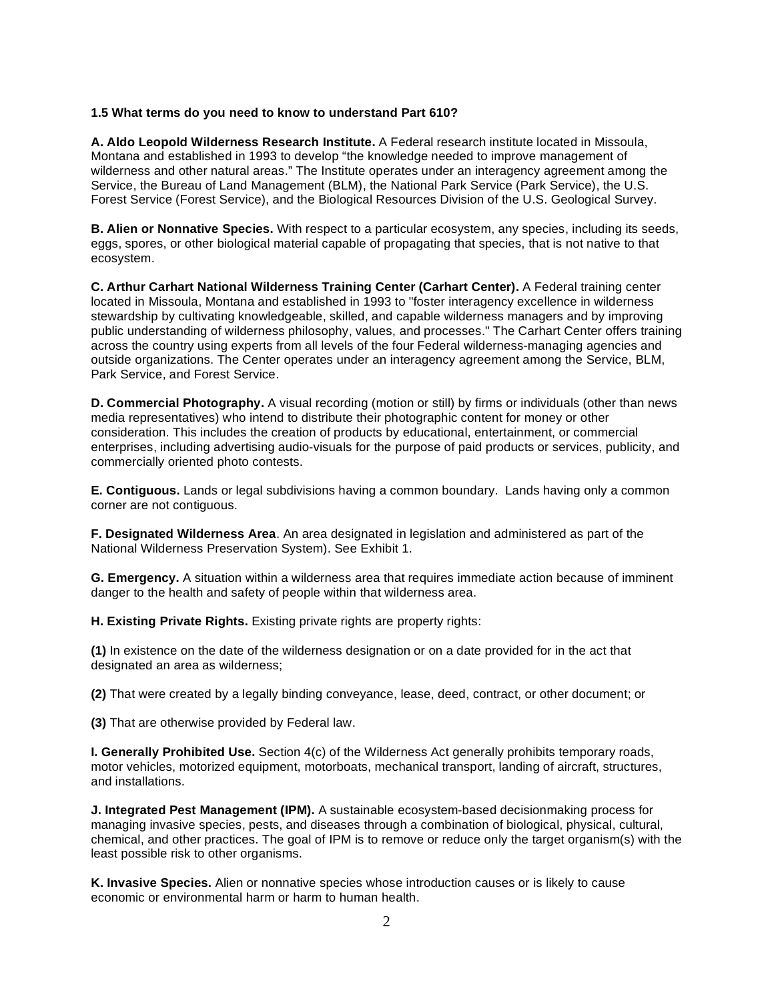### **1.5 What terms do you need to know to understand Part 610?**

 **A. Aldo Leopold Wilderness Research Institute.** A Federal research institute located in Missoula, Montana and established in 1993 to develop "the knowledge needed to improve management of wilderness and other natural areas." The Institute operates under an interagency agreement among the Service, the Bureau of Land Management (BLM), the National Park Service (Park Service), the U.S. Forest Service (Forest Service), and the Biological Resources Division of the U.S. Geological Survey.

 **B. Alien or Nonnative Species.** With respect to a particular ecosystem, any species, including its seeds, eggs, spores, or other biological material capable of propagating that species, that is not native to that ecosystem.

 **C. Arthur Carhart National Wilderness Training Center (Carhart Center).** A Federal training center located in Missoula, Montana and established in 1993 to "foster interagency excellence in wilderness stewardship by cultivating knowledgeable, skilled, and capable wilderness managers and by improving public understanding of wilderness philosophy, values, and processes." The Carhart Center offers training across the country using experts from all levels of the four Federal wilderness-managing agencies and outside organizations. The Center operates under an interagency agreement among the Service, BLM, Park Service, and Forest Service.

 **D. Commercial Photography.** A visual recording (motion or still) by firms or individuals (other than news media representatives) who intend to distribute their photographic content for money or other consideration. This includes the creation of products by educational, entertainment, or commercial enterprises, including advertising audio-visuals for the purpose of paid products or services, publicity, and commercially oriented photo contests.

 **E. Contiguous.** Lands or legal subdivisions having a common boundary. Lands having only a common corner are not contiguous.

 **F. Designated Wilderness Area**. An area designated in legislation and administered as part of the National Wilderness Preservation System). See Exhibit 1.

 **G. Emergency.** A situation within a wilderness area that requires immediate action because of imminent danger to the health and safety of people within that wilderness area.

 **H. Existing Private Rights.** Existing private rights are property rights:

 **(1)** In existence on the date of the wilderness designation or on a date provided for in the act that designated an area as wilderness;

**(2)** That were created by a legally binding conveyance, lease, deed, contract, or other document; or

**(3)** That are otherwise provided by Federal law.

 **I. Generally Prohibited Use.** Section 4(c) of the Wilderness Act generally prohibits temporary roads, motor vehicles, motorized equipment, motorboats, mechanical transport, landing of aircraft, structures, and installations.

 **J. Integrated Pest Management (IPM).** A sustainable ecosystem-based decisionmaking process for managing invasive species, pests, and diseases through a combination of biological, physical, cultural, chemical, and other practices. The goal of IPM is to remove or reduce only the target organism(s) with the least possible risk to other organisms.

 **K. Invasive Species.** Alien or nonnative species whose introduction causes or is likely to cause economic or environmental harm or harm to human health.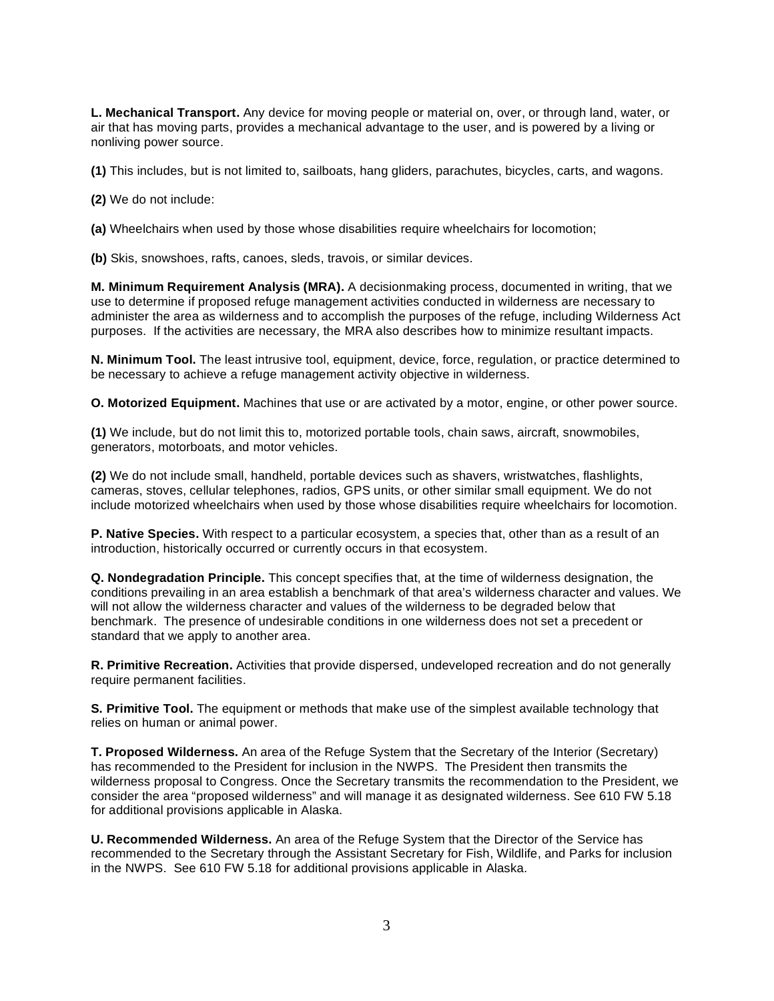**L. Mechanical Transport.** Any device for moving people or material on, over, or through land, water, or air that has moving parts, provides a mechanical advantage to the user, and is powered by a living or nonliving power source.

**(1)** This includes, but is not limited to, sailboats, hang gliders, parachutes, bicycles, carts, and wagons.

**(2)** We do not include:

**(a)** Wheelchairs when used by those whose disabilities require wheelchairs for locomotion;

**(b)** Skis, snowshoes, rafts, canoes, sleds, travois, or similar devices.

 **M. Minimum Requirement Analysis (MRA).** A decisionmaking process, documented in writing, that we use to determine if proposed refuge management activities conducted in wilderness are necessary to administer the area as wilderness and to accomplish the purposes of the refuge, including Wilderness Act purposes. If the activities are necessary, the MRA also describes how to minimize resultant impacts.

 **N. Minimum Tool.** The least intrusive tool, equipment, device, force, regulation, or practice determined to be necessary to achieve a refuge management activity objective in wilderness.

 **O. Motorized Equipment.** Machines that use or are activated by a motor, engine, or other power source.

 **(1)** We include, but do not limit this to, motorized portable tools, chain saws, aircraft, snowmobiles, generators, motorboats, and motor vehicles.

 **(2)** We do not include small, handheld, portable devices such as shavers, wristwatches, flashlights, cameras, stoves, cellular telephones, radios, GPS units, or other similar small equipment. We do not include motorized wheelchairs when used by those whose disabilities require wheelchairs for locomotion.

 **P. Native Species.** With respect to a particular ecosystem, a species that, other than as a result of an introduction, historically occurred or currently occurs in that ecosystem.

 **Q. Nondegradation Principle.** This concept specifies that, at the time of wilderness designation, the conditions prevailing in an area establish a benchmark of that area's wilderness character and values. We will not allow the wilderness character and values of the wilderness to be degraded below that benchmark. The presence of undesirable conditions in one wilderness does not set a precedent or standard that we apply to another area.

 **R. Primitive Recreation.** Activities that provide dispersed, undeveloped recreation and do not generally require permanent facilities.

**S. Primitive Tool.** The equipment or methods that make use of the simplest available technology that relies on human or animal power.

 **T. Proposed Wilderness.** An area of the Refuge System that the Secretary of the Interior (Secretary) has recommended to the President for inclusion in the NWPS. The President then transmits the wilderness proposal to Congress. Once the Secretary transmits the recommendation to the President, we consider the area "proposed wilderness" and will manage it as designated wilderness. See 610 FW 5.18 for additional provisions applicable in Alaska.

 **U. Recommended Wilderness.** An area of the Refuge System that the Director of the Service has recommended to the Secretary through the Assistant Secretary for Fish, Wildlife, and Parks for inclusion in the NWPS. See 610 FW 5.18 for additional provisions applicable in Alaska.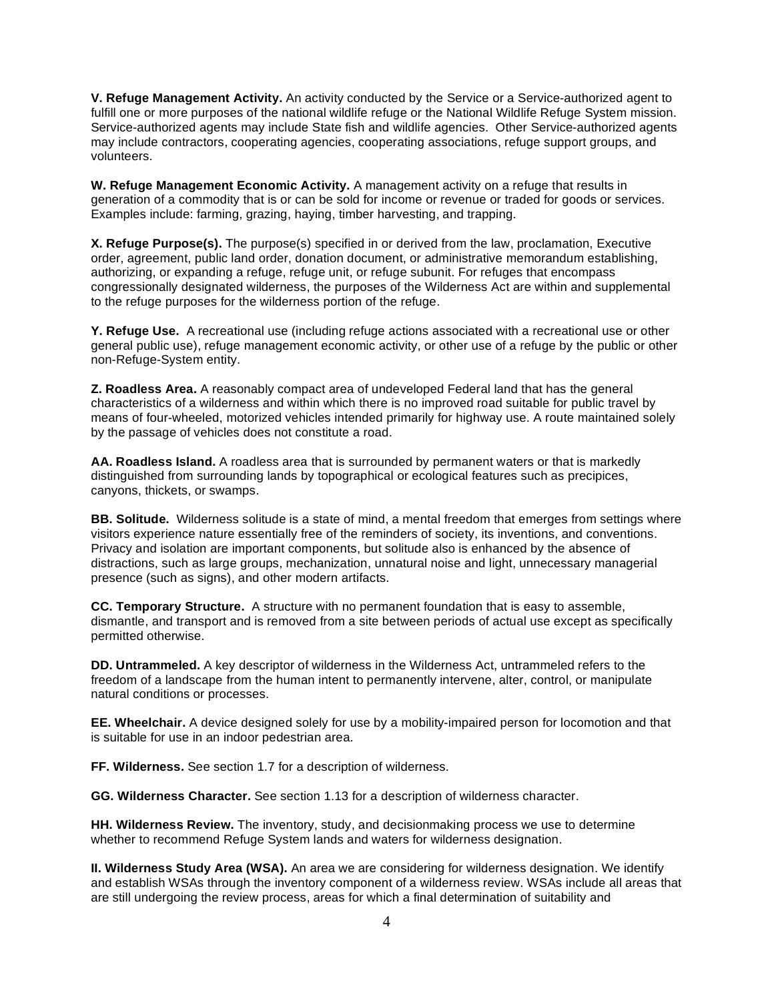**V. Refuge Management Activity.** An activity conducted by the Service or a Service-authorized agent to fulfill one or more purposes of the national wildlife refuge or the National Wildlife Refuge System mission. Service-authorized agents may include State fish and wildlife agencies. Other Service-authorized agents may include contractors, cooperating agencies, cooperating associations, refuge support groups, and volunteers.

 **W. Refuge Management Economic Activity.** A management activity on a refuge that results in generation of a commodity that is or can be sold for income or revenue or traded for goods or services. Examples include: farming, grazing, haying, timber harvesting, and trapping.

 **X. Refuge Purpose(s).** The purpose(s) specified in or derived from the law, proclamation, Executive order, agreement, public land order, donation document, or administrative memorandum establishing, authorizing, or expanding a refuge, refuge unit, or refuge subunit. For refuges that encompass congressionally designated wilderness, the purposes of the Wilderness Act are within and supplemental to the refuge purposes for the wilderness portion of the refuge.

 **Y. Refuge Use.** A recreational use (including refuge actions associated with a recreational use or other general public use), refuge management economic activity, or other use of a refuge by the public or other non-Refuge-System entity.

 **Z. Roadless Area.** A reasonably compact area of undeveloped Federal land that has the general characteristics of a wilderness and within which there is no improved road suitable for public travel by means of four-wheeled, motorized vehicles intended primarily for highway use. A route maintained solely by the passage of vehicles does not constitute a road.

 **AA. Roadless Island.** A roadless area that is surrounded by permanent waters or that is markedly distinguished from surrounding lands by topographical or ecological features such as precipices, canyons, thickets, or swamps.

 **BB. Solitude.** Wilderness solitude is a state of mind, a mental freedom that emerges from settings where visitors experience nature essentially free of the reminders of society, its inventions, and conventions. Privacy and isolation are important components, but solitude also is enhanced by the absence of distractions, such as large groups, mechanization, unnatural noise and light, unnecessary managerial presence (such as signs), and other modern artifacts.

 **CC. Temporary Structure.** A structure with no permanent foundation that is easy to assemble, dismantle, and transport and is removed from a site between periods of actual use except as specifically permitted otherwise.

 **DD. Untrammeled.** A key descriptor of wilderness in the Wilderness Act, untrammeled refers to the freedom of a landscape from the human intent to permanently intervene, alter, control, or manipulate natural conditions or processes.

 **EE. Wheelchair.** A device designed solely for use by a mobility-impaired person for locomotion and that is suitable for use in an indoor pedestrian area.

**FF. Wilderness.** See section 1.7 for a description of wilderness.

**GG. Wilderness Character.** See section 1.13 for a description of wilderness character.

 **HH. Wilderness Review.** The inventory, study, and decisionmaking process we use to determine whether to recommend Refuge System lands and waters for wilderness designation.

 **II. Wilderness Study Area (WSA).** An area we are considering for wilderness designation. We identify and establish WSAs through the inventory component of a wilderness review. WSAs include all areas that are still undergoing the review process, areas for which a final determination of suitability and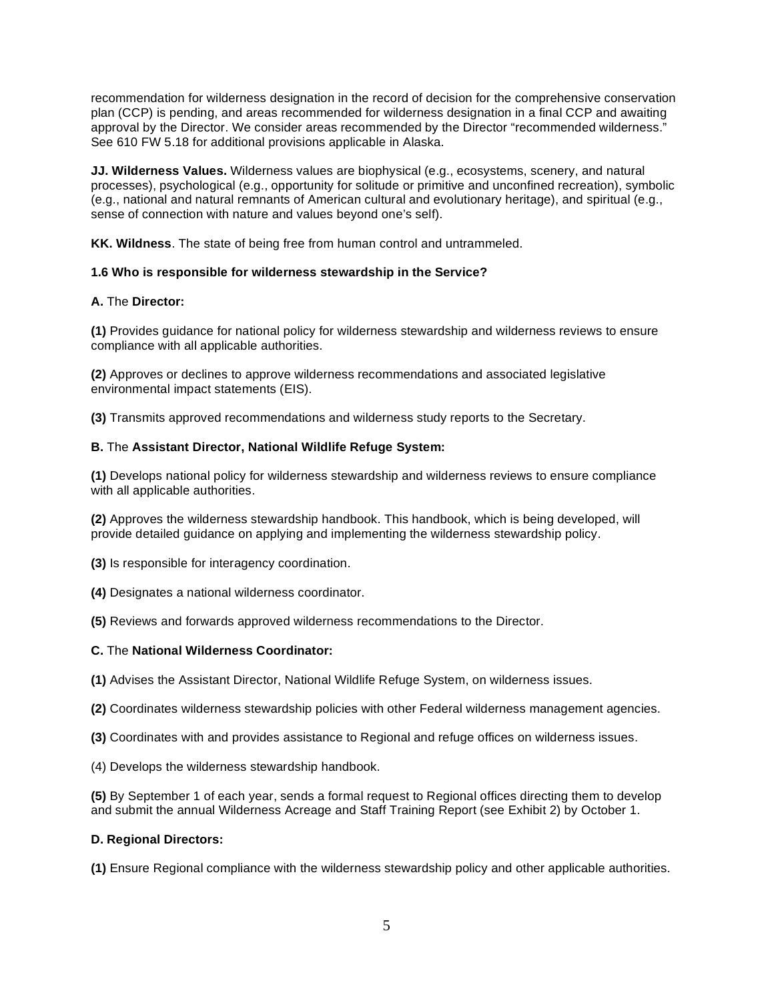recommendation for wilderness designation in the record of decision for the comprehensive conservation plan (CCP) is pending, and areas recommended for wilderness designation in a final CCP and awaiting approval by the Director. We consider areas recommended by the Director "recommended wilderness." See 610 FW 5.18 for additional provisions applicable in Alaska.

 **JJ. Wilderness Values.** Wilderness values are biophysical (e.g., ecosystems, scenery, and natural processes), psychological (e.g., opportunity for solitude or primitive and unconfined recreation), symbolic (e.g., national and natural remnants of American cultural and evolutionary heritage), and spiritual (e.g., sense of connection with nature and values beyond one's self).

**KK. Wildness**. The state of being free from human control and untrammeled.

# **1.6 Who is responsible for wilderness stewardship in the Service?**

# **A.** The **Director:**

 **(1)** Provides guidance for national policy for wilderness stewardship and wilderness reviews to ensure compliance with all applicable authorities.

 **(2)** Approves or declines to approve wilderness recommendations and associated legislative environmental impact statements (EIS).

**(3)** Transmits approved recommendations and wilderness study reports to the Secretary.

# **B.** The **Assistant Director, National Wildlife Refuge System:**

 **(1)** Develops national policy for wilderness stewardship and wilderness reviews to ensure compliance with all applicable authorities.

 **(2)** Approves the wilderness stewardship handbook. This handbook, which is being developed, will provide detailed guidance on applying and implementing the wilderness stewardship policy.

**(3)** Is responsible for interagency coordination.

**(4)** Designates a national wilderness coordinator.

**(5)** Reviews and forwards approved wilderness recommendations to the Director.

# **C.** The **National Wilderness Coordinator:**

**(1)** Advises the Assistant Director, National Wildlife Refuge System, on wilderness issues.

**(2)** Coordinates wilderness stewardship policies with other Federal wilderness management agencies.

**(3)** Coordinates with and provides assistance to Regional and refuge offices on wilderness issues.

(4) Develops the wilderness stewardship handbook.

 **(5)** By September 1 of each year, sends a formal request to Regional offices directing them to develop and submit the annual Wilderness Acreage and Staff Training Report (see Exhibit 2) by October 1.

# **D. Regional Directors:**

**(1)** Ensure Regional compliance with the wilderness stewardship policy and other applicable authorities.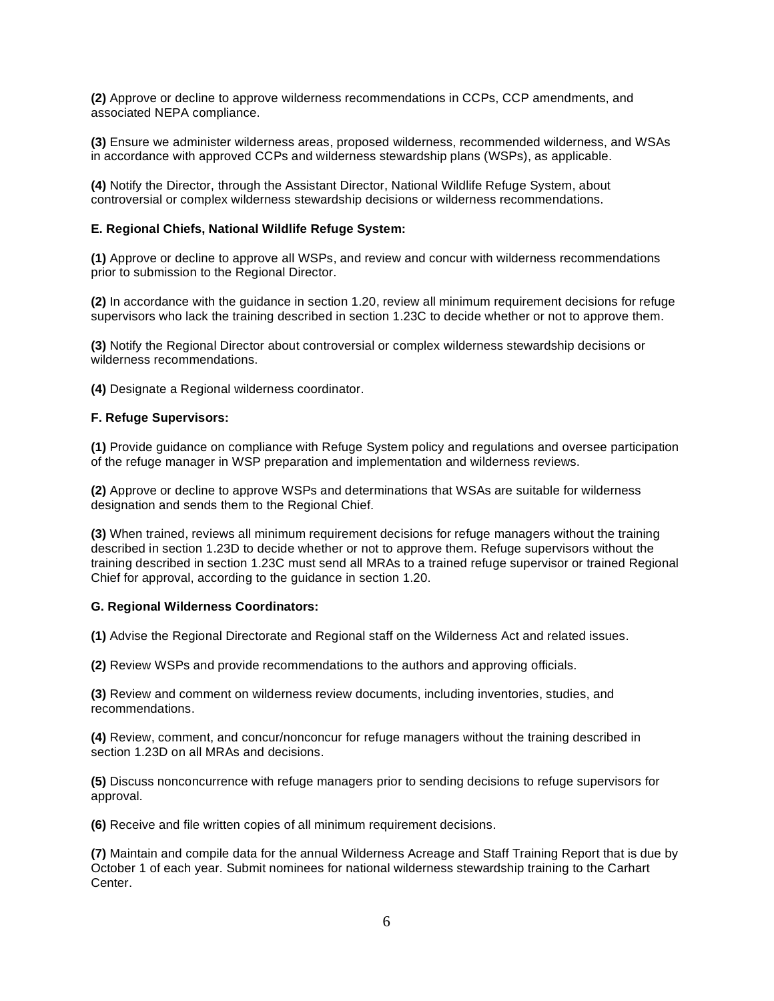**(2)** Approve or decline to approve wilderness recommendations in CCPs, CCP amendments, and associated NEPA compliance.

 **(3)** Ensure we administer wilderness areas, proposed wilderness, recommended wilderness, and WSAs in accordance with approved CCPs and wilderness stewardship plans (WSPs), as applicable.

 **(4)** Notify the Director, through the Assistant Director, National Wildlife Refuge System, about controversial or complex wilderness stewardship decisions or wilderness recommendations.

### **E. Regional Chiefs, National Wildlife Refuge System:**

 **(1)** Approve or decline to approve all WSPs, and review and concur with wilderness recommendations prior to submission to the Regional Director.

 **(2)** In accordance with the guidance in section 1.20, review all minimum requirement decisions for refuge supervisors who lack the training described in section 1.23C to decide whether or not to approve them.

 **(3)** Notify the Regional Director about controversial or complex wilderness stewardship decisions or wilderness recommendations.

**(4)** Designate a Regional wilderness coordinator.

#### **F. Refuge Supervisors:**

 **(1)** Provide guidance on compliance with Refuge System policy and regulations and oversee participation of the refuge manager in WSP preparation and implementation and wilderness reviews.

 **(2)** Approve or decline to approve WSPs and determinations that WSAs are suitable for wilderness designation and sends them to the Regional Chief.

 **(3)** When trained, reviews all minimum requirement decisions for refuge managers without the training described in section 1.23D to decide whether or not to approve them. Refuge supervisors without the training described in section 1.23C must send all MRAs to a trained refuge supervisor or trained Regional Chief for approval, according to the guidance in section 1.20.

#### **G. Regional Wilderness Coordinators:**

**(1)** Advise the Regional Directorate and Regional staff on the Wilderness Act and related issues.

**(2)** Review WSPs and provide recommendations to the authors and approving officials.

 **(3)** Review and comment on wilderness review documents, including inventories, studies, and recommendations.

 **(4)** Review, comment, and concur/nonconcur for refuge managers without the training described in section 1.23D on all MRAs and decisions.

 **(5)** Discuss nonconcurrence with refuge managers prior to sending decisions to refuge supervisors for approval.

**(6)** Receive and file written copies of all minimum requirement decisions.

 **(7)** Maintain and compile data for the annual Wilderness Acreage and Staff Training Report that is due by October 1 of each year. Submit nominees for national wilderness stewardship training to the Carhart Center.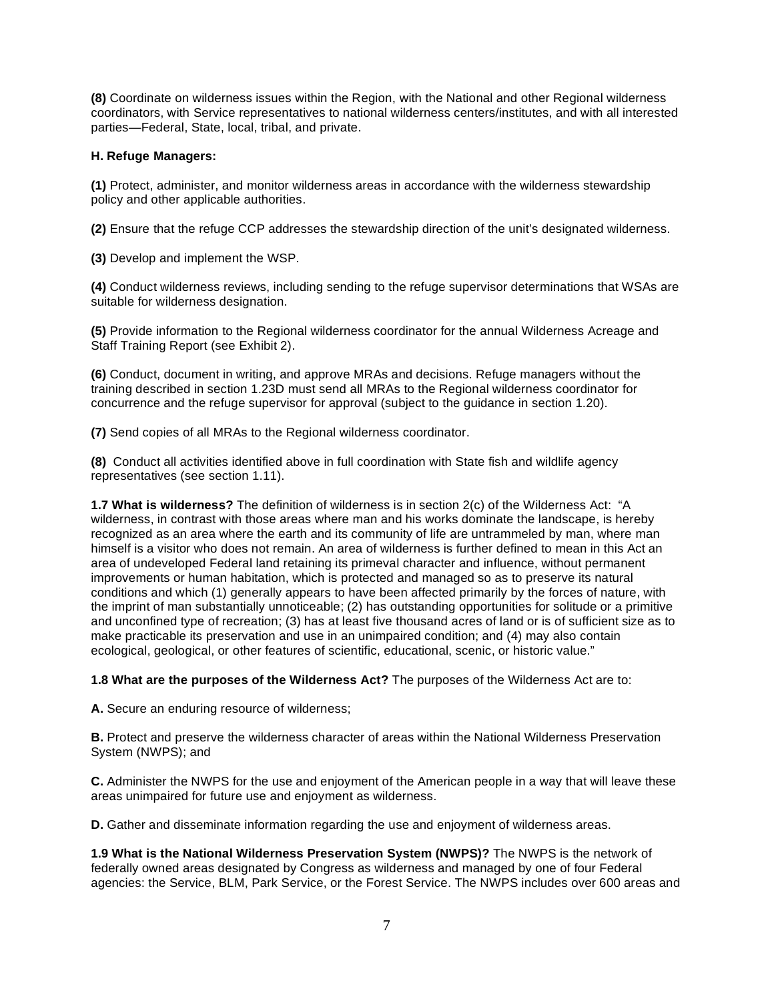**(8)** Coordinate on wilderness issues within the Region, with the National and other Regional wilderness coordinators, with Service representatives to national wilderness centers/institutes, and with all interested parties—Federal, State, local, tribal, and private.

# **H. Refuge Managers:**

 **(1)** Protect, administer, and monitor wilderness areas in accordance with the wilderness stewardship policy and other applicable authorities.

**(2)** Ensure that the refuge CCP addresses the stewardship direction of the unit's designated wilderness.

**(3)** Develop and implement the WSP.

 **(4)** Conduct wilderness reviews, including sending to the refuge supervisor determinations that WSAs are suitable for wilderness designation.

 **(5)** Provide information to the Regional wilderness coordinator for the annual Wilderness Acreage and Staff Training Report (see Exhibit 2).

 **(6)** Conduct, document in writing, and approve MRAs and decisions. Refuge managers without the training described in section 1.23D must send all MRAs to the Regional wilderness coordinator for concurrence and the refuge supervisor for approval (subject to the guidance in section 1.20).

**(7)** Send copies of all MRAs to the Regional wilderness coordinator.

 **(8)** Conduct all activities identified above in full coordination with State fish and wildlife agency representatives (see section 1.11).

 **1.7 What is wilderness?** The definition of wilderness is in section 2(c) of the Wilderness Act: "A wilderness, in contrast with those areas where man and his works dominate the landscape, is hereby recognized as an area where the earth and its community of life are untrammeled by man, where man himself is a visitor who does not remain. An area of wilderness is further defined to mean in this Act an area of undeveloped Federal land retaining its primeval character and influence, without permanent improvements or human habitation, which is protected and managed so as to preserve its natural conditions and which (1) generally appears to have been affected primarily by the forces of nature, with the imprint of man substantially unnoticeable; (2) has outstanding opportunities for solitude or a primitive and unconfined type of recreation; (3) has at least five thousand acres of land or is of sufficient size as to make practicable its preservation and use in an unimpaired condition; and (4) may also contain ecological, geological, or other features of scientific, educational, scenic, or historic value."

 **1.8 What are the purposes of the Wilderness Act?** The purposes of the Wilderness Act are to:

**A.** Secure an enduring resource of wilderness;

 **B.** Protect and preserve the wilderness character of areas within the National Wilderness Preservation System (NWPS); and

 **C.** Administer the NWPS for the use and enjoyment of the American people in a way that will leave these areas unimpaired for future use and enjoyment as wilderness.

**D.** Gather and disseminate information regarding the use and enjoyment of wilderness areas.

 **1.9 What is the National Wilderness Preservation System (NWPS)?** The NWPS is the network of federally owned areas designated by Congress as wilderness and managed by one of four Federal agencies: the Service, BLM, Park Service, or the Forest Service. The NWPS includes over 600 areas and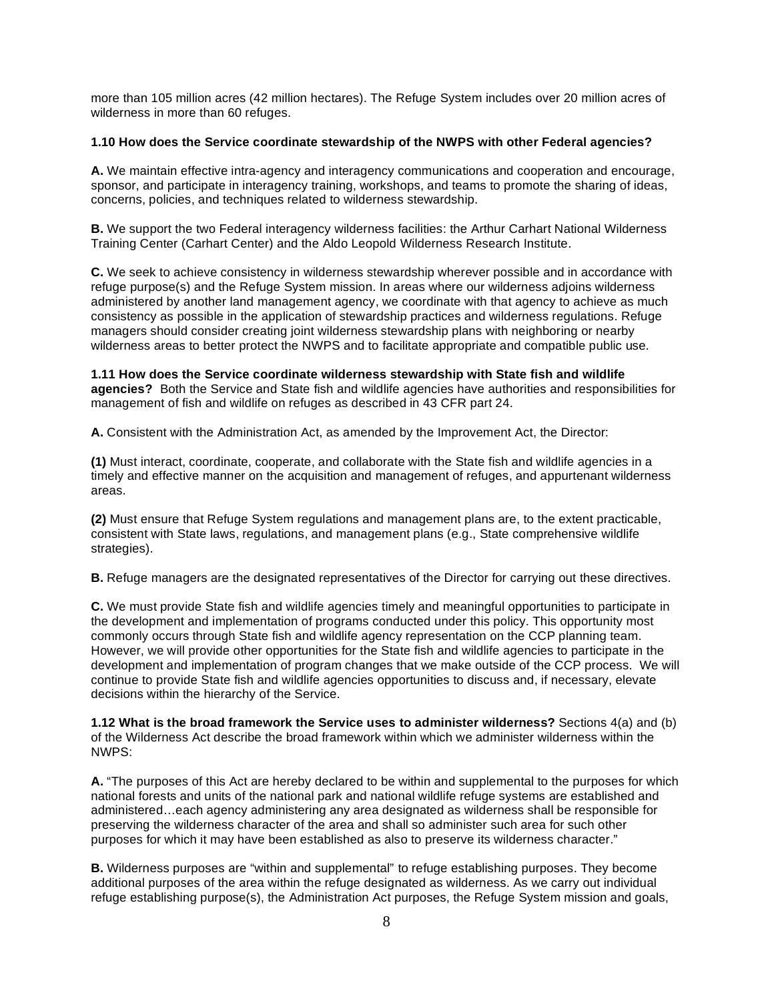more than 105 million acres (42 million hectares). The Refuge System includes over 20 million acres of wilderness in more than 60 refuges.

### **1.10 How does the Service coordinate stewardship of the NWPS with other Federal agencies?**

 **A.** We maintain effective intra-agency and interagency communications and cooperation and encourage, sponsor, and participate in interagency training, workshops, and teams to promote the sharing of ideas, concerns, policies, and techniques related to wilderness stewardship.

 **B.** We support the two Federal interagency wilderness facilities: the Arthur Carhart National Wilderness Training Center (Carhart Center) and the Aldo Leopold Wilderness Research Institute.

 **C.** We seek to achieve consistency in wilderness stewardship wherever possible and in accordance with refuge purpose(s) and the Refuge System mission. In areas where our wilderness adjoins wilderness administered by another land management agency, we coordinate with that agency to achieve as much consistency as possible in the application of stewardship practices and wilderness regulations. Refuge managers should consider creating joint wilderness stewardship plans with neighboring or nearby wilderness areas to better protect the NWPS and to facilitate appropriate and compatible public use.

 **1.11 How does the Service coordinate wilderness stewardship with State fish and wildlife agencies?** Both the Service and State fish and wildlife agencies have authorities and responsibilities for management of fish and wildlife on refuges as described in 43 CFR part 24.

**A.** Consistent with the Administration Act, as amended by the Improvement Act, the Director:

 **(1)** Must interact, coordinate, cooperate, and collaborate with the State fish and wildlife agencies in a timely and effective manner on the acquisition and management of refuges, and appurtenant wilderness areas.

 **(2)** Must ensure that Refuge System regulations and management plans are, to the extent practicable, consistent with State laws, regulations, and management plans (e.g., State comprehensive wildlife strategies).

**B.** Refuge managers are the designated representatives of the Director for carrying out these directives.

 **C.** We must provide State fish and wildlife agencies timely and meaningful opportunities to participate in the development and implementation of programs conducted under this policy. This opportunity most commonly occurs through State fish and wildlife agency representation on the CCP planning team. However, we will provide other opportunities for the State fish and wildlife agencies to participate in the development and implementation of program changes that we make outside of the CCP process. We will continue to provide State fish and wildlife agencies opportunities to discuss and, if necessary, elevate decisions within the hierarchy of the Service.

 **1.12 What is the broad framework the Service uses to administer wilderness?** Sections 4(a) and (b) of the Wilderness Act describe the broad framework within which we administer wilderness within the NWPS:

 **A.** "The purposes of this Act are hereby declared to be within and supplemental to the purposes for which national forests and units of the national park and national wildlife refuge systems are established and administered…each agency administering any area designated as wilderness shall be responsible for preserving the wilderness character of the area and shall so administer such area for such other purposes for which it may have been established as also to preserve its wilderness character."

 **B.** Wilderness purposes are "within and supplemental" to refuge establishing purposes. They become additional purposes of the area within the refuge designated as wilderness. As we carry out individual refuge establishing purpose(s), the Administration Act purposes, the Refuge System mission and goals,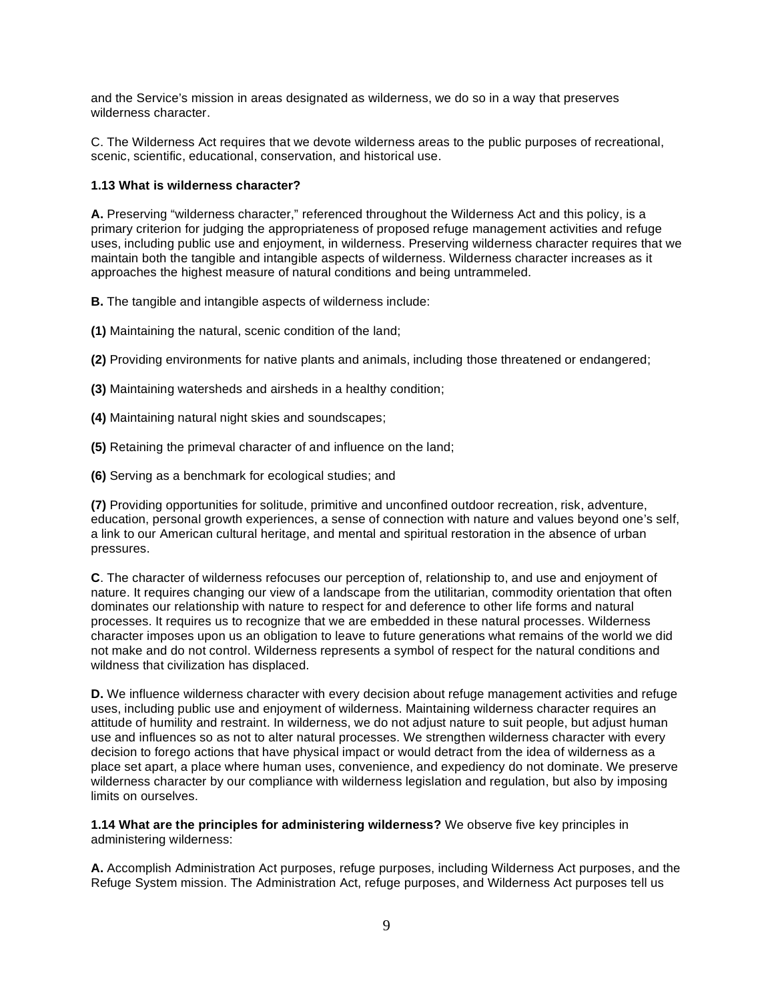and the Service's mission in areas designated as wilderness, we do so in a way that preserves wilderness character.

 C. The Wilderness Act requires that we devote wilderness areas to the public purposes of recreational, scenic, scientific, educational, conservation, and historical use.

# **1.13 What is wilderness character?**

 **A.** Preserving "wilderness character," referenced throughout the Wilderness Act and this policy, is a primary criterion for judging the appropriateness of proposed refuge management activities and refuge uses, including public use and enjoyment, in wilderness. Preserving wilderness character requires that we maintain both the tangible and intangible aspects of wilderness. Wilderness character increases as it approaches the highest measure of natural conditions and being untrammeled.

**B.** The tangible and intangible aspects of wilderness include:

**(1)** Maintaining the natural, scenic condition of the land;

**(2)** Providing environments for native plants and animals, including those threatened or endangered;

- **(3)** Maintaining watersheds and airsheds in a healthy condition;
- **(4)** Maintaining natural night skies and soundscapes;
- **(5)** Retaining the primeval character of and influence on the land;
- **(6)** Serving as a benchmark for ecological studies; and

 **(7)** Providing opportunities for solitude, primitive and unconfined outdoor recreation, risk, adventure, education, personal growth experiences, a sense of connection with nature and values beyond one's self, a link to our American cultural heritage, and mental and spiritual restoration in the absence of urban pressures.

 **C**. The character of wilderness refocuses our perception of, relationship to, and use and enjoyment of nature. It requires changing our view of a landscape from the utilitarian, commodity orientation that often dominates our relationship with nature to respect for and deference to other life forms and natural processes. It requires us to recognize that we are embedded in these natural processes. Wilderness character imposes upon us an obligation to leave to future generations what remains of the world we did not make and do not control. Wilderness represents a symbol of respect for the natural conditions and wildness that civilization has displaced.

 **D.** We influence wilderness character with every decision about refuge management activities and refuge uses, including public use and enjoyment of wilderness. Maintaining wilderness character requires an attitude of humility and restraint. In wilderness, we do not adjust nature to suit people, but adjust human use and influences so as not to alter natural processes. We strengthen wilderness character with every decision to forego actions that have physical impact or would detract from the idea of wilderness as a place set apart, a place where human uses, convenience, and expediency do not dominate. We preserve wilderness character by our compliance with wilderness legislation and regulation, but also by imposing limits on ourselves.

 **1.14 What are the principles for administering wilderness?** We observe five key principles in administering wilderness:

 **A.** Accomplish Administration Act purposes, refuge purposes, including Wilderness Act purposes, and the Refuge System mission. The Administration Act, refuge purposes, and Wilderness Act purposes tell us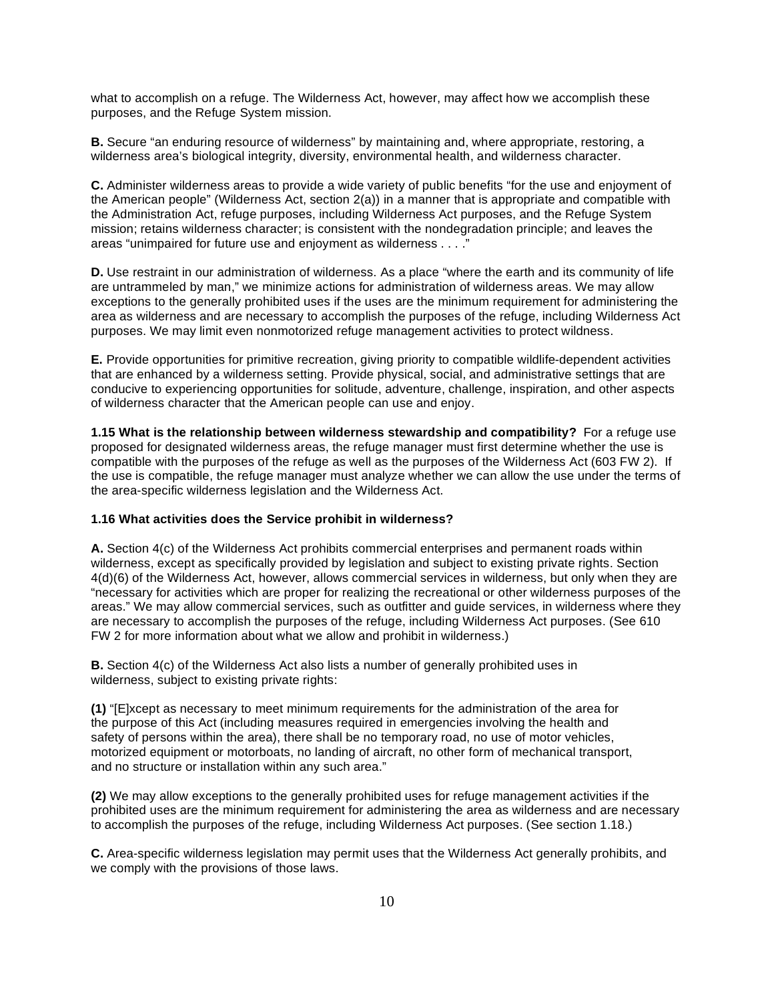what to accomplish on a refuge. The Wilderness Act, however, may affect how we accomplish these purposes, and the Refuge System mission.

 **B.** Secure "an enduring resource of wilderness" by maintaining and, where appropriate, restoring, a wilderness area's biological integrity, diversity, environmental health, and wilderness character.

 **C.** Administer wilderness areas to provide a wide variety of public benefits "for the use and enjoyment of the American people" (Wilderness Act, section 2(a)) in a manner that is appropriate and compatible with the Administration Act, refuge purposes, including Wilderness Act purposes, and the Refuge System mission; retains wilderness character; is consistent with the nondegradation principle; and leaves the areas "unimpaired for future use and enjoyment as wilderness . . . ."

 **D.** Use restraint in our administration of wilderness. As a place "where the earth and its community of life are untrammeled by man," we minimize actions for administration of wilderness areas. We may allow exceptions to the generally prohibited uses if the uses are the minimum requirement for administering the area as wilderness and are necessary to accomplish the purposes of the refuge, including Wilderness Act purposes. We may limit even nonmotorized refuge management activities to protect wildness.

 **E.** Provide opportunities for primitive recreation, giving priority to compatible wildlife-dependent activities that are enhanced by a wilderness setting. Provide physical, social, and administrative settings that are conducive to experiencing opportunities for solitude, adventure, challenge, inspiration, and other aspects of wilderness character that the American people can use and enjoy.

 **1.15 What is the relationship between wilderness stewardship and compatibility?** For a refuge use proposed for designated wilderness areas, the refuge manager must first determine whether the use is compatible with the purposes of the refuge as well as the purposes of the Wilderness Act (603 FW 2). If the use is compatible, the refuge manager must analyze whether we can allow the use under the terms of the area-specific wilderness legislation and the Wilderness Act.

#### **1.16 What activities does the Service prohibit in wilderness?**

 **A.** Section 4(c) of the Wilderness Act prohibits commercial enterprises and permanent roads within wilderness, except as specifically provided by legislation and subject to existing private rights. Section 4(d)(6) of the Wilderness Act, however, allows commercial services in wilderness, but only when they are "necessary for activities which are proper for realizing the recreational or other wilderness purposes of the areas." We may allow commercial services, such as outfitter and guide services, in wilderness where they are necessary to accomplish the purposes of the refuge, including Wilderness Act purposes. (See 610 FW 2 for more information about what we allow and prohibit in wilderness.)

 **B.** Section 4(c) of the Wilderness Act also lists a number of generally prohibited uses in wilderness, subject to existing private rights:

 **(1)** "[E]xcept as necessary to meet minimum requirements for the administration of the area for the purpose of this Act (including measures required in emergencies involving the health and safety of persons within the area), there shall be no temporary road, no use of motor vehicles, motorized equipment or motorboats, no landing of aircraft, no other form of mechanical transport, and no structure or installation within any such area."

 **(2)** We may allow exceptions to the generally prohibited uses for refuge management activities if the prohibited uses are the minimum requirement for administering the area as wilderness and are necessary to accomplish the purposes of the refuge, including Wilderness Act purposes. (See section 1.18.)

 **C.** Area-specific wilderness legislation may permit uses that the Wilderness Act generally prohibits, and we comply with the provisions of those laws.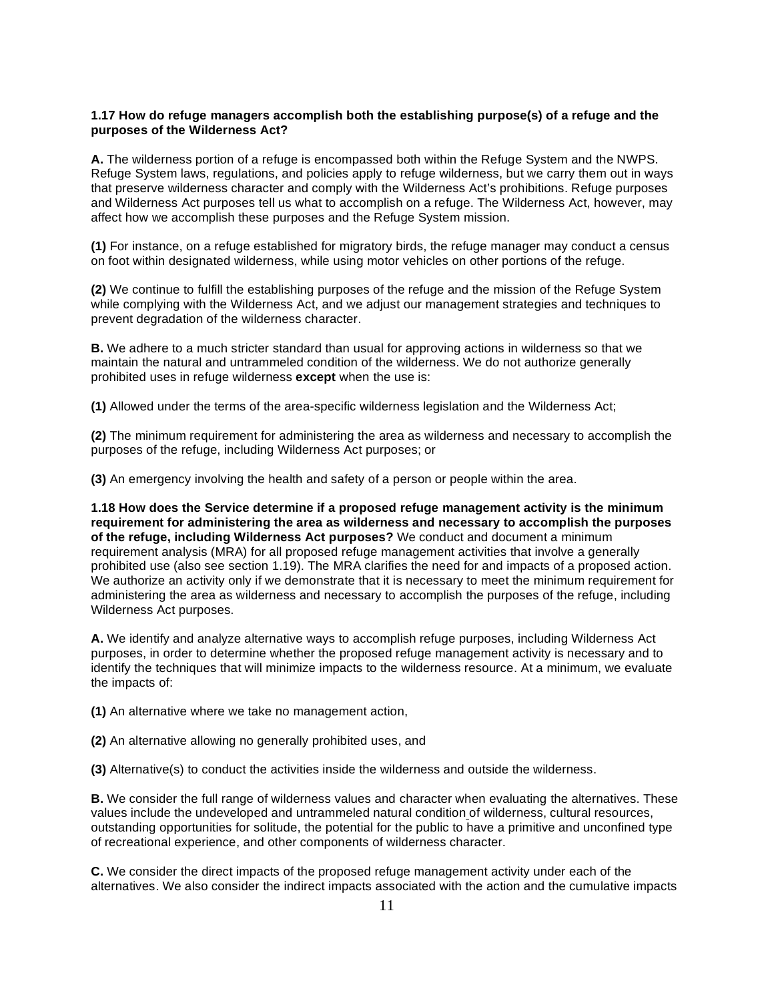### **1.17 How do refuge managers accomplish both the establishing purpose(s) of a refuge and the purposes of the Wilderness Act?**

 **A.** The wilderness portion of a refuge is encompassed both within the Refuge System and the NWPS. Refuge System laws, regulations, and policies apply to refuge wilderness, but we carry them out in ways that preserve wilderness character and comply with the Wilderness Act's prohibitions. Refuge purposes and Wilderness Act purposes tell us what to accomplish on a refuge. The Wilderness Act, however, may affect how we accomplish these purposes and the Refuge System mission.

 **(1)** For instance, on a refuge established for migratory birds, the refuge manager may conduct a census on foot within designated wilderness, while using motor vehicles on other portions of the refuge.

 **(2)** We continue to fulfill the establishing purposes of the refuge and the mission of the Refuge System while complying with the Wilderness Act, and we adjust our management strategies and techniques to prevent degradation of the wilderness character.

 **B.** We adhere to a much stricter standard than usual for approving actions in wilderness so that we maintain the natural and untrammeled condition of the wilderness. We do not authorize generally prohibited uses in refuge wilderness **except** when the use is:

**(1)** Allowed under the terms of the area-specific wilderness legislation and the Wilderness Act;

 **(2)** The minimum requirement for administering the area as wilderness and necessary to accomplish the purposes of the refuge, including Wilderness Act purposes; or

**(3)** An emergency involving the health and safety of a person or people within the area.

 **1.18 How does the Service determine if a proposed refuge management activity is the minimum requirement for administering the area as wilderness and necessary to accomplish the purposes of the refuge, including Wilderness Act purposes?** We conduct and document a minimum requirement analysis (MRA) for all proposed refuge management activities that involve a generally prohibited use (also see section 1.19). The MRA clarifies the need for and impacts of a proposed action. We authorize an activity only if we demonstrate that it is necessary to meet the minimum requirement for administering the area as wilderness and necessary to accomplish the purposes of the refuge, including Wilderness Act purposes.

 **A.** We identify and analyze alternative ways to accomplish refuge purposes, including Wilderness Act purposes, in order to determine whether the proposed refuge management activity is necessary and to identify the techniques that will minimize impacts to the wilderness resource. At a minimum, we evaluate the impacts of:

**(1)** An alternative where we take no management action,

**(2)** An alternative allowing no generally prohibited uses, and

**(3)** Alternative(s) to conduct the activities inside the wilderness and outside the wilderness.

 **B.** We consider the full range of wilderness values and character when evaluating the alternatives. These values include the undeveloped and untrammeled natural condition of wilderness, cultural resources, outstanding opportunities for solitude, the potential for the public to have a primitive and unconfined type of recreational experience, and other components of wilderness character.

 **C.** We consider the direct impacts of the proposed refuge management activity under each of the alternatives. We also consider the indirect impacts associated with the action and the cumulative impacts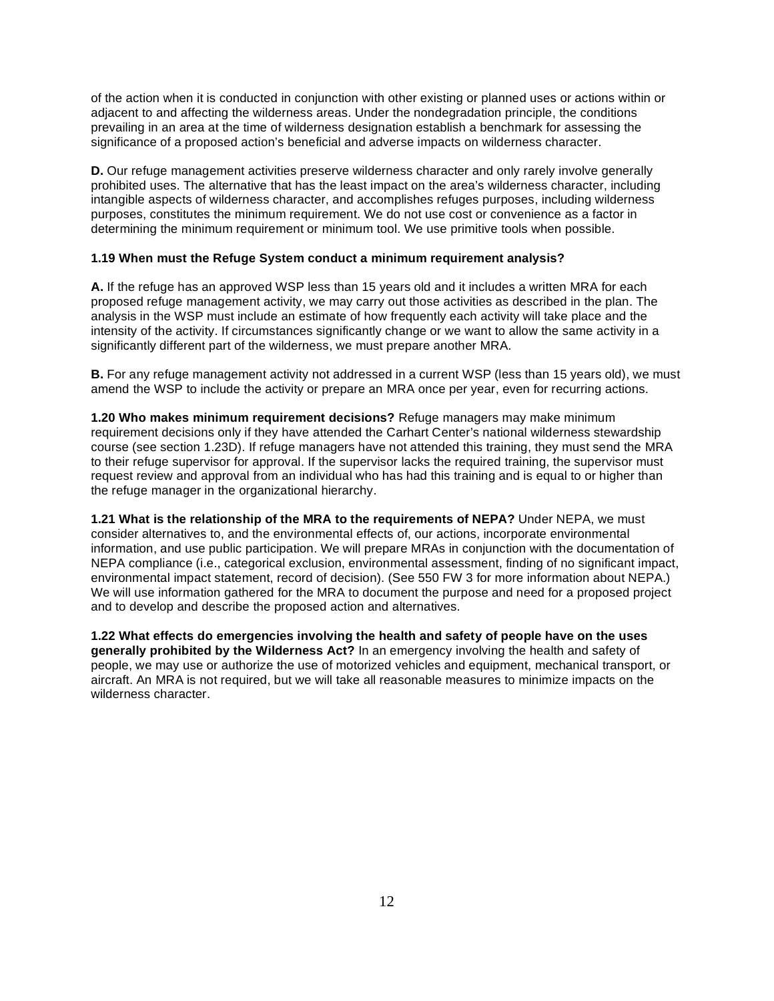of the action when it is conducted in conjunction with other existing or planned uses or actions within or adjacent to and affecting the wilderness areas. Under the nondegradation principle, the conditions prevailing in an area at the time of wilderness designation establish a benchmark for assessing the significance of a proposed action's beneficial and adverse impacts on wilderness character.

 **D.** Our refuge management activities preserve wilderness character and only rarely involve generally prohibited uses. The alternative that has the least impact on the area's wilderness character, including intangible aspects of wilderness character, and accomplishes refuges purposes, including wilderness purposes, constitutes the minimum requirement. We do not use cost or convenience as a factor in determining the minimum requirement or minimum tool. We use primitive tools when possible.

### **1.19 When must the Refuge System conduct a minimum requirement analysis?**

 **A.** If the refuge has an approved WSP less than 15 years old and it includes a written MRA for each proposed refuge management activity, we may carry out those activities as described in the plan. The analysis in the WSP must include an estimate of how frequently each activity will take place and the intensity of the activity. If circumstances significantly change or we want to allow the same activity in a significantly different part of the wilderness, we must prepare another MRA.

 **B.** For any refuge management activity not addressed in a current WSP (less than 15 years old), we must amend the WSP to include the activity or prepare an MRA once per year, even for recurring actions.

 **1.20 Who makes minimum requirement decisions?** Refuge managers may make minimum requirement decisions only if they have attended the Carhart Center's national wilderness stewardship course (see section 1.23D). If refuge managers have not attended this training, they must send the MRA to their refuge supervisor for approval. If the supervisor lacks the required training, the supervisor must request review and approval from an individual who has had this training and is equal to or higher than the refuge manager in the organizational hierarchy.

 **1.21 What is the relationship of the MRA to the requirements of NEPA?** Under NEPA, we must consider alternatives to, and the environmental effects of, our actions, incorporate environmental information, and use public participation. We will prepare MRAs in conjunction with the documentation of NEPA compliance (i.e., categorical exclusion, environmental assessment, finding of no significant impact, environmental impact statement, record of decision). (See 550 FW 3 for more information about NEPA.) We will use information gathered for the MRA to document the purpose and need for a proposed project and to develop and describe the proposed action and alternatives.

 **1.22 What effects do emergencies involving the health and safety of people have on the uses generally prohibited by the Wilderness Act?** In an emergency involving the health and safety of people, we may use or authorize the use of motorized vehicles and equipment, mechanical transport, or aircraft. An MRA is not required, but we will take all reasonable measures to minimize impacts on the wilderness character.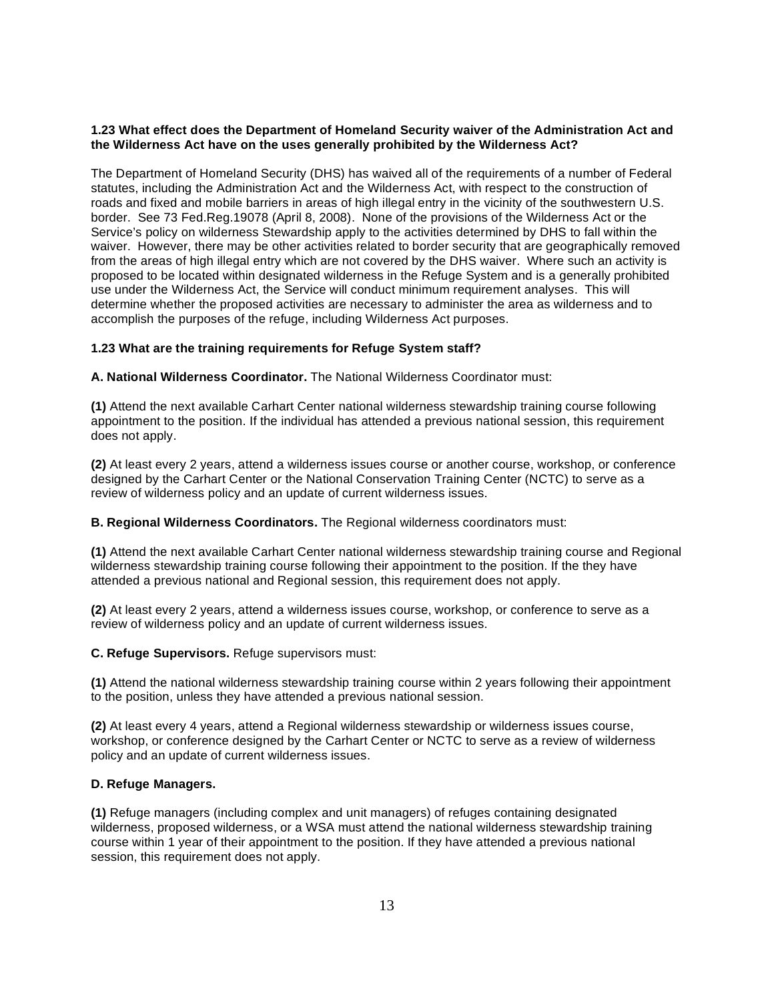# **1.23 What effect does the Department of Homeland Security waiver of the Administration Act and the Wilderness Act have on the uses generally prohibited by the Wilderness Act?**

 The Department of Homeland Security (DHS) has waived all of the requirements of a number of Federal statutes, including the Administration Act and the Wilderness Act, with respect to the construction of roads and fixed and mobile barriers in areas of high illegal entry in the vicinity of the southwestern U.S. border. See 73 Fed.Reg.19078 (April 8, 2008). None of the provisions of the Wilderness Act or the Service's policy on wilderness Stewardship apply to the activities determined by DHS to fall within the waiver. However, there may be other activities related to border security that are geographically removed from the areas of high illegal entry which are not covered by the DHS waiver. Where such an activity is proposed to be located within designated wilderness in the Refuge System and is a generally prohibited use under the Wilderness Act, the Service will conduct minimum requirement analyses. This will determine whether the proposed activities are necessary to administer the area as wilderness and to accomplish the purposes of the refuge, including Wilderness Act purposes.

# **1.23 What are the training requirements for Refuge System staff?**

 **A. National Wilderness Coordinator.** The National Wilderness Coordinator must:

 **(1)** Attend the next available Carhart Center national wilderness stewardship training course following appointment to the position. If the individual has attended a previous national session, this requirement does not apply.

 **(2)** At least every 2 years, attend a wilderness issues course or another course, workshop, or conference designed by the Carhart Center or the National Conservation Training Center (NCTC) to serve as a review of wilderness policy and an update of current wilderness issues.

#### **B. Regional Wilderness Coordinators.** The Regional wilderness coordinators must:

 **(1)** Attend the next available Carhart Center national wilderness stewardship training course and Regional wilderness stewardship training course following their appointment to the position. If the they have attended a previous national and Regional session, this requirement does not apply.

 **(2)** At least every 2 years, attend a wilderness issues course, workshop, or conference to serve as a review of wilderness policy and an update of current wilderness issues.

 **C. Refuge Supervisors.** Refuge supervisors must:

 **(1)** Attend the national wilderness stewardship training course within 2 years following their appointment to the position, unless they have attended a previous national session.

 **(2)** At least every 4 years, attend a Regional wilderness stewardship or wilderness issues course, workshop, or conference designed by the Carhart Center or NCTC to serve as a review of wilderness policy and an update of current wilderness issues.

#### **D. Refuge Managers.**

 **(1)** Refuge managers (including complex and unit managers) of refuges containing designated wilderness, proposed wilderness, or a WSA must attend the national wilderness stewardship training course within 1 year of their appointment to the position. If they have attended a previous national session, this requirement does not apply.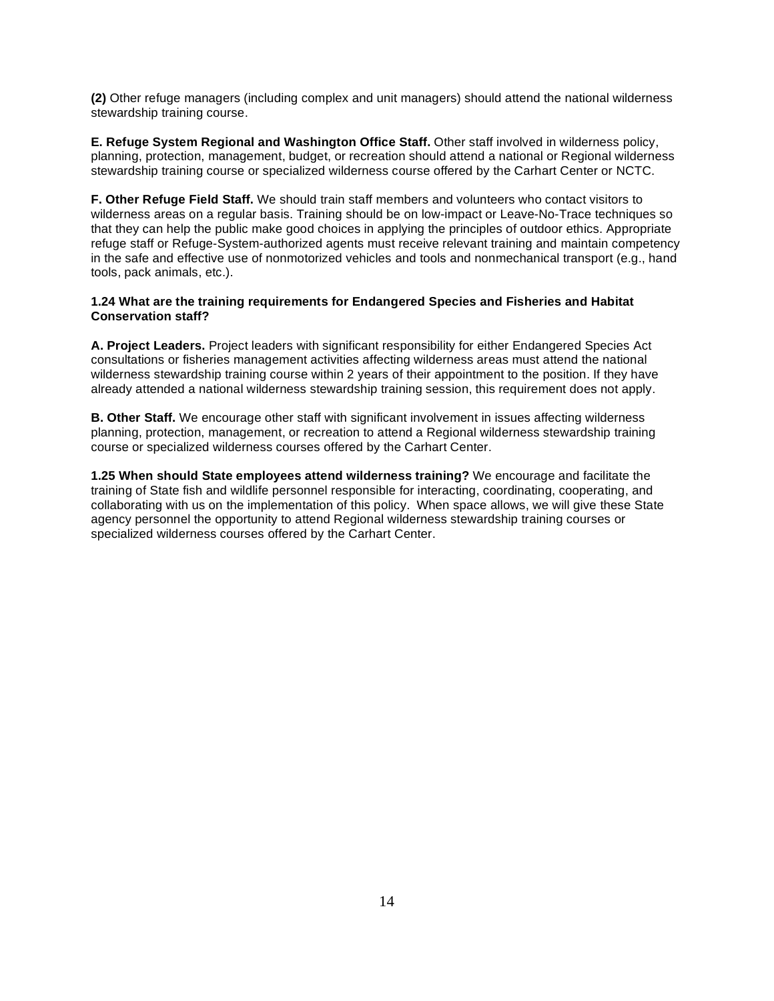**(2)** Other refuge managers (including complex and unit managers) should attend the national wilderness stewardship training course.

 **E. Refuge System Regional and Washington Office Staff.** Other staff involved in wilderness policy, planning, protection, management, budget, or recreation should attend a national or Regional wilderness stewardship training course or specialized wilderness course offered by the Carhart Center or NCTC.

 **F. Other Refuge Field Staff.** We should train staff members and volunteers who contact visitors to wilderness areas on a regular basis. Training should be on low-impact or Leave-No-Trace techniques so that they can help the public make good choices in applying the principles of outdoor ethics. Appropriate refuge staff or Refuge-System-authorized agents must receive relevant training and maintain competency in the safe and effective use of nonmotorized vehicles and tools and nonmechanical transport (e.g., hand tools, pack animals, etc.).

# **1.24 What are the training requirements for Endangered Species and Fisheries and Habitat Conservation staff?**

 **A. Project Leaders.** Project leaders with significant responsibility for either Endangered Species Act consultations or fisheries management activities affecting wilderness areas must attend the national wilderness stewardship training course within 2 years of their appointment to the position. If they have already attended a national wilderness stewardship training session, this requirement does not apply.

 **B. Other Staff.** We encourage other staff with significant involvement in issues affecting wilderness planning, protection, management, or recreation to attend a Regional wilderness stewardship training course or specialized wilderness courses offered by the Carhart Center.

 **1.25 When should State employees attend wilderness training?** We encourage and facilitate the training of State fish and wildlife personnel responsible for interacting, coordinating, cooperating, and collaborating with us on the implementation of this policy. When space allows, we will give these State agency personnel the opportunity to attend Regional wilderness stewardship training courses or specialized wilderness courses offered by the Carhart Center.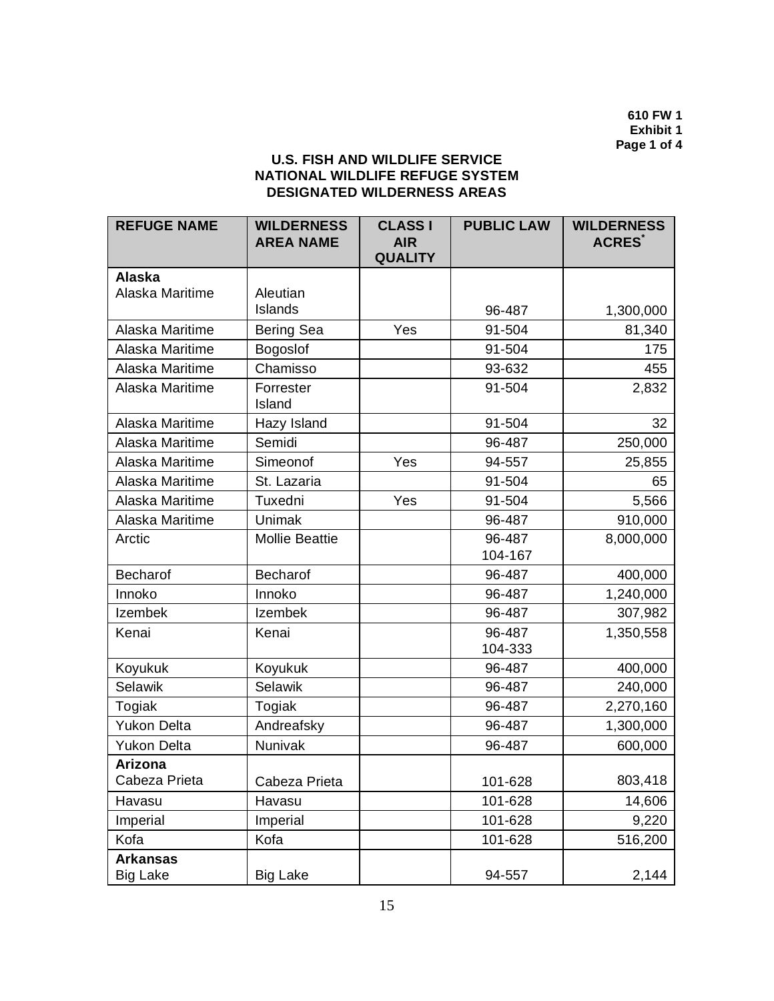**610 FW 1 Exhibit 1 Page 1 of 4** 

# **U.S. FISH AND WILDLIFE SERVICE NATIONAL WILDLIFE REFUGE SYSTEM DESIGNATED WILDERNESS AREAS**

| <b>REFUGE NAME</b>                 | <b>WILDERNESS</b><br><b>AREA NAME</b> | <b>CLASS I</b><br><b>AIR</b><br><b>QUALITY</b> | <b>PUBLIC LAW</b> | <b>WILDERNESS</b><br><b>ACRES</b> |
|------------------------------------|---------------------------------------|------------------------------------------------|-------------------|-----------------------------------|
| <b>Alaska</b>                      |                                       |                                                |                   |                                   |
| Alaska Maritime                    | Aleutian                              |                                                |                   |                                   |
|                                    | Islands                               |                                                | 96-487            | 1,300,000                         |
| Alaska Maritime                    | Bering Sea                            | Yes                                            | 91-504            | 81,340                            |
| Alaska Maritime                    | Bogoslof                              |                                                | 91-504            | 175                               |
| Alaska Maritime                    | Chamisso                              |                                                | 93-632            | 455                               |
| Alaska Maritime                    | Forrester<br>Island                   |                                                | 91-504            | 2,832                             |
| Alaska Maritime                    | Hazy Island                           |                                                | 91-504            | 32                                |
| Alaska Maritime                    | Semidi                                |                                                | 96-487            | 250,000                           |
| Alaska Maritime                    | Simeonof                              | Yes                                            | 94-557            | 25,855                            |
| Alaska Maritime                    | St. Lazaria                           |                                                | 91-504            | 65                                |
| Alaska Maritime                    | Tuxedni                               | Yes                                            | 91-504            | 5,566                             |
| Alaska Maritime                    | Unimak                                |                                                | 96-487            | 910,000                           |
| Arctic                             | <b>Mollie Beattie</b>                 |                                                | 96-487<br>104-167 | 8,000,000                         |
| <b>Becharof</b>                    | Becharof                              |                                                | 96-487            | 400,000                           |
| Innoko                             | Innoko                                |                                                | 96-487            | 1,240,000                         |
| Izembek                            | <b>Izembek</b>                        |                                                | 96-487            | 307,982                           |
| Kenai                              | Kenai                                 |                                                | 96-487<br>104-333 | 1,350,558                         |
| Koyukuk                            | Koyukuk                               |                                                | 96-487            | 400,000                           |
| Selawik                            | <b>Selawik</b>                        |                                                | 96-487            | 240,000                           |
| Togiak                             | Togiak                                |                                                | 96-487            | 2,270,160                         |
| <b>Yukon Delta</b>                 | Andreafsky                            |                                                | 96-487            | 1,300,000                         |
| <b>Yukon Delta</b>                 | Nunivak                               |                                                | 96-487            | 600,000                           |
| Arizona                            |                                       |                                                |                   |                                   |
| Cabeza Prieta                      | Cabeza Prieta                         |                                                | 101-628           | 803,418                           |
| Havasu                             | Havasu                                |                                                | 101-628           | 14,606                            |
| Imperial                           | Imperial                              |                                                | 101-628           | 9,220                             |
| Kofa                               | Kofa                                  |                                                | 101-628           | 516,200                           |
| <b>Arkansas</b><br><b>Big Lake</b> | <b>Big Lake</b>                       |                                                | 94-557            | 2,144                             |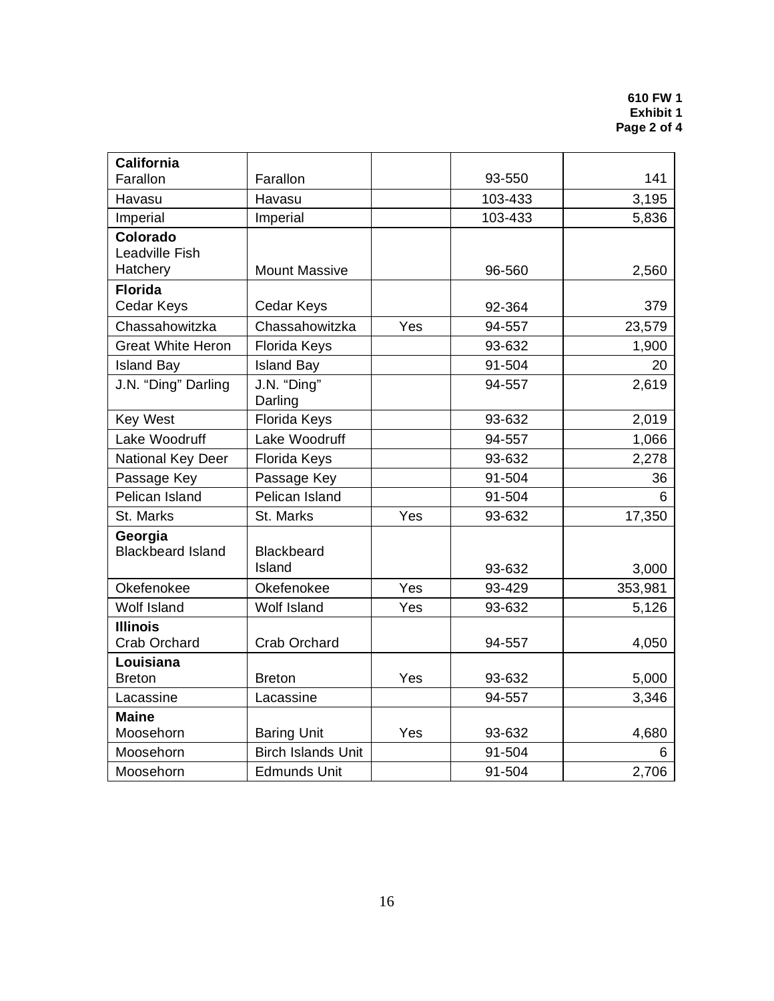| <b>California</b>                   |                                      |     |         |         |
|-------------------------------------|--------------------------------------|-----|---------|---------|
| Farallon                            | Farallon                             |     | 93-550  | 141     |
| Havasu                              | Havasu                               |     | 103-433 | 3,195   |
| Imperial                            | Imperial                             |     | 103-433 | 5,836   |
| Colorado<br>Leadville Fish          |                                      |     |         |         |
| Hatchery                            | <b>Mount Massive</b>                 |     | 96-560  | 2,560   |
| <b>Florida</b><br>Cedar Keys        | Cedar Keys                           |     | 92-364  | 379     |
| Chassahowitzka                      | Chassahowitzka                       | Yes | 94-557  | 23,579  |
| <b>Great White Heron</b>            | <b>Florida Keys</b>                  |     | 93-632  | 1,900   |
| <b>Island Bay</b>                   | <b>Island Bay</b>                    |     | 91-504  | 20      |
| J.N. "Ding" Darling                 | $\overline{J}$ .N. "Ding"<br>Darling |     | 94-557  | 2,619   |
| <b>Key West</b>                     | Florida Keys                         |     | 93-632  | 2,019   |
| Lake Woodruff                       | Lake Woodruff                        |     | 94-557  | 1,066   |
| National Key Deer                   | Florida Keys                         |     | 93-632  | 2,278   |
| Passage Key                         | Passage Key                          |     | 91-504  | 36      |
| Pelican Island                      | Pelican Island                       |     | 91-504  | 6       |
| St. Marks                           | St. Marks                            | Yes | 93-632  | 17,350  |
| Georgia<br><b>Blackbeard Island</b> | <b>Blackbeard</b><br>Island          |     | 93-632  | 3,000   |
| Okefenokee                          | Okefenokee                           | Yes | 93-429  | 353,981 |
| <b>Wolf Island</b>                  | <b>Wolf Island</b>                   | Yes | 93-632  | 5,126   |
| <b>Illinois</b><br>Crab Orchard     | Crab Orchard                         |     | 94-557  | 4,050   |
| Louisiana<br><b>Breton</b>          | <b>Breton</b>                        | Yes | 93-632  | 5,000   |
| Lacassine                           | Lacassine                            |     | 94-557  | 3,346   |
| <b>Maine</b><br>Moosehorn           | <b>Baring Unit</b>                   | Yes | 93-632  | 4,680   |
| Moosehorn                           | <b>Birch Islands Unit</b>            |     | 91-504  | 6       |
| Moosehorn                           | <b>Edmunds Unit</b>                  |     | 91-504  | 2,706   |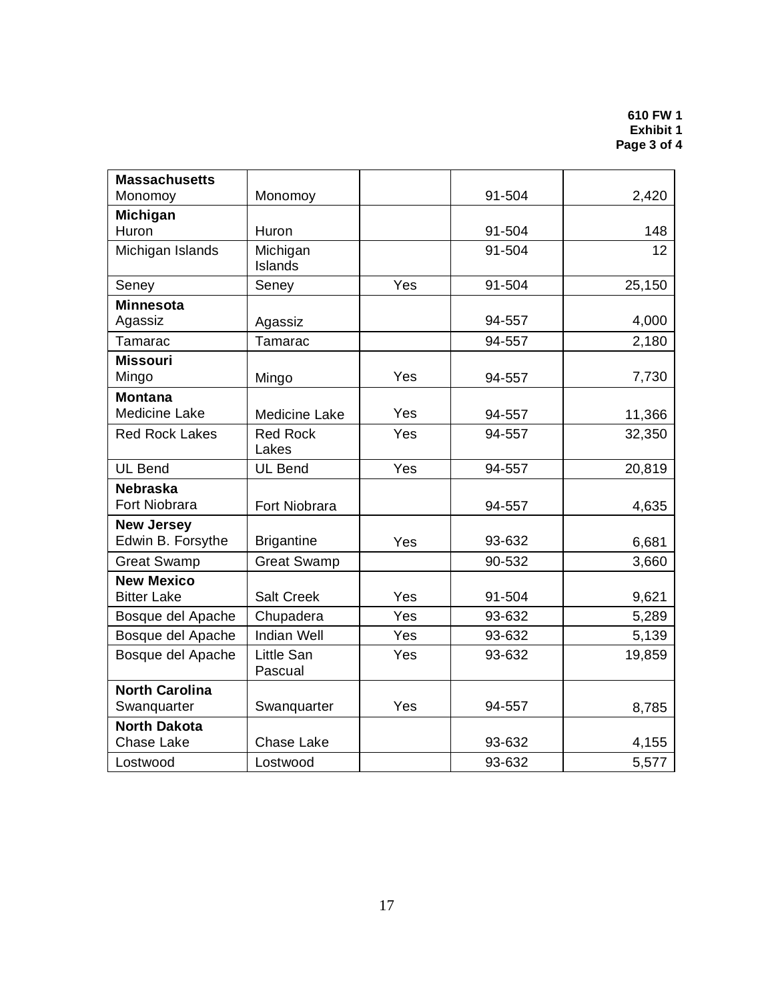| <b>Massachusetts</b>  |                          |     |        |        |
|-----------------------|--------------------------|-----|--------|--------|
| Monomoy               | Monomoy                  |     | 91-504 | 2,420  |
| <b>Michigan</b>       |                          |     |        |        |
| Huron                 | Huron                    |     | 91-504 | 148    |
| Michigan Islands      | Michigan<br>Islands      |     | 91-504 | 12     |
| Seney                 | Seney                    | Yes | 91-504 | 25,150 |
| <b>Minnesota</b>      |                          |     |        |        |
| Agassiz               | Agassiz                  |     | 94-557 | 4,000  |
| Tamarac               | Tamarac                  |     | 94-557 | 2,180  |
| <b>Missouri</b>       |                          |     |        |        |
| Mingo                 | Mingo                    | Yes | 94-557 | 7,730  |
| <b>Montana</b>        |                          |     |        |        |
| <b>Medicine Lake</b>  | <b>Medicine Lake</b>     | Yes | 94-557 | 11,366 |
| <b>Red Rock Lakes</b> | <b>Red Rock</b><br>Lakes | Yes | 94-557 | 32,350 |
| <b>UL Bend</b>        | <b>UL Bend</b>           | Yes | 94-557 | 20,819 |
| <b>Nebraska</b>       |                          |     |        |        |
| Fort Niobrara         | Fort Niobrara            |     | 94-557 | 4,635  |
| <b>New Jersey</b>     |                          |     |        |        |
| Edwin B. Forsythe     | <b>Brigantine</b>        | Yes | 93-632 | 6,681  |
| <b>Great Swamp</b>    | <b>Great Swamp</b>       |     | 90-532 | 3,660  |
| <b>New Mexico</b>     |                          |     |        |        |
| <b>Bitter Lake</b>    | <b>Salt Creek</b>        | Yes | 91-504 | 9,621  |
| Bosque del Apache     | Chupadera                | Yes | 93-632 | 5,289  |
| Bosque del Apache     | <b>Indian Well</b>       | Yes | 93-632 | 5,139  |
| Bosque del Apache     | Little San<br>Pascual    | Yes | 93-632 | 19,859 |
| <b>North Carolina</b> |                          |     |        |        |
| Swanquarter           | Swanquarter              | Yes | 94-557 | 8,785  |
| <b>North Dakota</b>   |                          |     |        |        |
| <b>Chase Lake</b>     | <b>Chase Lake</b>        |     | 93-632 | 4,155  |
| Lostwood              | Lostwood                 |     | 93-632 | 5,577  |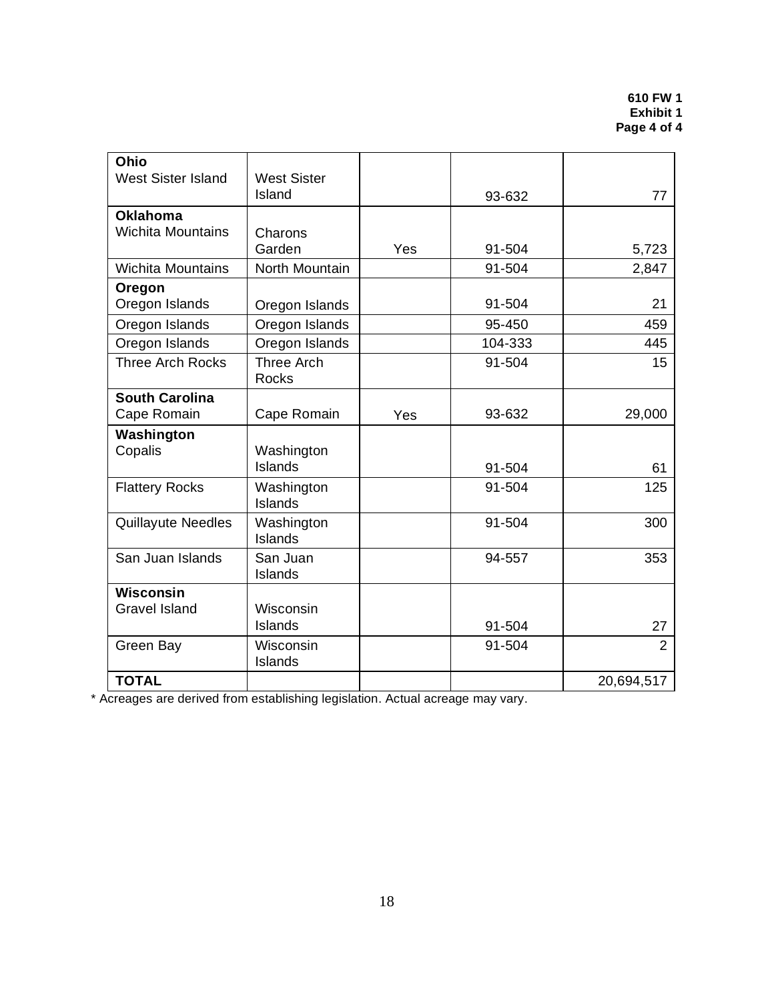| Ohio                      |                      |     |         |                |
|---------------------------|----------------------|-----|---------|----------------|
| <b>West Sister Island</b> | <b>West Sister</b>   |     |         |                |
|                           | Island               |     | 93-632  | 77             |
| <b>Oklahoma</b>           |                      |     |         |                |
| <b>Wichita Mountains</b>  | Charons              |     |         |                |
|                           | Garden               | Yes | 91-504  | 5,723          |
| <b>Wichita Mountains</b>  | North Mountain       |     | 91-504  | 2,847          |
| Oregon                    |                      |     |         |                |
| Oregon Islands            | Oregon Islands       |     | 91-504  | 21             |
| Oregon Islands            | Oregon Islands       |     | 95-450  | 459            |
| Oregon Islands            | Oregon Islands       |     | 104-333 | 445            |
| <b>Three Arch Rocks</b>   | <b>Three Arch</b>    |     | 91-504  | 15             |
|                           | <b>Rocks</b>         |     |         |                |
| <b>South Carolina</b>     |                      |     |         |                |
| Cape Romain               | Cape Romain          | Yes | 93-632  | 29,000         |
| Washington                |                      |     |         |                |
| Copalis                   | Washington           |     |         |                |
|                           | Islands              |     | 91-504  | 61             |
| <b>Flattery Rocks</b>     | Washington           |     | 91-504  | 125            |
|                           | Islands              |     |         |                |
| <b>Quillayute Needles</b> | Washington           |     | 91-504  | 300            |
|                           | Islands              |     |         |                |
| San Juan Islands          | San Juan             |     | 94-557  | 353            |
|                           | Islands              |     |         |                |
| <b>Wisconsin</b>          |                      |     |         |                |
| <b>Gravel Island</b>      | Wisconsin            |     |         |                |
|                           | Islands              |     | 91-504  | 27             |
| Green Bay                 | Wisconsin<br>Islands |     | 91-504  | $\overline{2}$ |
| <b>TOTAL</b>              |                      |     |         | 20,694,517     |

\* Acreages are derived from establishing legislation. Actual acreage may vary.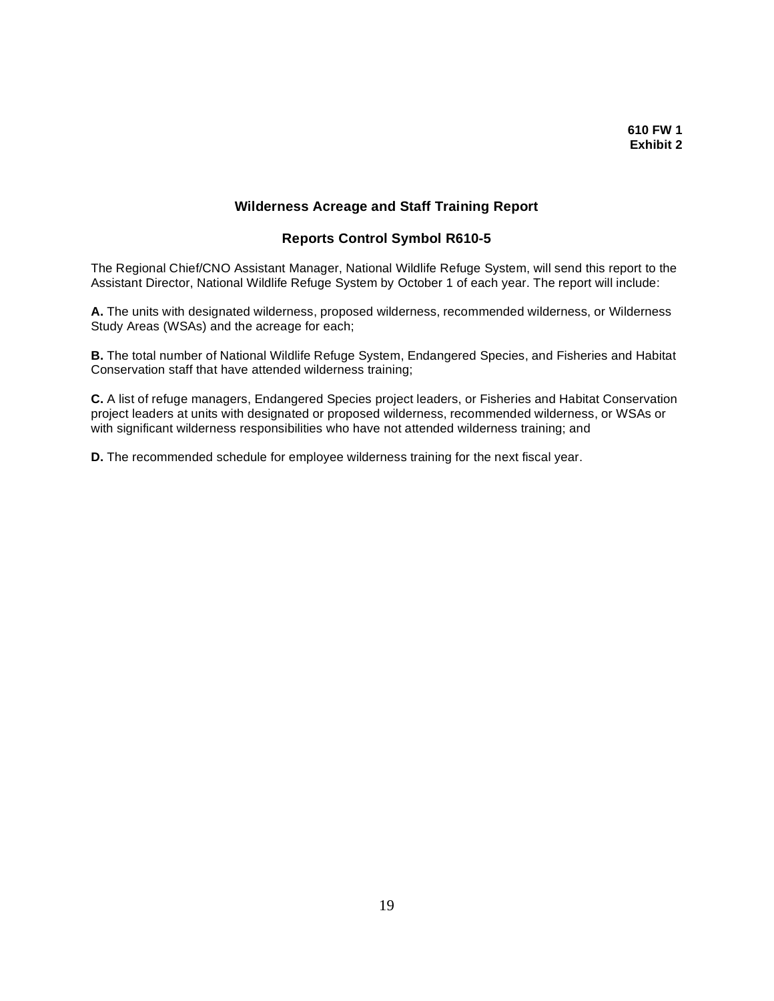### **Wilderness Acreage and Staff Training Report**

### **Reports Control Symbol R610-5**

 The Regional Chief/CNO Assistant Manager, National Wildlife Refuge System, will send this report to the Assistant Director, National Wildlife Refuge System by October 1 of each year. The report will include:

 **A.** The units with designated wilderness, proposed wilderness, recommended wilderness, or Wilderness Study Areas (WSAs) and the acreage for each;

 **B.** The total number of National Wildlife Refuge System, Endangered Species, and Fisheries and Habitat Conservation staff that have attended wilderness training;

 **C.** A list of refuge managers, Endangered Species project leaders, or Fisheries and Habitat Conservation project leaders at units with designated or proposed wilderness, recommended wilderness, or WSAs or with significant wilderness responsibilities who have not attended wilderness training; and

**D.** The recommended schedule for employee wilderness training for the next fiscal year.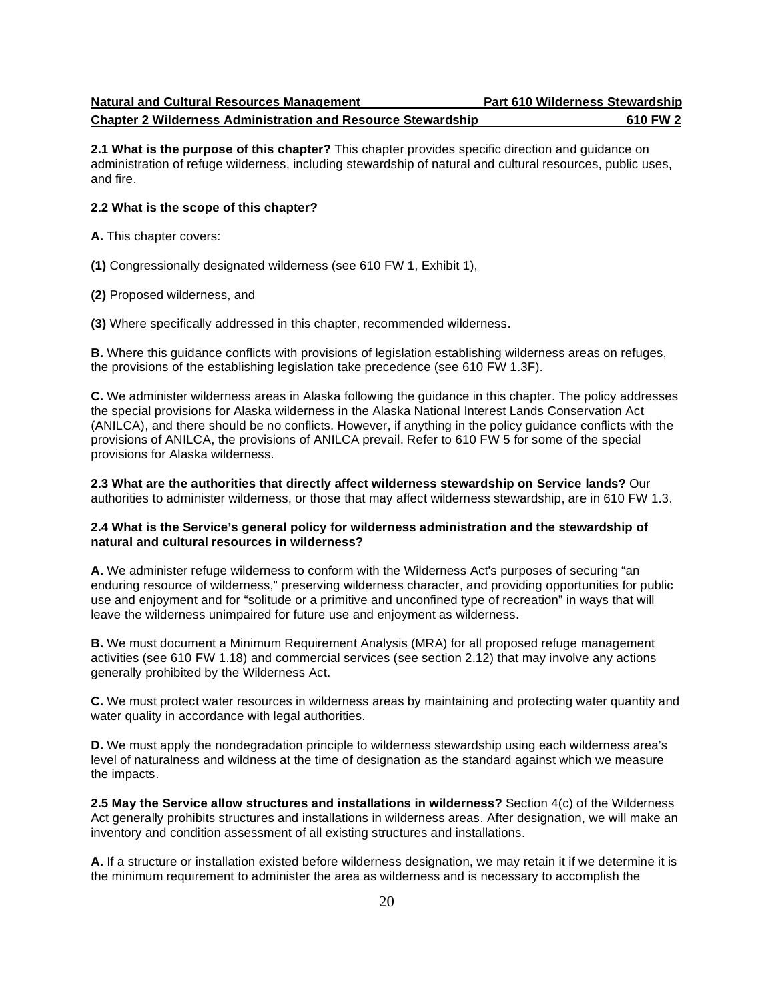#### **Chapter 2 Wilderness Administration and Resource Stewardship 610 FW 2**

 **2.1 What is the purpose of this chapter?** This chapter provides specific direction and guidance on administration of refuge wilderness, including stewardship of natural and cultural resources, public uses, and fire.

#### **2.2 What is the scope of this chapter?**

**A.** This chapter covers:

**(1)** Congressionally designated wilderness (see 610 FW 1, Exhibit 1),

**(2)** Proposed wilderness, and

**(3)** Where specifically addressed in this chapter, recommended wilderness.

 **B.** Where this guidance conflicts with provisions of legislation establishing wilderness areas on refuges, the provisions of the establishing legislation take precedence (see 610 FW 1.3F).

 **C.** We administer wilderness areas in Alaska following the guidance in this chapter. The policy addresses the special provisions for Alaska wilderness in the Alaska National Interest Lands Conservation Act (ANILCA), and there should be no conflicts. However, if anything in the policy guidance conflicts with the provisions of ANILCA, the provisions of ANILCA prevail. Refer to 610 FW 5 for some of the special provisions for Alaska wilderness.

 **2.3 What are the authorities that directly affect wilderness stewardship on Service lands?** Our authorities to administer wilderness, or those that may affect wilderness stewardship, are in 610 FW 1.3.

#### **2.4 What is the Service's general policy for wilderness administration and the stewardship of natural and cultural resources in wilderness?**

 **A.** We administer refuge wilderness to conform with the Wilderness Act's purposes of securing "an enduring resource of wilderness," preserving wilderness character, and providing opportunities for public use and enjoyment and for "solitude or a primitive and unconfined type of recreation" in ways that will leave the wilderness unimpaired for future use and enjoyment as wilderness.

 **B.** We must document a Minimum Requirement Analysis (MRA) for all proposed refuge management activities (see 610 FW 1.18) and commercial services (see section 2.12) that may involve any actions generally prohibited by the Wilderness Act.

 **C.** We must protect water resources in wilderness areas by maintaining and protecting water quantity and water quality in accordance with legal authorities.

 **D.** We must apply the nondegradation principle to wilderness stewardship using each wilderness area's level of naturalness and wildness at the time of designation as the standard against which we measure the impacts.

 **2.5 May the Service allow structures and installations in wilderness?** Section 4(c) of the Wilderness Act generally prohibits structures and installations in wilderness areas. After designation, we will make an inventory and condition assessment of all existing structures and installations.

 **A.** If a structure or installation existed before wilderness designation, we may retain it if we determine it is the minimum requirement to administer the area as wilderness and is necessary to accomplish the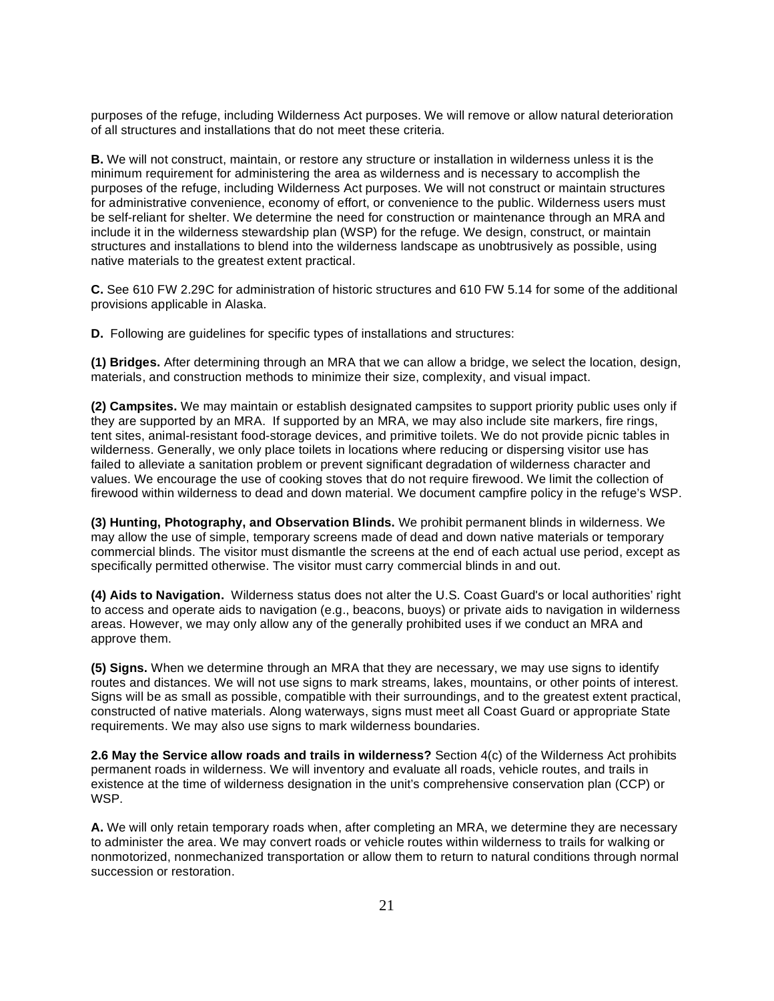purposes of the refuge, including Wilderness Act purposes. We will remove or allow natural deterioration of all structures and installations that do not meet these criteria.

 **B.** We will not construct, maintain, or restore any structure or installation in wilderness unless it is the minimum requirement for administering the area as wilderness and is necessary to accomplish the purposes of the refuge, including Wilderness Act purposes. We will not construct or maintain structures for administrative convenience, economy of effort, or convenience to the public. Wilderness users must be self-reliant for shelter. We determine the need for construction or maintenance through an MRA and include it in the wilderness stewardship plan (WSP) for the refuge. We design, construct, or maintain structures and installations to blend into the wilderness landscape as unobtrusively as possible, using native materials to the greatest extent practical.

 **C.** See 610 FW 2.29C for administration of historic structures and 610 FW 5.14 for some of the additional provisions applicable in Alaska.

**D.** Following are guidelines for specific types of installations and structures:

 **(1) Bridges.** After determining through an MRA that we can allow a bridge, we select the location, design, materials, and construction methods to minimize their size, complexity, and visual impact.

 **(2) Campsites.** We may maintain or establish designated campsites to support priority public uses only if they are supported by an MRA. If supported by an MRA, we may also include site markers, fire rings, tent sites, animal-resistant food-storage devices, and primitive toilets. We do not provide picnic tables in wilderness. Generally, we only place toilets in locations where reducing or dispersing visitor use has failed to alleviate a sanitation problem or prevent significant degradation of wilderness character and values. We encourage the use of cooking stoves that do not require firewood. We limit the collection of firewood within wilderness to dead and down material. We document campfire policy in the refuge's WSP.

 **(3) Hunting, Photography, and Observation Blinds.** We prohibit permanent blinds in wilderness. We may allow the use of simple, temporary screens made of dead and down native materials or temporary commercial blinds. The visitor must dismantle the screens at the end of each actual use period, except as specifically permitted otherwise. The visitor must carry commercial blinds in and out.

 **(4) Aids to Navigation.** Wilderness status does not alter the U.S. Coast Guard's or local authorities' right to access and operate aids to navigation (e.g., beacons, buoys) or private aids to navigation in wilderness areas. However, we may only allow any of the generally prohibited uses if we conduct an MRA and approve them.

 **(5) Signs.** When we determine through an MRA that they are necessary, we may use signs to identify routes and distances. We will not use signs to mark streams, lakes, mountains, or other points of interest. Signs will be as small as possible, compatible with their surroundings, and to the greatest extent practical, constructed of native materials. Along waterways, signs must meet all Coast Guard or appropriate State requirements. We may also use signs to mark wilderness boundaries.

 **2.6 May the Service allow roads and trails in wilderness?** Section 4(c) of the Wilderness Act prohibits permanent roads in wilderness. We will inventory and evaluate all roads, vehicle routes, and trails in existence at the time of wilderness designation in the unit's comprehensive conservation plan (CCP) or WSP.

 **A.** We will only retain temporary roads when, after completing an MRA, we determine they are necessary to administer the area. We may convert roads or vehicle routes within wilderness to trails for walking or nonmotorized, nonmechanized transportation or allow them to return to natural conditions through normal succession or restoration.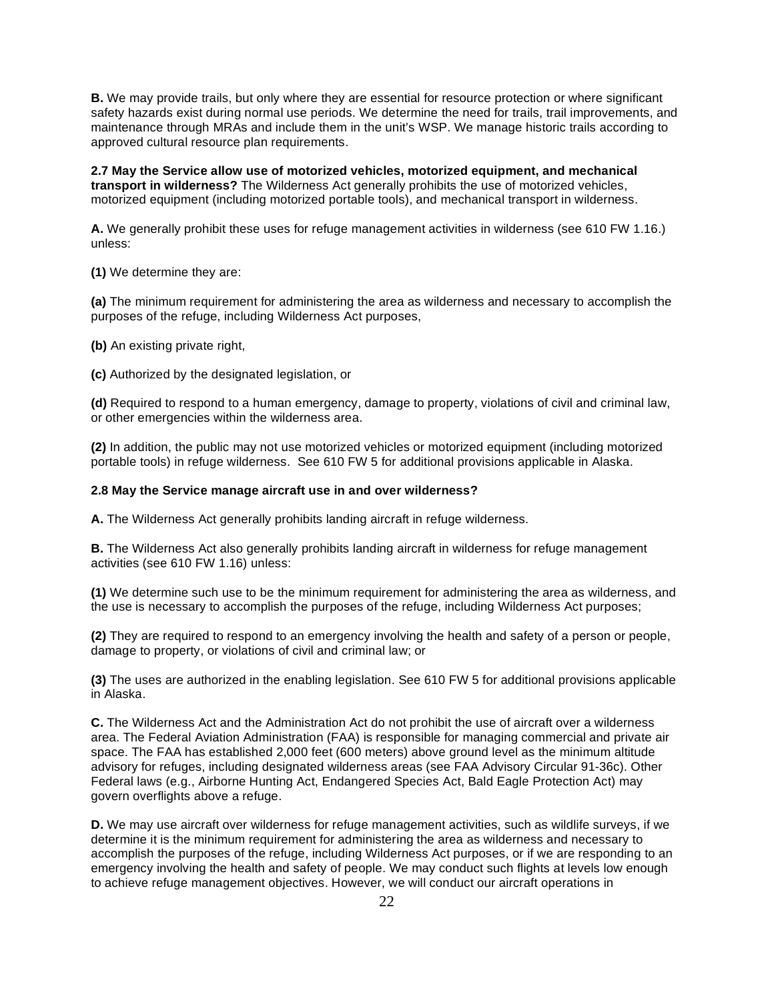**B.** We may provide trails, but only where they are essential for resource protection or where significant safety hazards exist during normal use periods. We determine the need for trails, trail improvements, and maintenance through MRAs and include them in the unit's WSP. We manage historic trails according to approved cultural resource plan requirements.

 **2.7 May the Service allow use of motorized vehicles, motorized equipment, and mechanical transport in wilderness?** The Wilderness Act generally prohibits the use of motorized vehicles, motorized equipment (including motorized portable tools), and mechanical transport in wilderness.

 **A.** We generally prohibit these uses for refuge management activities in wilderness (see 610 FW 1.16.) unless:

**(1)** We determine they are:

 **(a)** The minimum requirement for administering the area as wilderness and necessary to accomplish the purposes of the refuge, including Wilderness Act purposes,

**(b)** An existing private right,

**(c)** Authorized by the designated legislation, or

 **(d)** Required to respond to a human emergency, damage to property, violations of civil and criminal law, or other emergencies within the wilderness area.

 **(2)** In addition, the public may not use motorized vehicles or motorized equipment (including motorized portable tools) in refuge wilderness. See 610 FW 5 for additional provisions applicable in Alaska.

#### **2.8 May the Service manage aircraft use in and over wilderness?**

**A.** The Wilderness Act generally prohibits landing aircraft in refuge wilderness.

 **B.** The Wilderness Act also generally prohibits landing aircraft in wilderness for refuge management activities (see 610 FW 1.16) unless:

 **(1)** We determine such use to be the minimum requirement for administering the area as wilderness, and the use is necessary to accomplish the purposes of the refuge, including Wilderness Act purposes;

 **(2)** They are required to respond to an emergency involving the health and safety of a person or people, damage to property, or violations of civil and criminal law; or

 **(3)** The uses are authorized in the enabling legislation. See 610 FW 5 for additional provisions applicable in Alaska.

 **C.** The Wilderness Act and the Administration Act do not prohibit the use of aircraft over a wilderness area. The Federal Aviation Administration (FAA) is responsible for managing commercial and private air space. The FAA has established 2,000 feet (600 meters) above ground level as the minimum altitude advisory for refuges, including designated wilderness areas (see FAA Advisory Circular 91-36c). Other Federal laws (e.g., Airborne Hunting Act, Endangered Species Act, Bald Eagle Protection Act) may govern overflights above a refuge.

 **D.** We may use aircraft over wilderness for refuge management activities, such as wildlife surveys, if we determine it is the minimum requirement for administering the area as wilderness and necessary to accomplish the purposes of the refuge, including Wilderness Act purposes, or if we are responding to an emergency involving the health and safety of people. We may conduct such flights at levels low enough to achieve refuge management objectives. However, we will conduct our aircraft operations in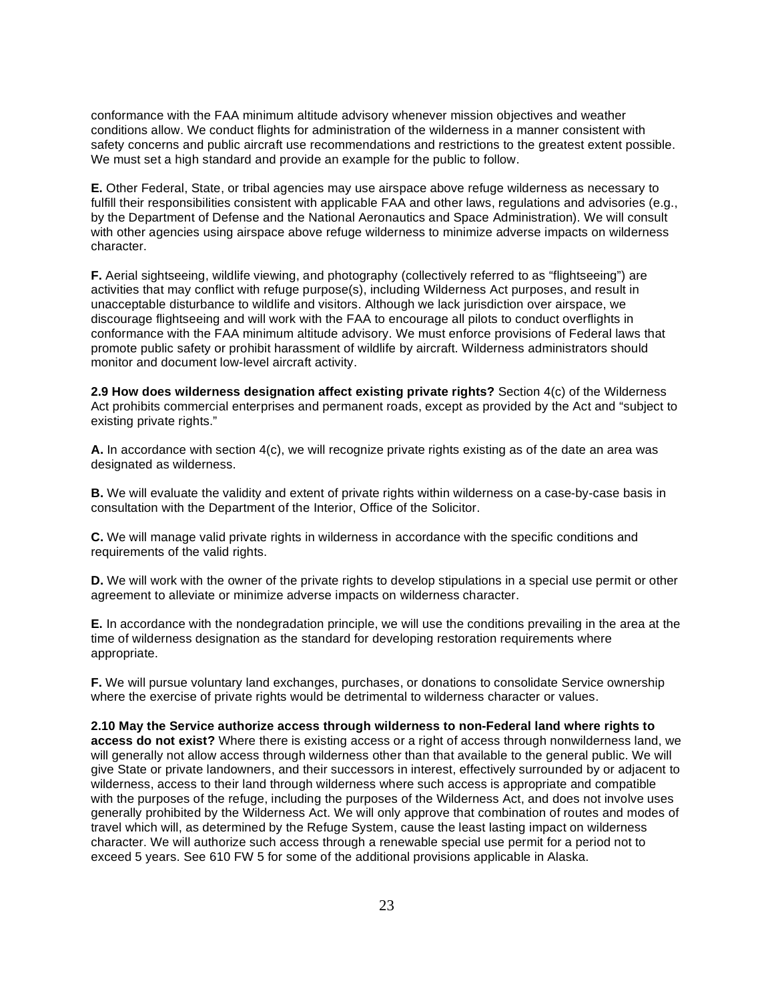conformance with the FAA minimum altitude advisory whenever mission objectives and weather conditions allow. We conduct flights for administration of the wilderness in a manner consistent with safety concerns and public aircraft use recommendations and restrictions to the greatest extent possible. We must set a high standard and provide an example for the public to follow.

 **E.** Other Federal, State, or tribal agencies may use airspace above refuge wilderness as necessary to fulfill their responsibilities consistent with applicable FAA and other laws, regulations and advisories (e.g., by the Department of Defense and the National Aeronautics and Space Administration). We will consult with other agencies using airspace above refuge wilderness to minimize adverse impacts on wilderness character.

 **F.** Aerial sightseeing, wildlife viewing, and photography (collectively referred to as "flightseeing") are activities that may conflict with refuge purpose(s), including Wilderness Act purposes, and result in unacceptable disturbance to wildlife and visitors. Although we lack jurisdiction over airspace, we discourage flightseeing and will work with the FAA to encourage all pilots to conduct overflights in conformance with the FAA minimum altitude advisory. We must enforce provisions of Federal laws that promote public safety or prohibit harassment of wildlife by aircraft. Wilderness administrators should monitor and document low-level aircraft activity.

 **2.9 How does wilderness designation affect existing private rights?** Section 4(c) of the Wilderness Act prohibits commercial enterprises and permanent roads, except as provided by the Act and "subject to existing private rights."

 **A.** In accordance with section 4(c), we will recognize private rights existing as of the date an area was designated as wilderness.

 **B.** We will evaluate the validity and extent of private rights within wilderness on a case-by-case basis in consultation with the Department of the Interior, Office of the Solicitor.

 **C.** We will manage valid private rights in wilderness in accordance with the specific conditions and requirements of the valid rights.

 **D.** We will work with the owner of the private rights to develop stipulations in a special use permit or other agreement to alleviate or minimize adverse impacts on wilderness character.

 **E.** In accordance with the nondegradation principle, we will use the conditions prevailing in the area at the time of wilderness designation as the standard for developing restoration requirements where appropriate.

 **F.** We will pursue voluntary land exchanges, purchases, or donations to consolidate Service ownership where the exercise of private rights would be detrimental to wilderness character or values.

 **2.10 May the Service authorize access through wilderness to non-Federal land where rights to access do not exist?** Where there is existing access or a right of access through nonwilderness land, we will generally not allow access through wilderness other than that available to the general public. We will give State or private landowners, and their successors in interest, effectively surrounded by or adjacent to wilderness, access to their land through wilderness where such access is appropriate and compatible with the purposes of the refuge, including the purposes of the Wilderness Act, and does not involve uses generally prohibited by the Wilderness Act. We will only approve that combination of routes and modes of travel which will, as determined by the Refuge System, cause the least lasting impact on wilderness character. We will authorize such access through a renewable special use permit for a period not to exceed 5 years. See 610 FW 5 for some of the additional provisions applicable in Alaska.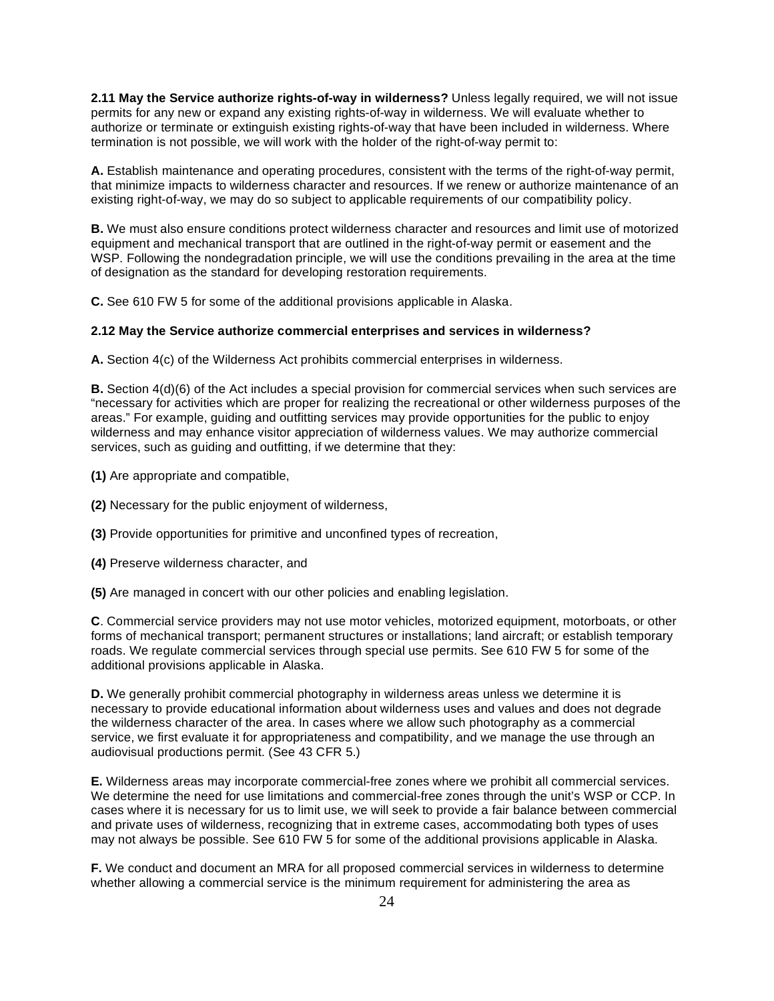**2.11 May the Service authorize rights-of-way in wilderness?** Unless legally required, we will not issue permits for any new or expand any existing rights-of-way in wilderness. We will evaluate whether to authorize or terminate or extinguish existing rights-of-way that have been included in wilderness. Where termination is not possible, we will work with the holder of the right-of-way permit to:

 **A.** Establish maintenance and operating procedures, consistent with the terms of the right-of-way permit, that minimize impacts to wilderness character and resources. If we renew or authorize maintenance of an existing right-of-way, we may do so subject to applicable requirements of our compatibility policy.

 **B.** We must also ensure conditions protect wilderness character and resources and limit use of motorized equipment and mechanical transport that are outlined in the right-of-way permit or easement and the WSP. Following the nondegradation principle, we will use the conditions prevailing in the area at the time of designation as the standard for developing restoration requirements.

**C.** See 610 FW 5 for some of the additional provisions applicable in Alaska.

#### **2.12 May the Service authorize commercial enterprises and services in wilderness?**

**A.** Section 4(c) of the Wilderness Act prohibits commercial enterprises in wilderness.

**B.** Section 4(d)(6) of the Act includes a special provision for commercial services when such services are "necessary for activities which are proper for realizing the recreational or other wilderness purposes of the areas." For example, guiding and outfitting services may provide opportunities for the public to enjoy wilderness and may enhance visitor appreciation of wilderness values. We may authorize commercial services, such as guiding and outfitting, if we determine that they:

- **(1)** Are appropriate and compatible,
- **(2)** Necessary for the public enjoyment of wilderness,
- **(3)** Provide opportunities for primitive and unconfined types of recreation,
- **(4)** Preserve wilderness character, and
- **(5)** Are managed in concert with our other policies and enabling legislation.

 **C**. Commercial service providers may not use motor vehicles, motorized equipment, motorboats, or other forms of mechanical transport; permanent structures or installations; land aircraft; or establish temporary roads. We regulate commercial services through special use permits. See 610 FW 5 for some of the additional provisions applicable in Alaska.

 **D.** We generally prohibit commercial photography in wilderness areas unless we determine it is necessary to provide educational information about wilderness uses and values and does not degrade the wilderness character of the area. In cases where we allow such photography as a commercial service, we first evaluate it for appropriateness and compatibility, and we manage the use through an audiovisual productions permit. (See 43 CFR 5.)

 **E.** Wilderness areas may incorporate commercial-free zones where we prohibit all commercial services. We determine the need for use limitations and commercial-free zones through the unit's WSP or CCP. In cases where it is necessary for us to limit use, we will seek to provide a fair balance between commercial and private uses of wilderness, recognizing that in extreme cases, accommodating both types of uses may not always be possible. See 610 FW 5 for some of the additional provisions applicable in Alaska.

 **F.** We conduct and document an MRA for all proposed commercial services in wilderness to determine whether allowing a commercial service is the minimum requirement for administering the area as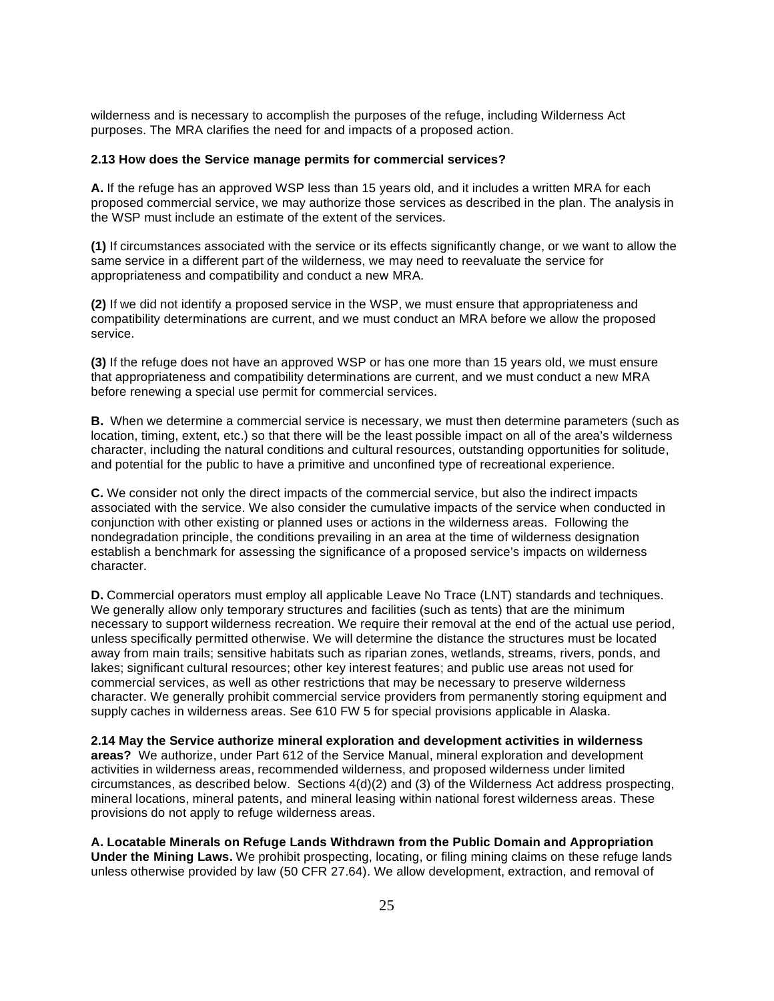wilderness and is necessary to accomplish the purposes of the refuge, including Wilderness Act purposes. The MRA clarifies the need for and impacts of a proposed action.

#### **2.13 How does the Service manage permits for commercial services?**

 **A.** If the refuge has an approved WSP less than 15 years old, and it includes a written MRA for each proposed commercial service, we may authorize those services as described in the plan. The analysis in the WSP must include an estimate of the extent of the services.

 **(1)** If circumstances associated with the service or its effects significantly change, or we want to allow the same service in a different part of the wilderness, we may need to reevaluate the service for appropriateness and compatibility and conduct a new MRA.

 **(2)** If we did not identify a proposed service in the WSP, we must ensure that appropriateness and compatibility determinations are current, and we must conduct an MRA before we allow the proposed service.

 **(3)** If the refuge does not have an approved WSP or has one more than 15 years old, we must ensure that appropriateness and compatibility determinations are current, and we must conduct a new MRA before renewing a special use permit for commercial services.

 **B.** When we determine a commercial service is necessary, we must then determine parameters (such as location, timing, extent, etc.) so that there will be the least possible impact on all of the area's wilderness character, including the natural conditions and cultural resources, outstanding opportunities for solitude, and potential for the public to have a primitive and unconfined type of recreational experience.

 **C.** We consider not only the direct impacts of the commercial service, but also the indirect impacts associated with the service. We also consider the cumulative impacts of the service when conducted in conjunction with other existing or planned uses or actions in the wilderness areas. Following the nondegradation principle, the conditions prevailing in an area at the time of wilderness designation establish a benchmark for assessing the significance of a proposed service's impacts on wilderness character.

 **D.** Commercial operators must employ all applicable Leave No Trace (LNT) standards and techniques. We generally allow only temporary structures and facilities (such as tents) that are the minimum necessary to support wilderness recreation. We require their removal at the end of the actual use period, unless specifically permitted otherwise. We will determine the distance the structures must be located away from main trails; sensitive habitats such as riparian zones, wetlands, streams, rivers, ponds, and lakes; significant cultural resources; other key interest features; and public use areas not used for commercial services, as well as other restrictions that may be necessary to preserve wilderness character. We generally prohibit commercial service providers from permanently storing equipment and supply caches in wilderness areas. See 610 FW 5 for special provisions applicable in Alaska.

 **2.14 May the Service authorize mineral exploration and development activities in wilderness areas?** We authorize, under Part 612 of the Service Manual, mineral exploration and development activities in wilderness areas, recommended wilderness, and proposed wilderness under limited circumstances, as described below. Sections 4(d)(2) and (3) of the Wilderness Act address prospecting, mineral locations, mineral patents, and mineral leasing within national forest wilderness areas. These provisions do not apply to refuge wilderness areas.

 **A. Locatable Minerals on Refuge Lands Withdrawn from the Public Domain and Appropriation**  Under the Mining Laws. We prohibit prospecting, locating, or filing mining claims on these refuge lands unless otherwise provided by law (50 CFR 27.64). We allow development, extraction, and removal of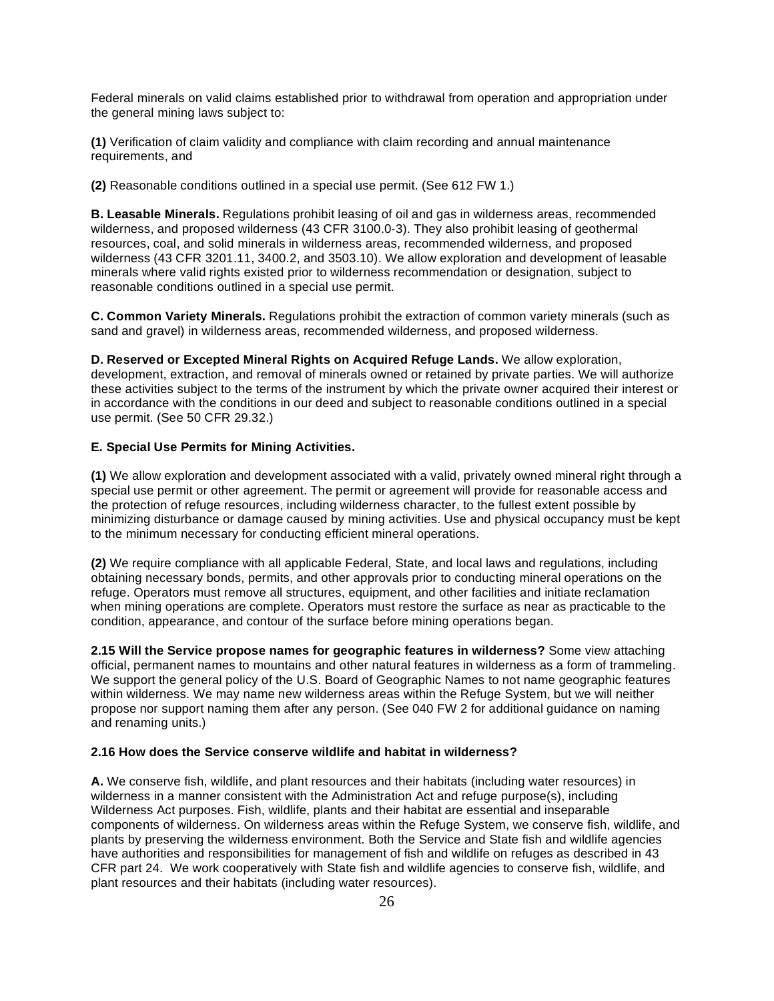Federal minerals on valid claims established prior to withdrawal from operation and appropriation under the general mining laws subject to:

 **(1)** Verification of claim validity and compliance with claim recording and annual maintenance requirements, and

**(2)** Reasonable conditions outlined in a special use permit. (See 612 FW 1.)

 **B. Leasable Minerals.** Regulations prohibit leasing of oil and gas in wilderness areas, recommended wilderness, and proposed wilderness (43 CFR 3100.0-3). They also prohibit leasing of geothermal resources, coal, and solid minerals in wilderness areas, recommended wilderness, and proposed wilderness (43 CFR 3201.11, 3400.2, and 3503.10). We allow exploration and development of leasable minerals where valid rights existed prior to wilderness recommendation or designation, subject to reasonable conditions outlined in a special use permit.

 **C. Common Variety Minerals.** Regulations prohibit the extraction of common variety minerals (such as sand and gravel) in wilderness areas, recommended wilderness, and proposed wilderness.

 **D. Reserved or Excepted Mineral Rights on Acquired Refuge Lands.** We allow exploration, development, extraction, and removal of minerals owned or retained by private parties. We will authorize these activities subject to the terms of the instrument by which the private owner acquired their interest or in accordance with the conditions in our deed and subject to reasonable conditions outlined in a special use permit. (See 50 CFR 29.32.)

#### **E. Special Use Permits for Mining Activities.**

 **(1)** We allow exploration and development associated with a valid, privately owned mineral right through a special use permit or other agreement. The permit or agreement will provide for reasonable access and the protection of refuge resources, including wilderness character, to the fullest extent possible by minimizing disturbance or damage caused by mining activities. Use and physical occupancy must be kept to the minimum necessary for conducting efficient mineral operations.

 **(2)** We require compliance with all applicable Federal, State, and local laws and regulations, including obtaining necessary bonds, permits, and other approvals prior to conducting mineral operations on the refuge. Operators must remove all structures, equipment, and other facilities and initiate reclamation when mining operations are complete. Operators must restore the surface as near as practicable to the condition, appearance, and contour of the surface before mining operations began.

 **2.15 Will the Service propose names for geographic features in wilderness?** Some view attaching official, permanent names to mountains and other natural features in wilderness as a form of trammeling. We support the general policy of the U.S. Board of Geographic Names to not name geographic features within wilderness. We may name new wilderness areas within the Refuge System, but we will neither propose nor support naming them after any person. (See 040 FW 2 for additional guidance on naming and renaming units.)

#### **2.16 How does the Service conserve wildlife and habitat in wilderness?**

 **A.** We conserve fish, wildlife, and plant resources and their habitats (including water resources) in wilderness in a manner consistent with the Administration Act and refuge purpose(s), including Wilderness Act purposes. Fish, wildlife, plants and their habitat are essential and inseparable components of wilderness. On wilderness areas within the Refuge System, we conserve fish, wildlife, and plants by preserving the wilderness environment. Both the Service and State fish and wildlife agencies have authorities and responsibilities for management of fish and wildlife on refuges as described in 43 CFR part 24. We work cooperatively with State fish and wildlife agencies to conserve fish, wildlife, and plant resources and their habitats (including water resources).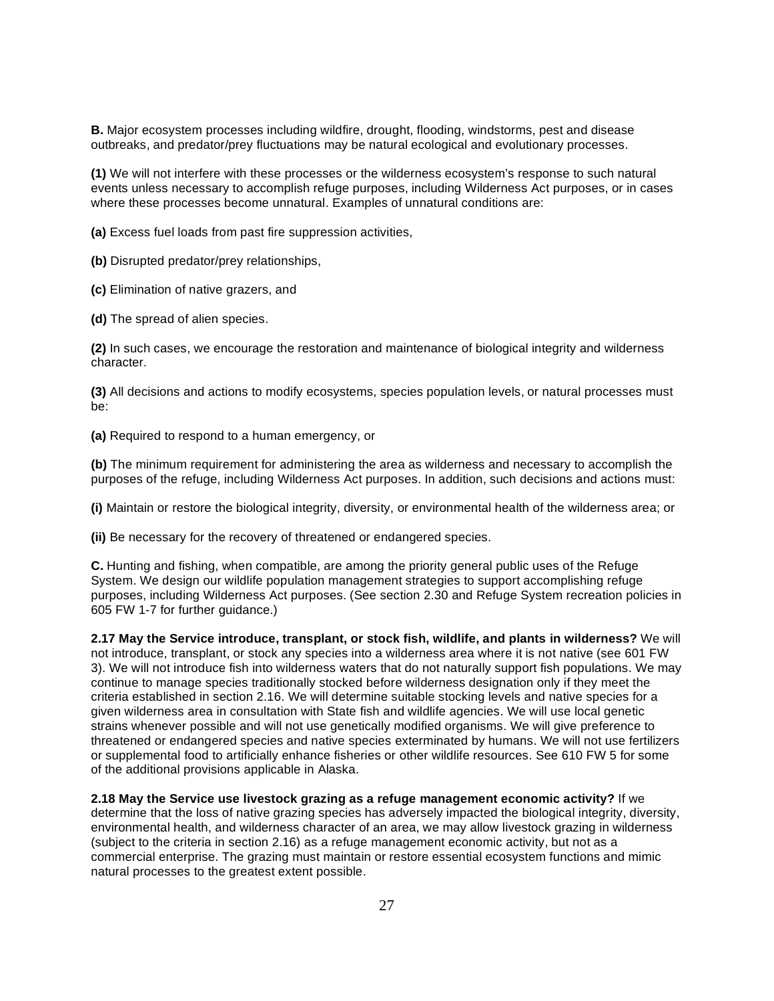**B.** Major ecosystem processes including wildfire, drought, flooding, windstorms, pest and disease outbreaks, and predator/prey fluctuations may be natural ecological and evolutionary processes.

 **(1)** We will not interfere with these processes or the wilderness ecosystem's response to such natural events unless necessary to accomplish refuge purposes, including Wilderness Act purposes, or in cases where these processes become unnatural. Examples of unnatural conditions are:

**(a)** Excess fuel loads from past fire suppression activities,

**(b)** Disrupted predator/prey relationships,

**(c)** Elimination of native grazers, and

**(d)** The spread of alien species.

 **(2)** In such cases, we encourage the restoration and maintenance of biological integrity and wilderness character.

 **(3)** All decisions and actions to modify ecosystems, species population levels, or natural processes must be:

**(a)** Required to respond to a human emergency, or

 **(b)** The minimum requirement for administering the area as wilderness and necessary to accomplish the purposes of the refuge, including Wilderness Act purposes. In addition, such decisions and actions must:

**(i)** Maintain or restore the biological integrity, diversity, or environmental health of the wilderness area; or

**(ii)** Be necessary for the recovery of threatened or endangered species.

 **C.** Hunting and fishing, when compatible, are among the priority general public uses of the Refuge System. We design our wildlife population management strategies to support accomplishing refuge purposes, including Wilderness Act purposes. (See section 2.30 and Refuge System recreation policies in 605 FW 1-7 for further guidance.)

 **2.17 May the Service introduce, transplant, or stock fish, wildlife, and plants in wilderness?** We will not introduce, transplant, or stock any species into a wilderness area where it is not native (see 601 FW 3). We will not introduce fish into wilderness waters that do not naturally support fish populations. We may continue to manage species traditionally stocked before wilderness designation only if they meet the criteria established in section 2.16. We will determine suitable stocking levels and native species for a given wilderness area in consultation with State fish and wildlife agencies. We will use local genetic strains whenever possible and will not use genetically modified organisms. We will give preference to threatened or endangered species and native species exterminated by humans. We will not use fertilizers or supplemental food to artificially enhance fisheries or other wildlife resources. See 610 FW 5 for some of the additional provisions applicable in Alaska.

 **2.18 May the Service use livestock grazing as a refuge management economic activity?** If we determine that the loss of native grazing species has adversely impacted the biological integrity, diversity, environmental health, and wilderness character of an area, we may allow livestock grazing in wilderness (subject to the criteria in section 2.16) as a refuge management economic activity, but not as a commercial enterprise. The grazing must maintain or restore essential ecosystem functions and mimic natural processes to the greatest extent possible.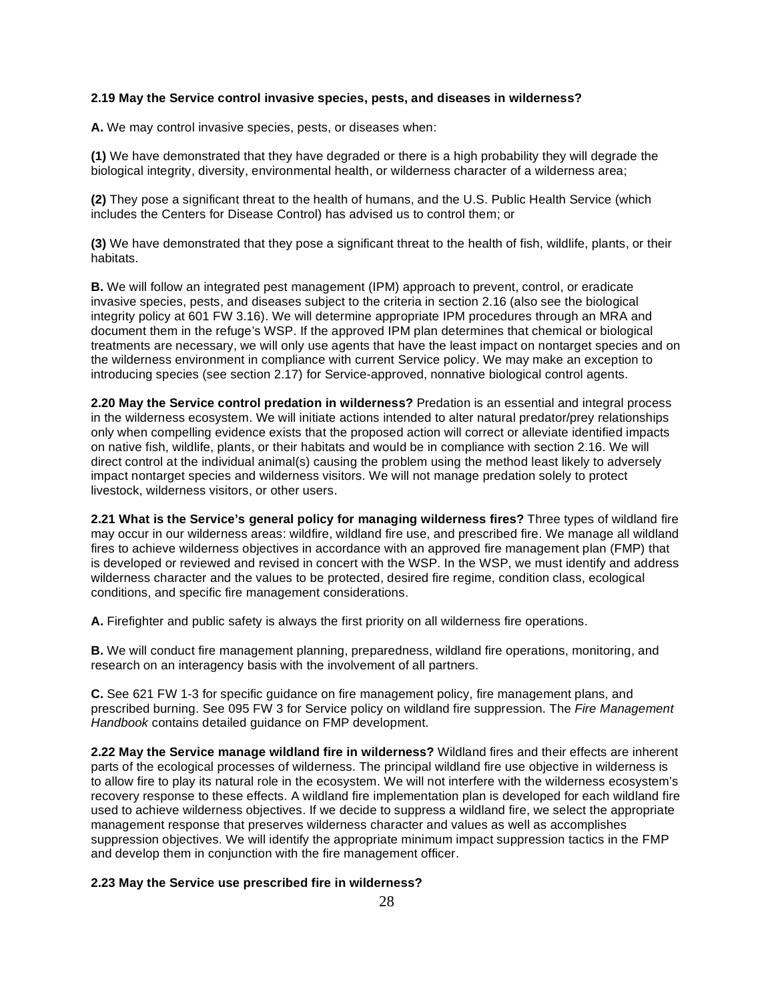### **2.19 May the Service control invasive species, pests, and diseases in wilderness?**

**A.** We may control invasive species, pests, or diseases when:

 **(1)** We have demonstrated that they have degraded or there is a high probability they will degrade the biological integrity, diversity, environmental health, or wilderness character of a wilderness area;

 **(2)** They pose a significant threat to the health of humans, and the U.S. Public Health Service (which includes the Centers for Disease Control) has advised us to control them; or

 **(3)** We have demonstrated that they pose a significant threat to the health of fish, wildlife, plants, or their habitats.

 **B.** We will follow an integrated pest management (IPM) approach to prevent, control, or eradicate invasive species, pests, and diseases subject to the criteria in section 2.16 (also see the biological integrity policy at 601 FW 3.16). We will determine appropriate IPM procedures through an MRA and document them in the refuge's WSP. If the approved IPM plan determines that chemical or biological treatments are necessary, we will only use agents that have the least impact on nontarget species and on the wilderness environment in compliance with current Service policy. We may make an exception to introducing species (see section 2.17) for Service-approved, nonnative biological control agents.

 **2.20 May the Service control predation in wilderness?** Predation is an essential and integral process in the wilderness ecosystem. We will initiate actions intended to alter natural predator/prey relationships only when compelling evidence exists that the proposed action will correct or alleviate identified impacts on native fish, wildlife, plants, or their habitats and would be in compliance with section 2.16. We will direct control at the individual animal(s) causing the problem using the method least likely to adversely impact nontarget species and wilderness visitors. We will not manage predation solely to protect livestock, wilderness visitors, or other users.

 **2.21 What is the Service's general policy for managing wilderness fires?** Three types of wildland fire may occur in our wilderness areas: wildfire, wildland fire use, and prescribed fire. We manage all wildland fires to achieve wilderness objectives in accordance with an approved fire management plan (FMP) that is developed or reviewed and revised in concert with the WSP. In the WSP, we must identify and address wilderness character and the values to be protected, desired fire regime, condition class, ecological conditions, and specific fire management considerations.

**A.** Firefighter and public safety is always the first priority on all wilderness fire operations.

 **B.** We will conduct fire management planning, preparedness, wildland fire operations, monitoring, and research on an interagency basis with the involvement of all partners.

 **C.** See 621 FW 1-3 for specific guidance on fire management policy, fire management plans, and prescribed burning. See 095 FW 3 for Service policy on wildland fire suppression. The *Fire Management Handbook* contains detailed guidance on FMP development.

 **2.22 May the Service manage wildland fire in wilderness?** Wildland fires and their effects are inherent parts of the ecological processes of wilderness. The principal wildland fire use objective in wilderness is to allow fire to play its natural role in the ecosystem. We will not interfere with the wilderness ecosystem's recovery response to these effects. A wildland fire implementation plan is developed for each wildland fire used to achieve wilderness objectives. If we decide to suppress a wildland fire, we select the appropriate management response that preserves wilderness character and values as well as accomplishes suppression objectives. We will identify the appropriate minimum impact suppression tactics in the FMP and develop them in conjunction with the fire management officer.

#### **2.23 May the Service use prescribed fire in wilderness?**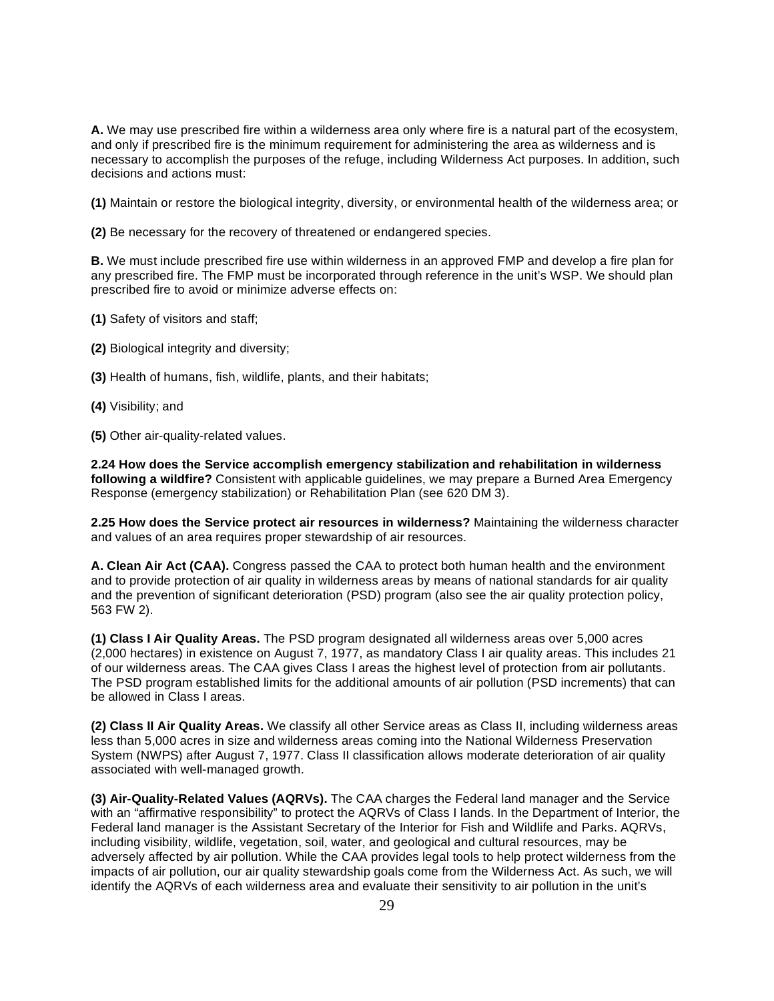**A.** We may use prescribed fire within a wilderness area only where fire is a natural part of the ecosystem, and only if prescribed fire is the minimum requirement for administering the area as wilderness and is necessary to accomplish the purposes of the refuge, including Wilderness Act purposes. In addition, such decisions and actions must:

**(1)** Maintain or restore the biological integrity, diversity, or environmental health of the wilderness area; or

**(2)** Be necessary for the recovery of threatened or endangered species.

 **B.** We must include prescribed fire use within wilderness in an approved FMP and develop a fire plan for any prescribed fire. The FMP must be incorporated through reference in the unit's WSP. We should plan prescribed fire to avoid or minimize adverse effects on:

- **(1)** Safety of visitors and staff;
- **(2)** Biological integrity and diversity;
- **(3)** Health of humans, fish, wildlife, plants, and their habitats;
- **(4)** Visibility; and
- **(5)** Other air-quality-related values.

 **2.24 How does the Service accomplish emergency stabilization and rehabilitation in wilderness following a wildfire?** Consistent with applicable guidelines, we may prepare a Burned Area Emergency Response (emergency stabilization) or Rehabilitation Plan (see 620 DM 3).

 **2.25 How does the Service protect air resources in wilderness?** Maintaining the wilderness character and values of an area requires proper stewardship of air resources.

 **A. Clean Air Act (CAA).** Congress passed the CAA to protect both human health and the environment and to provide protection of air quality in wilderness areas by means of national standards for air quality and the prevention of significant deterioration (PSD) program (also see the air quality protection policy, 563 FW 2).

 **(1) Class I Air Quality Areas.** The PSD program designated all wilderness areas over 5,000 acres (2,000 hectares) in existence on August 7, 1977, as mandatory Class I air quality areas. This includes 21 of our wilderness areas. The CAA gives Class I areas the highest level of protection from air pollutants. The PSD program established limits for the additional amounts of air pollution (PSD increments) that can be allowed in Class I areas.

 **(2) Class II Air Quality Areas.** We classify all other Service areas as Class II, including wilderness areas less than 5,000 acres in size and wilderness areas coming into the National Wilderness Preservation System (NWPS) after August 7, 1977. Class II classification allows moderate deterioration of air quality associated with well-managed growth.

 **(3) Air-Quality-Related Values (AQRVs).** The CAA charges the Federal land manager and the Service with an "affirmative responsibility" to protect the AQRVs of Class I lands. In the Department of Interior, the Federal land manager is the Assistant Secretary of the Interior for Fish and Wildlife and Parks. AQRVs, including visibility, wildlife, vegetation, soil, water, and geological and cultural resources, may be adversely affected by air pollution. While the CAA provides legal tools to help protect wilderness from the impacts of air pollution, our air quality stewardship goals come from the Wilderness Act. As such, we will identify the AQRVs of each wilderness area and evaluate their sensitivity to air pollution in the unit's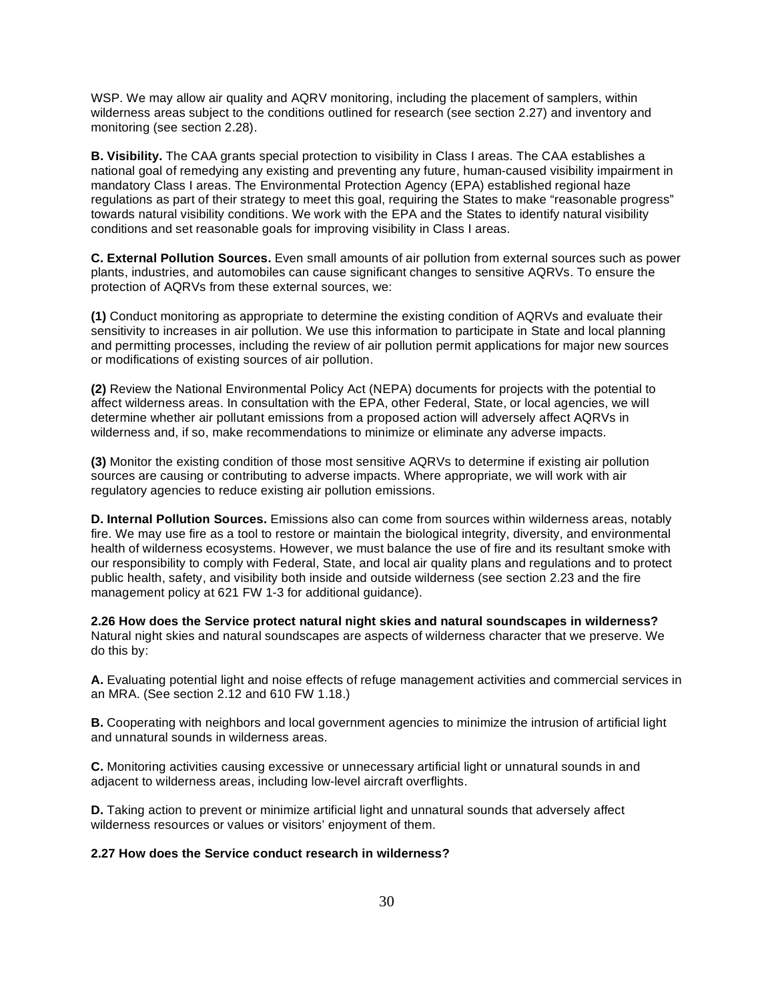WSP. We may allow air quality and AQRV monitoring, including the placement of samplers, within wilderness areas subject to the conditions outlined for research (see section 2.27) and inventory and monitoring (see section 2.28).

 **B. Visibility.** The CAA grants special protection to visibility in Class I areas. The CAA establishes a national goal of remedying any existing and preventing any future, human-caused visibility impairment in mandatory Class I areas. The Environmental Protection Agency (EPA) established regional haze regulations as part of their strategy to meet this goal, requiring the States to make "reasonable progress" towards natural visibility conditions. We work with the EPA and the States to identify natural visibility conditions and set reasonable goals for improving visibility in Class I areas.

 **C. External Pollution Sources.** Even small amounts of air pollution from external sources such as power plants, industries, and automobiles can cause significant changes to sensitive AQRVs. To ensure the protection of AQRVs from these external sources, we:

 **(1)** Conduct monitoring as appropriate to determine the existing condition of AQRVs and evaluate their sensitivity to increases in air pollution. We use this information to participate in State and local planning and permitting processes, including the review of air pollution permit applications for major new sources or modifications of existing sources of air pollution.

 **(2)** Review the National Environmental Policy Act (NEPA) documents for projects with the potential to affect wilderness areas. In consultation with the EPA, other Federal, State, or local agencies, we will determine whether air pollutant emissions from a proposed action will adversely affect AQRVs in wilderness and, if so, make recommendations to minimize or eliminate any adverse impacts.

 **(3)** Monitor the existing condition of those most sensitive AQRVs to determine if existing air pollution sources are causing or contributing to adverse impacts. Where appropriate, we will work with air regulatory agencies to reduce existing air pollution emissions.

 **D. Internal Pollution Sources.** Emissions also can come from sources within wilderness areas, notably fire. We may use fire as a tool to restore or maintain the biological integrity, diversity, and environmental health of wilderness ecosystems. However, we must balance the use of fire and its resultant smoke with our responsibility to comply with Federal, State, and local air quality plans and regulations and to protect public health, safety, and visibility both inside and outside wilderness (see section 2.23 and the fire management policy at 621 FW 1-3 for additional guidance).

 **2.26 How does the Service protect natural night skies and natural soundscapes in wilderness?**  Natural night skies and natural soundscapes are aspects of wilderness character that we preserve. We do this by:

 **A.** Evaluating potential light and noise effects of refuge management activities and commercial services in an MRA. (See section 2.12 and 610 FW 1.18.)

 **B.** Cooperating with neighbors and local government agencies to minimize the intrusion of artificial light and unnatural sounds in wilderness areas.

 **C.** Monitoring activities causing excessive or unnecessary artificial light or unnatural sounds in and adjacent to wilderness areas, including low-level aircraft overflights.

 **D.** Taking action to prevent or minimize artificial light and unnatural sounds that adversely affect wilderness resources or values or visitors' enjoyment of them.

### **2.27 How does the Service conduct research in wilderness?**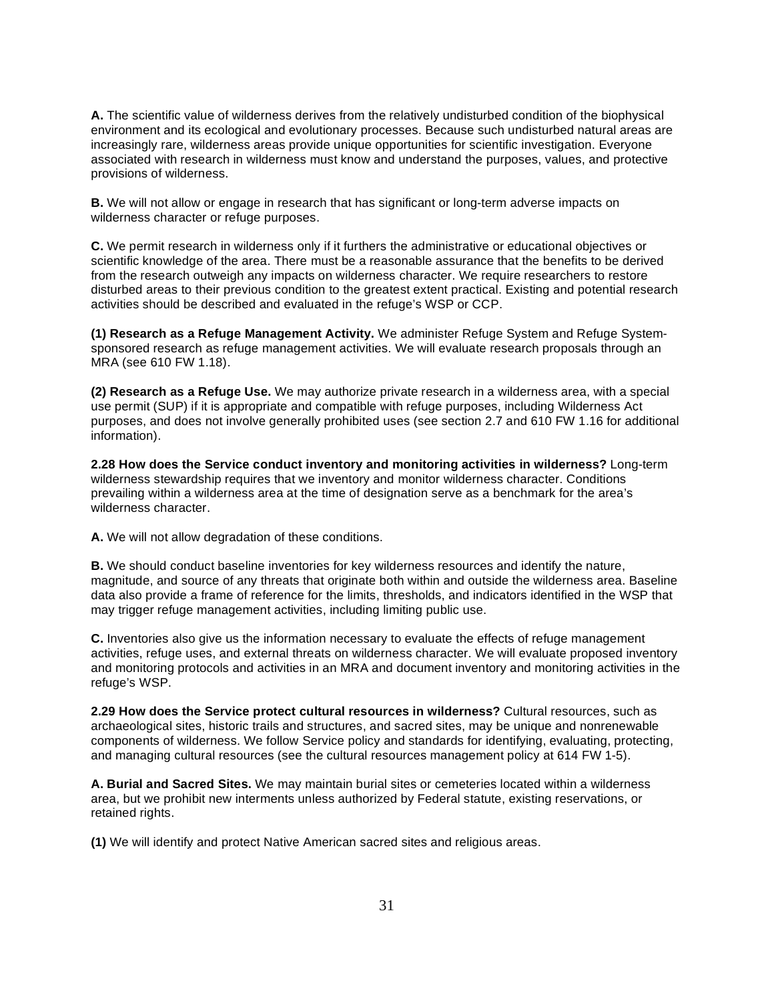**A.** The scientific value of wilderness derives from the relatively undisturbed condition of the biophysical environment and its ecological and evolutionary processes. Because such undisturbed natural areas are increasingly rare, wilderness areas provide unique opportunities for scientific investigation. Everyone associated with research in wilderness must know and understand the purposes, values, and protective provisions of wilderness.

 **B.** We will not allow or engage in research that has significant or long-term adverse impacts on wilderness character or refuge purposes.

 **C.** We permit research in wilderness only if it furthers the administrative or educational objectives or scientific knowledge of the area. There must be a reasonable assurance that the benefits to be derived from the research outweigh any impacts on wilderness character. We require researchers to restore disturbed areas to their previous condition to the greatest extent practical. Existing and potential research activities should be described and evaluated in the refuge's WSP or CCP.

 **(1) Research as a Refuge Management Activity.** We administer Refuge System and Refuge System- sponsored research as refuge management activities. We will evaluate research proposals through an MRA (see 610 FW 1.18).

 **(2) Research as a Refuge Use.** We may authorize private research in a wilderness area, with a special use permit (SUP) if it is appropriate and compatible with refuge purposes, including Wilderness Act purposes, and does not involve generally prohibited uses (see section 2.7 and 610 FW 1.16 for additional information).

 **2.28 How does the Service conduct inventory and monitoring activities in wilderness?** Long-term wilderness stewardship requires that we inventory and monitor wilderness character. Conditions prevailing within a wilderness area at the time of designation serve as a benchmark for the area's wilderness character.

**A.** We will not allow degradation of these conditions.

 **B.** We should conduct baseline inventories for key wilderness resources and identify the nature, magnitude, and source of any threats that originate both within and outside the wilderness area. Baseline data also provide a frame of reference for the limits, thresholds, and indicators identified in the WSP that may trigger refuge management activities, including limiting public use.

 **C.** Inventories also give us the information necessary to evaluate the effects of refuge management activities, refuge uses, and external threats on wilderness character. We will evaluate proposed inventory and monitoring protocols and activities in an MRA and document inventory and monitoring activities in the refuge's WSP.

 **2.29 How does the Service protect cultural resources in wilderness?** Cultural resources, such as archaeological sites, historic trails and structures, and sacred sites, may be unique and nonrenewable components of wilderness. We follow Service policy and standards for identifying, evaluating, protecting, and managing cultural resources (see the cultural resources management policy at 614 FW 1-5).

 **A. Burial and Sacred Sites.** We may maintain burial sites or cemeteries located within a wilderness area, but we prohibit new interments unless authorized by Federal statute, existing reservations, or retained rights.

**(1)** We will identify and protect Native American sacred sites and religious areas.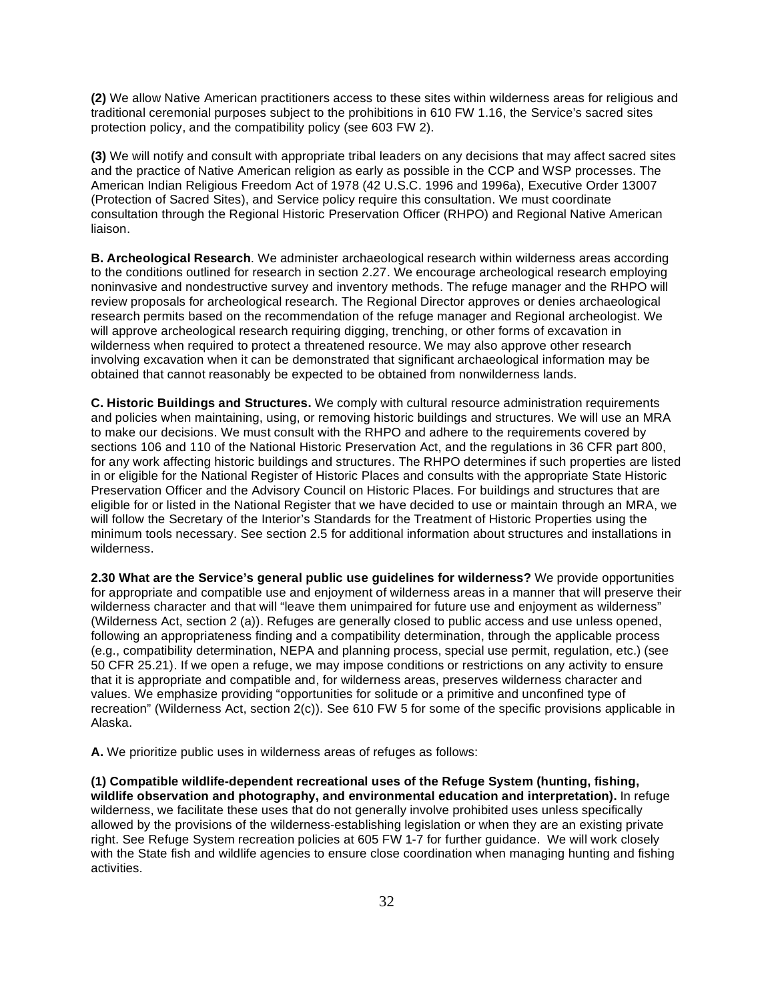**(2)** We allow Native American practitioners access to these sites within wilderness areas for religious and traditional ceremonial purposes subject to the prohibitions in 610 FW 1.16, the Service's sacred sites protection policy, and the compatibility policy (see 603 FW 2).

 **(3)** We will notify and consult with appropriate tribal leaders on any decisions that may affect sacred sites and the practice of Native American religion as early as possible in the CCP and WSP processes. The American Indian Religious Freedom Act of 1978 (42 U.S.C. 1996 and 1996a), Executive Order 13007 (Protection of Sacred Sites), and Service policy require this consultation. We must coordinate consultation through the Regional Historic Preservation Officer (RHPO) and Regional Native American liaison.

 **B. Archeological Research**. We administer archaeological research within wilderness areas according to the conditions outlined for research in section 2.27. We encourage archeological research employing noninvasive and nondestructive survey and inventory methods. The refuge manager and the RHPO will review proposals for archeological research. The Regional Director approves or denies archaeological research permits based on the recommendation of the refuge manager and Regional archeologist. We will approve archeological research requiring digging, trenching, or other forms of excavation in wilderness when required to protect a threatened resource. We may also approve other research involving excavation when it can be demonstrated that significant archaeological information may be obtained that cannot reasonably be expected to be obtained from nonwilderness lands.

 **C. Historic Buildings and Structures.** We comply with cultural resource administration requirements and policies when maintaining, using, or removing historic buildings and structures. We will use an MRA to make our decisions. We must consult with the RHPO and adhere to the requirements covered by sections 106 and 110 of the National Historic Preservation Act, and the regulations in 36 CFR part 800, for any work affecting historic buildings and structures. The RHPO determines if such properties are listed in or eligible for the National Register of Historic Places and consults with the appropriate State Historic Preservation Officer and the Advisory Council on Historic Places. For buildings and structures that are eligible for or listed in the National Register that we have decided to use or maintain through an MRA, we will follow the Secretary of the Interior's Standards for the Treatment of Historic Properties using the minimum tools necessary. See section 2.5 for additional information about structures and installations in wilderness.

 **2.30 What are the Service's general public use guidelines for wilderness?** We provide opportunities for appropriate and compatible use and enjoyment of wilderness areas in a manner that will preserve their wilderness character and that will "leave them unimpaired for future use and enjoyment as wilderness" (Wilderness Act, section 2 (a)). Refuges are generally closed to public access and use unless opened, following an appropriateness finding and a compatibility determination, through the applicable process (e.g., compatibility determination, NEPA and planning process, special use permit, regulation, etc.) (see 50 CFR 25.21). If we open a refuge, we may impose conditions or restrictions on any activity to ensure that it is appropriate and compatible and, for wilderness areas, preserves wilderness character and values. We emphasize providing "opportunities for solitude or a primitive and unconfined type of recreation" (Wilderness Act, section 2(c)). See 610 FW 5 for some of the specific provisions applicable in Alaska.

**A.** We prioritize public uses in wilderness areas of refuges as follows:

 **(1) Compatible wildlife-dependent recreational uses of the Refuge System (hunting, fishing, wildlife observation and photography, and environmental education and interpretation).** In refuge wilderness, we facilitate these uses that do not generally involve prohibited uses unless specifically allowed by the provisions of the wilderness-establishing legislation or when they are an existing private right. See Refuge System recreation policies at 605 FW 1-7 for further guidance. We will work closely with the State fish and wildlife agencies to ensure close coordination when managing hunting and fishing activities.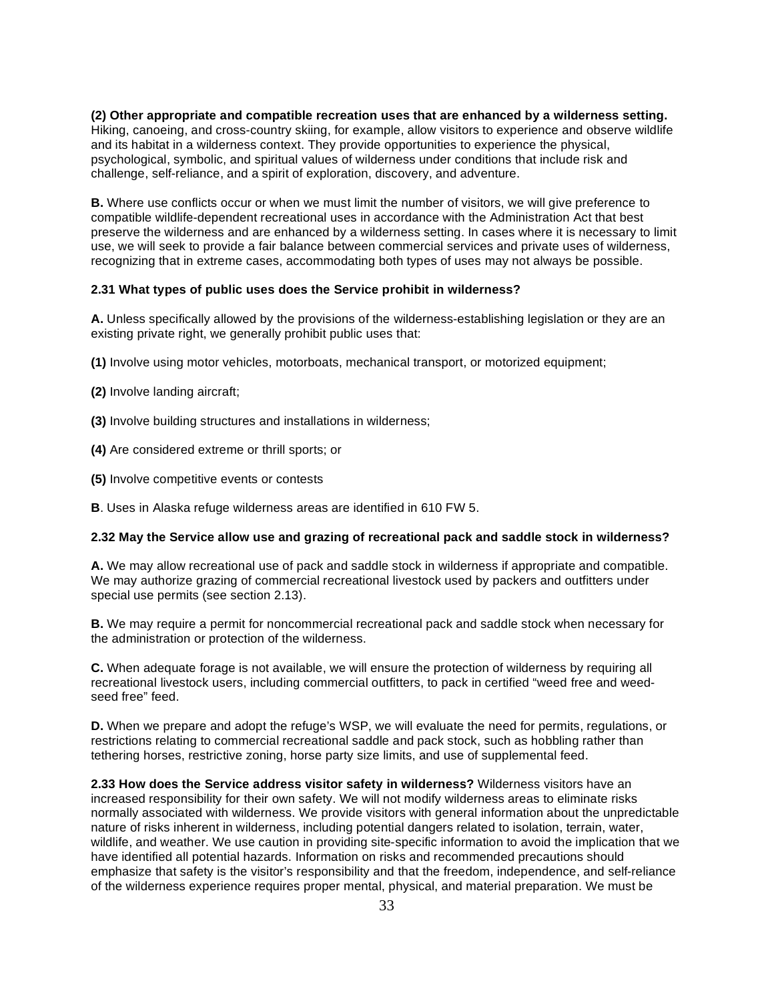**(2) Other appropriate and compatible recreation uses that are enhanced by a wilderness setting.**  Hiking, canoeing, and cross-country skiing, for example, allow visitors to experience and observe wildlife and its habitat in a wilderness context. They provide opportunities to experience the physical, psychological, symbolic, and spiritual values of wilderness under conditions that include risk and challenge, self-reliance, and a spirit of exploration, discovery, and adventure.

 **B.** Where use conflicts occur or when we must limit the number of visitors, we will give preference to compatible wildlife-dependent recreational uses in accordance with the Administration Act that best preserve the wilderness and are enhanced by a wilderness setting. In cases where it is necessary to limit use, we will seek to provide a fair balance between commercial services and private uses of wilderness, recognizing that in extreme cases, accommodating both types of uses may not always be possible.

#### **2.31 What types of public uses does the Service prohibit in wilderness?**

 **A.** Unless specifically allowed by the provisions of the wilderness-establishing legislation or they are an existing private right, we generally prohibit public uses that:

- **(1)** Involve using motor vehicles, motorboats, mechanical transport, or motorized equipment;
- **(2)** Involve landing aircraft;
- **(3)** Involve building structures and installations in wilderness;
- **(4)** Are considered extreme or thrill sports; or
- **(5)** Involve competitive events or contests

**B**. Uses in Alaska refuge wilderness areas are identified in 610 FW 5.

#### **2.32 May the Service allow use and grazing of recreational pack and saddle stock in wilderness?**

 **A.** We may allow recreational use of pack and saddle stock in wilderness if appropriate and compatible. We may authorize grazing of commercial recreational livestock used by packers and outfitters under special use permits (see section 2.13).

 **B.** We may require a permit for noncommercial recreational pack and saddle stock when necessary for the administration or protection of the wilderness.

 **C.** When adequate forage is not available, we will ensure the protection of wilderness by requiring all recreational livestock users, including commercial outfitters, to pack in certified "weed free and weed-seed free" feed.

 **D.** When we prepare and adopt the refuge's WSP, we will evaluate the need for permits, regulations, or restrictions relating to commercial recreational saddle and pack stock, such as hobbling rather than tethering horses, restrictive zoning, horse party size limits, and use of supplemental feed.

 **2.33 How does the Service address visitor safety in wilderness?** Wilderness visitors have an increased responsibility for their own safety. We will not modify wilderness areas to eliminate risks normally associated with wilderness. We provide visitors with general information about the unpredictable nature of risks inherent in wilderness, including potential dangers related to isolation, terrain, water, wildlife, and weather. We use caution in providing site-specific information to avoid the implication that we have identified all potential hazards. Information on risks and recommended precautions should emphasize that safety is the visitor's responsibility and that the freedom, independence, and self-reliance of the wilderness experience requires proper mental, physical, and material preparation. We must be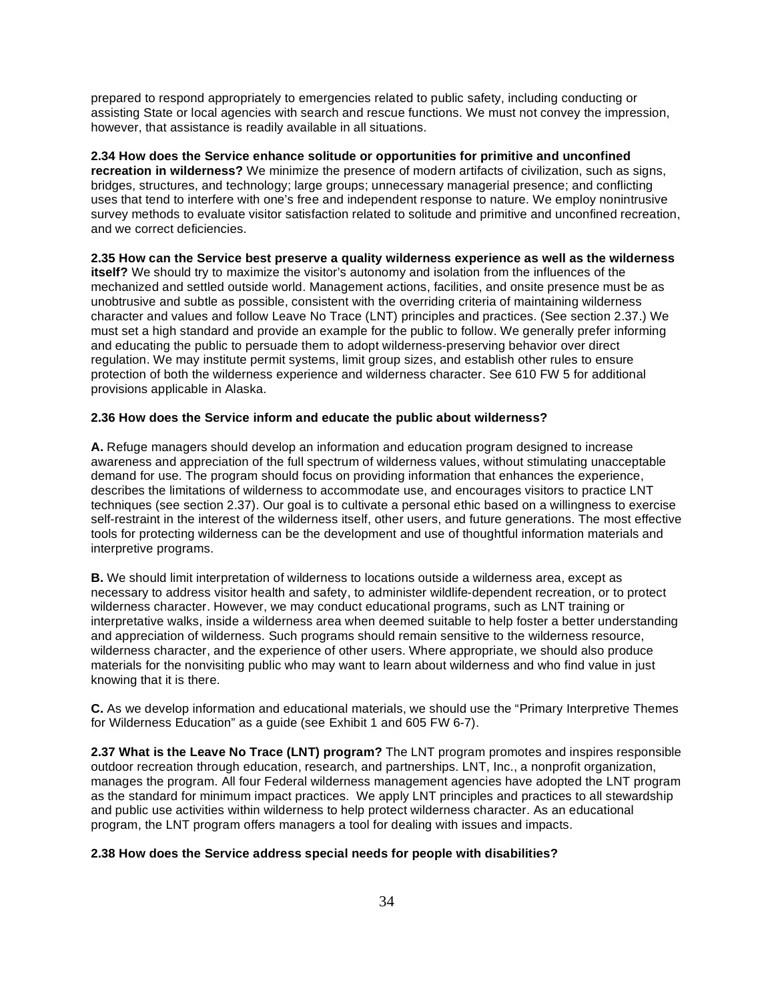prepared to respond appropriately to emergencies related to public safety, including conducting or assisting State or local agencies with search and rescue functions. We must not convey the impression, however, that assistance is readily available in all situations.

 **2.34 How does the Service enhance solitude or opportunities for primitive and unconfined recreation in wilderness?** We minimize the presence of modern artifacts of civilization, such as signs, bridges, structures, and technology; large groups; unnecessary managerial presence; and conflicting uses that tend to interfere with one's free and independent response to nature. We employ nonintrusive survey methods to evaluate visitor satisfaction related to solitude and primitive and unconfined recreation, and we correct deficiencies.

 **2.35 How can the Service best preserve a quality wilderness experience as well as the wilderness itself?** We should try to maximize the visitor's autonomy and isolation from the influences of the mechanized and settled outside world. Management actions, facilities, and onsite presence must be as unobtrusive and subtle as possible, consistent with the overriding criteria of maintaining wilderness character and values and follow Leave No Trace (LNT) principles and practices. (See section 2.37.) We must set a high standard and provide an example for the public to follow. We generally prefer informing and educating the public to persuade them to adopt wilderness-preserving behavior over direct regulation. We may institute permit systems, limit group sizes, and establish other rules to ensure protection of both the wilderness experience and wilderness character. See 610 FW 5 for additional provisions applicable in Alaska.

### **2.36 How does the Service inform and educate the public about wilderness?**

 **A.** Refuge managers should develop an information and education program designed to increase awareness and appreciation of the full spectrum of wilderness values, without stimulating unacceptable demand for use. The program should focus on providing information that enhances the experience, describes the limitations of wilderness to accommodate use, and encourages visitors to practice LNT techniques (see section 2.37). Our goal is to cultivate a personal ethic based on a willingness to exercise self-restraint in the interest of the wilderness itself, other users, and future generations. The most effective tools for protecting wilderness can be the development and use of thoughtful information materials and interpretive programs.

 **B.** We should limit interpretation of wilderness to locations outside a wilderness area, except as necessary to address visitor health and safety, to administer wildlife-dependent recreation, or to protect wilderness character. However, we may conduct educational programs, such as LNT training or interpretative walks, inside a wilderness area when deemed suitable to help foster a better understanding and appreciation of wilderness. Such programs should remain sensitive to the wilderness resource, wilderness character, and the experience of other users. Where appropriate, we should also produce materials for the nonvisiting public who may want to learn about wilderness and who find value in just knowing that it is there.

 **C.** As we develop information and educational materials, we should use the "Primary Interpretive Themes for Wilderness Education" as a guide (see Exhibit 1 and 605 FW 6-7).

 **2.37 What is the Leave No Trace (LNT) program?** The LNT program promotes and inspires responsible outdoor recreation through education, research, and partnerships. LNT, Inc., a nonprofit organization, manages the program. All four Federal wilderness management agencies have adopted the LNT program as the standard for minimum impact practices. We apply LNT principles and practices to all stewardship and public use activities within wilderness to help protect wilderness character. As an educational program, the LNT program offers managers a tool for dealing with issues and impacts.

#### **2.38 How does the Service address special needs for people with disabilities?**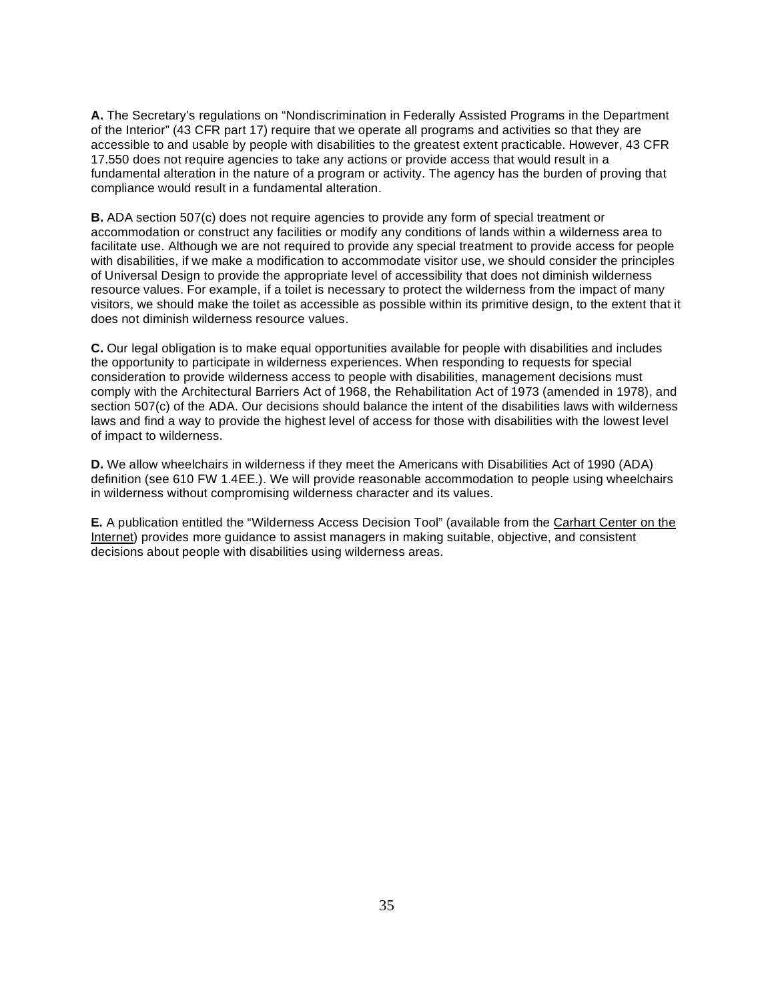**A.** The Secretary's regulations on "Nondiscrimination in Federally Assisted Programs in the Department of the Interior" (43 CFR part 17) require that we operate all programs and activities so that they are accessible to and usable by people with disabilities to the greatest extent practicable. However, 43 CFR 17.550 does not require agencies to take any actions or provide access that would result in a fundamental alteration in the nature of a program or activity. The agency has the burden of proving that compliance would result in a fundamental alteration.

 **B.** ADA section 507(c) does not require agencies to provide any form of special treatment or accommodation or construct any facilities or modify any conditions of lands within a wilderness area to facilitate use. Although we are not required to provide any special treatment to provide access for people with disabilities, if we make a modification to accommodate visitor use, we should consider the principles of Universal Design to provide the appropriate level of accessibility that does not diminish wilderness resource values. For example, if a toilet is necessary to protect the wilderness from the impact of many visitors, we should make the toilet as accessible as possible within its primitive design, to the extent that it does not diminish wilderness resource values.

 **C.** Our legal obligation is to make equal opportunities available for people with disabilities and includes the opportunity to participate in wilderness experiences. When responding to requests for special consideration to provide wilderness access to people with disabilities, management decisions must comply with the Architectural Barriers Act of 1968, the Rehabilitation Act of 1973 (amended in 1978), and section 507(c) of the ADA. Our decisions should balance the intent of the disabilities laws with wilderness laws and find a way to provide the highest level of access for those with disabilities with the lowest level of impact to wilderness.

 **D.** We allow wheelchairs in wilderness if they meet the Americans with Disabilities Act of 1990 (ADA) definition (see 610 FW 1.4EE.). We will provide reasonable accommodation to people using wheelchairs in wilderness without compromising wilderness character and its values.

**E.** A publication entitled the "Wilderness Access Decision Tool" (available from the Carhart Center on the Internet) provides more guidance to assist managers in making suitable, objective, and consistent decisions about people with disabilities using wilderness areas.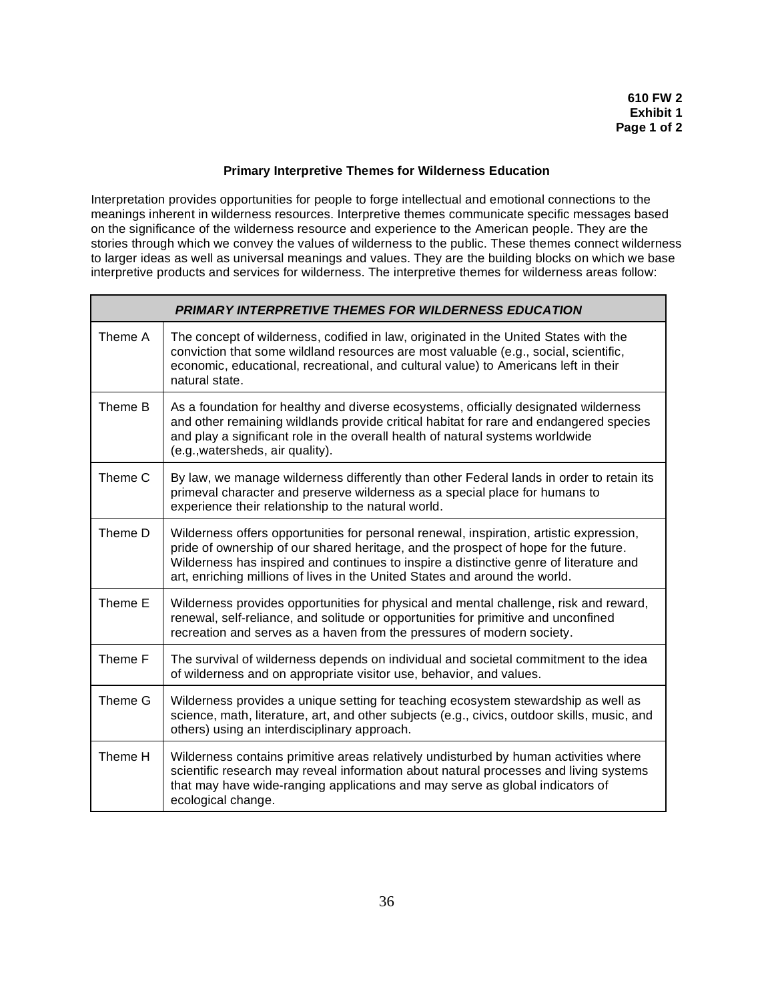# **Primary Interpretive Themes for Wilderness Education**

 Interpretation provides opportunities for people to forge intellectual and emotional connections to the meanings inherent in wilderness resources. Interpretive themes communicate specific messages based on the significance of the wilderness resource and experience to the American people. They are the stories through which we convey the values of wilderness to the public. These themes connect wilderness to larger ideas as well as universal meanings and values. They are the building blocks on which we base interpretive products and services for wilderness. The interpretive themes for wilderness areas follow:

|         | <b>PRIMARY INTERPRETIVE THEMES FOR WILDERNESS EDUCATION</b>                                                                                                                                                                                                                                                                                             |
|---------|---------------------------------------------------------------------------------------------------------------------------------------------------------------------------------------------------------------------------------------------------------------------------------------------------------------------------------------------------------|
| Theme A | The concept of wilderness, codified in law, originated in the United States with the<br>conviction that some wildland resources are most valuable (e.g., social, scientific,<br>economic, educational, recreational, and cultural value) to Americans left in their<br>natural state.                                                                   |
| Theme B | As a foundation for healthy and diverse ecosystems, officially designated wilderness<br>and other remaining wildlands provide critical habitat for rare and endangered species<br>and play a significant role in the overall health of natural systems worldwide<br>(e.g., watersheds, air quality).                                                    |
| Theme C | By law, we manage wilderness differently than other Federal lands in order to retain its<br>primeval character and preserve wilderness as a special place for humans to<br>experience their relationship to the natural world.                                                                                                                          |
| Theme D | Wilderness offers opportunities for personal renewal, inspiration, artistic expression,<br>pride of ownership of our shared heritage, and the prospect of hope for the future.<br>Wilderness has inspired and continues to inspire a distinctive genre of literature and<br>art, enriching millions of lives in the United States and around the world. |
| Theme E | Wilderness provides opportunities for physical and mental challenge, risk and reward,<br>renewal, self-reliance, and solitude or opportunities for primitive and unconfined<br>recreation and serves as a haven from the pressures of modern society.                                                                                                   |
| Theme F | The survival of wilderness depends on individual and societal commitment to the idea<br>of wilderness and on appropriate visitor use, behavior, and values.                                                                                                                                                                                             |
| Theme G | Wilderness provides a unique setting for teaching ecosystem stewardship as well as<br>science, math, literature, art, and other subjects (e.g., civics, outdoor skills, music, and<br>others) using an interdisciplinary approach.                                                                                                                      |
| Theme H | Wilderness contains primitive areas relatively undisturbed by human activities where<br>scientific research may reveal information about natural processes and living systems<br>that may have wide-ranging applications and may serve as global indicators of<br>ecological change.                                                                    |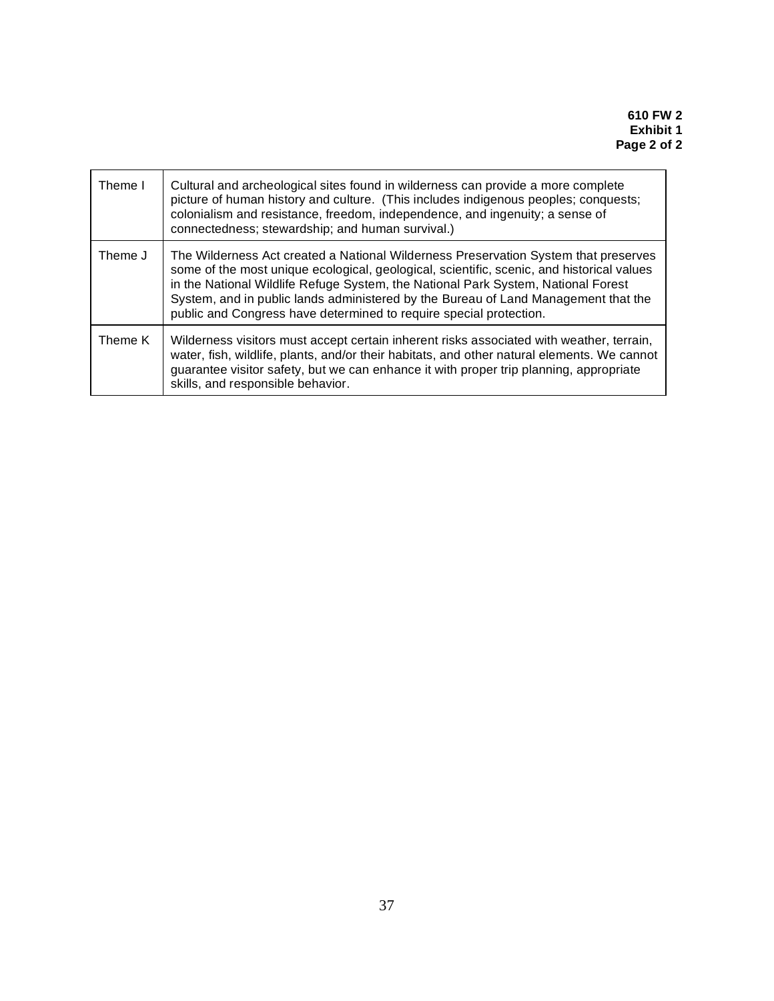| Theme I | Cultural and archeological sites found in wilderness can provide a more complete<br>picture of human history and culture. (This includes indigenous peoples; conquests;<br>colonialism and resistance, freedom, independence, and ingenuity; a sense of<br>connectedness; stewardship; and human survival.)                                                                                                                       |
|---------|-----------------------------------------------------------------------------------------------------------------------------------------------------------------------------------------------------------------------------------------------------------------------------------------------------------------------------------------------------------------------------------------------------------------------------------|
| Theme J | The Wilderness Act created a National Wilderness Preservation System that preserves<br>some of the most unique ecological, geological, scientific, scenic, and historical values<br>in the National Wildlife Refuge System, the National Park System, National Forest<br>System, and in public lands administered by the Bureau of Land Management that the<br>public and Congress have determined to require special protection. |
| Theme K | Wilderness visitors must accept certain inherent risks associated with weather, terrain,<br>water, fish, wildlife, plants, and/or their habitats, and other natural elements. We cannot<br>guarantee visitor safety, but we can enhance it with proper trip planning, appropriate<br>skills, and responsible behavior.                                                                                                            |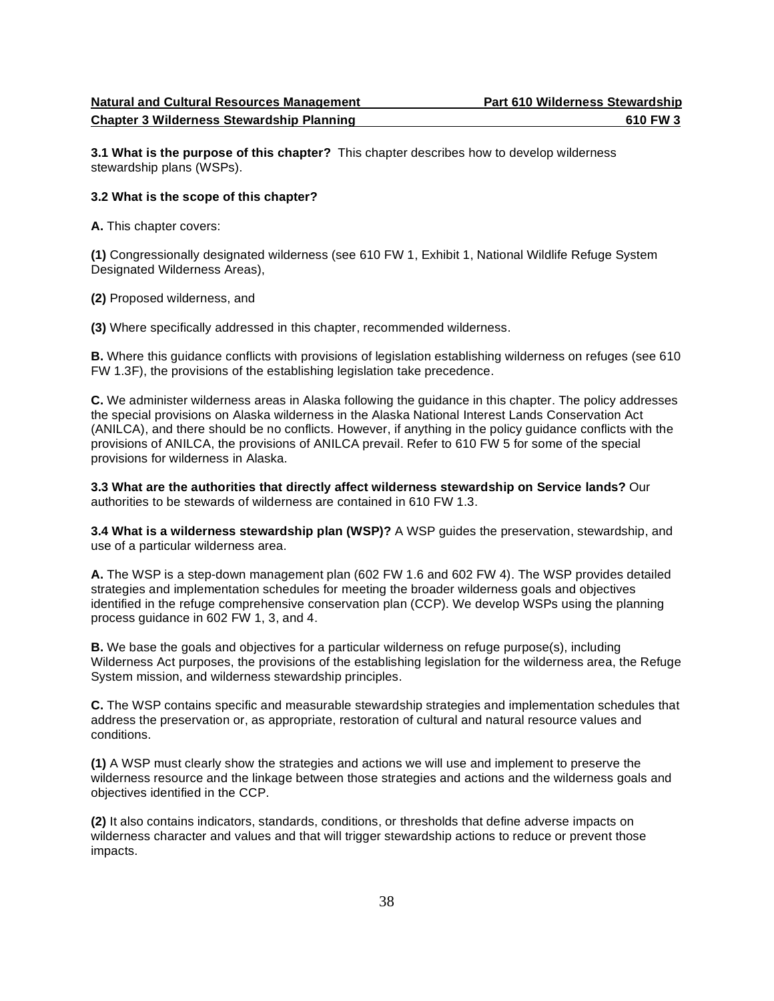**Chapter 3 Wilderness Stewardship Planning 610 FW 3** 

 **3.1 What is the purpose of this chapter?** This chapter describes how to develop wilderness stewardship plans (WSPs).

# **3.2 What is the scope of this chapter?**

**A.** This chapter covers:

 **(1)** Congressionally designated wilderness (see 610 FW 1, Exhibit 1, National Wildlife Refuge System Designated Wilderness Areas),

**(2)** Proposed wilderness, and

**(3)** Where specifically addressed in this chapter, recommended wilderness.

 **B.** Where this guidance conflicts with provisions of legislation establishing wilderness on refuges (see 610 FW 1.3F), the provisions of the establishing legislation take precedence.

 **C.** We administer wilderness areas in Alaska following the guidance in this chapter. The policy addresses the special provisions on Alaska wilderness in the Alaska National Interest Lands Conservation Act (ANILCA), and there should be no conflicts. However, if anything in the policy guidance conflicts with the provisions of ANILCA, the provisions of ANILCA prevail. Refer to 610 FW 5 for some of the special provisions for wilderness in Alaska.

 **3.3 What are the authorities that directly affect wilderness stewardship on Service lands?** Our authorities to be stewards of wilderness are contained in 610 FW 1.3.

 **3.4 What is a wilderness stewardship plan (WSP)?** A WSP guides the preservation, stewardship, and use of a particular wilderness area.

 **A.** The WSP is a step-down management plan (602 FW 1.6 and 602 FW 4). The WSP provides detailed strategies and implementation schedules for meeting the broader wilderness goals and objectives identified in the refuge comprehensive conservation plan (CCP). We develop WSPs using the planning process guidance in 602 FW 1, 3, and 4.

 **B.** We base the goals and objectives for a particular wilderness on refuge purpose(s), including Wilderness Act purposes, the provisions of the establishing legislation for the wilderness area, the Refuge System mission, and wilderness stewardship principles.

 **C.** The WSP contains specific and measurable stewardship strategies and implementation schedules that address the preservation or, as appropriate, restoration of cultural and natural resource values and conditions.

 **(1)** A WSP must clearly show the strategies and actions we will use and implement to preserve the wilderness resource and the linkage between those strategies and actions and the wilderness goals and objectives identified in the CCP.

 **(2)** It also contains indicators, standards, conditions, or thresholds that define adverse impacts on wilderness character and values and that will trigger stewardship actions to reduce or prevent those impacts.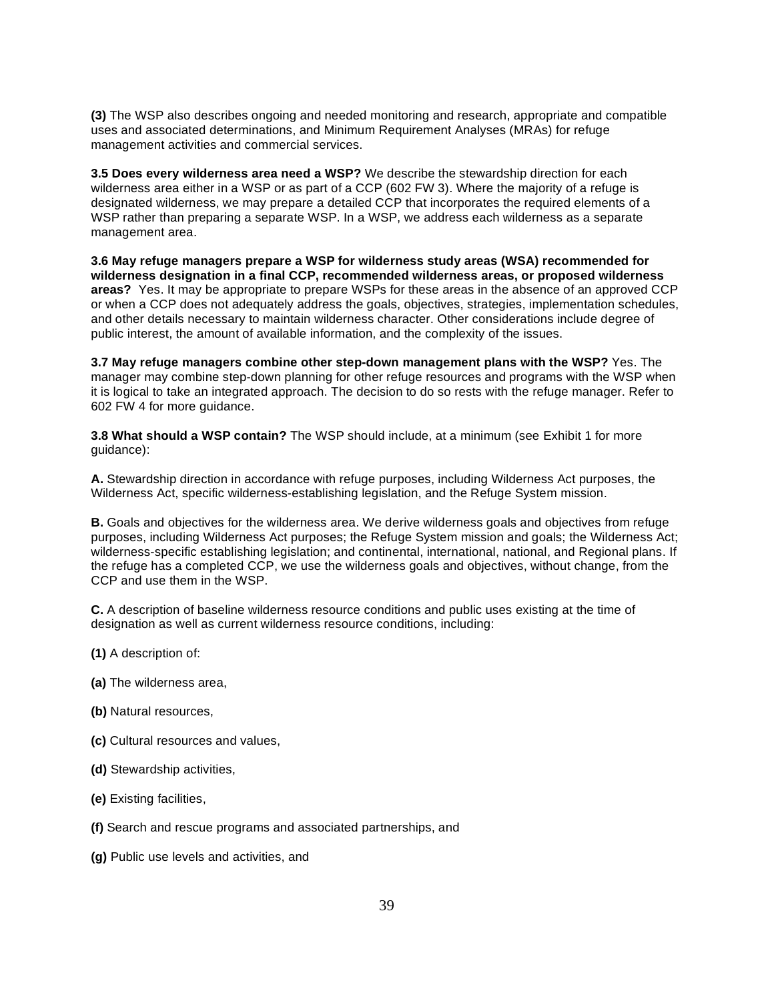**(3)** The WSP also describes ongoing and needed monitoring and research, appropriate and compatible uses and associated determinations, and Minimum Requirement Analyses (MRAs) for refuge management activities and commercial services.

 **3.5 Does every wilderness area need a WSP?** We describe the stewardship direction for each wilderness area either in a WSP or as part of a CCP (602 FW 3). Where the majority of a refuge is designated wilderness, we may prepare a detailed CCP that incorporates the required elements of a WSP rather than preparing a separate WSP. In a WSP, we address each wilderness as a separate management area.

 **3.6 May refuge managers prepare a WSP for wilderness study areas (WSA) recommended for wilderness designation in a final CCP, recommended wilderness areas, or proposed wilderness areas?** Yes. It may be appropriate to prepare WSPs for these areas in the absence of an approved CCP or when a CCP does not adequately address the goals, objectives, strategies, implementation schedules, and other details necessary to maintain wilderness character. Other considerations include degree of public interest, the amount of available information, and the complexity of the issues.

 **3.7 May refuge managers combine other step-down management plans with the WSP?** Yes. The manager may combine step-down planning for other refuge resources and programs with the WSP when it is logical to take an integrated approach. The decision to do so rests with the refuge manager. Refer to 602 FW 4 for more guidance.

 **3.8 What should a WSP contain?** The WSP should include, at a minimum (see Exhibit 1 for more guidance):

 **A.** Stewardship direction in accordance with refuge purposes, including Wilderness Act purposes, the Wilderness Act, specific wilderness-establishing legislation, and the Refuge System mission.

 **B.** Goals and objectives for the wilderness area. We derive wilderness goals and objectives from refuge purposes, including Wilderness Act purposes; the Refuge System mission and goals; the Wilderness Act; wilderness-specific establishing legislation; and continental, international, national, and Regional plans. If the refuge has a completed CCP, we use the wilderness goals and objectives, without change, from the CCP and use them in the WSP.

 **C.** A description of baseline wilderness resource conditions and public uses existing at the time of designation as well as current wilderness resource conditions, including:

**(1)** A description of:

- **(a)** The wilderness area,
- **(b)** Natural resources,
- **(c)** Cultural resources and values,
- **(d)** Stewardship activities,
- **(e)** Existing facilities,
- **(f)** Search and rescue programs and associated partnerships, and
- **(g)** Public use levels and activities, and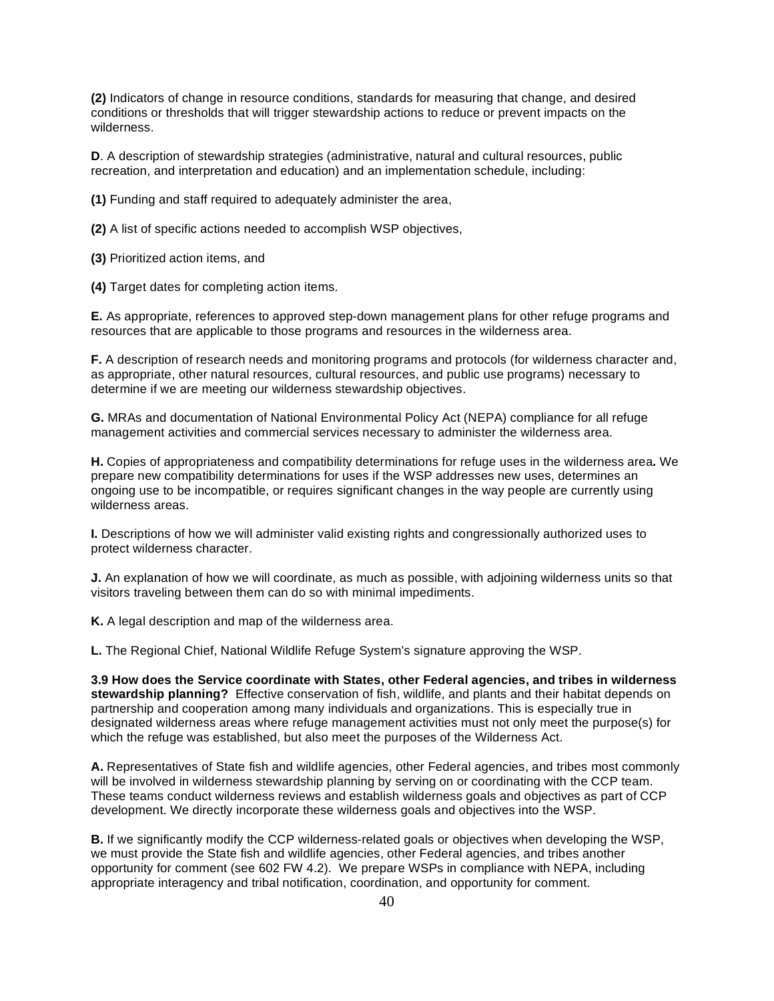**(2)** Indicators of change in resource conditions, standards for measuring that change, and desired conditions or thresholds that will trigger stewardship actions to reduce or prevent impacts on the wilderness.

 **D**. A description of stewardship strategies (administrative, natural and cultural resources, public recreation, and interpretation and education) and an implementation schedule, including:

**(1)** Funding and staff required to adequately administer the area,

**(2)** A list of specific actions needed to accomplish WSP objectives,

**(3)** Prioritized action items, and

**(4)** Target dates for completing action items.

 **E.** As appropriate, references to approved step-down management plans for other refuge programs and resources that are applicable to those programs and resources in the wilderness area.

 **F.** A description of research needs and monitoring programs and protocols (for wilderness character and, as appropriate, other natural resources, cultural resources, and public use programs) necessary to determine if we are meeting our wilderness stewardship objectives.

 **G.** MRAs and documentation of National Environmental Policy Act (NEPA) compliance for all refuge management activities and commercial services necessary to administer the wilderness area.

 **H.** Copies of appropriateness and compatibility determinations for refuge uses in the wilderness area**.** We prepare new compatibility determinations for uses if the WSP addresses new uses, determines an ongoing use to be incompatible, or requires significant changes in the way people are currently using wilderness areas.

 **I.** Descriptions of how we will administer valid existing rights and congressionally authorized uses to protect wilderness character.

 **J.** An explanation of how we will coordinate, as much as possible, with adjoining wilderness units so that visitors traveling between them can do so with minimal impediments.

**K.** A legal description and map of the wilderness area.

**L.** The Regional Chief, National Wildlife Refuge System's signature approving the WSP.

 **3.9 How does the Service coordinate with States, other Federal agencies, and tribes in wilderness stewardship planning?** Effective conservation of fish, wildlife, and plants and their habitat depends on partnership and cooperation among many individuals and organizations. This is especially true in designated wilderness areas where refuge management activities must not only meet the purpose(s) for which the refuge was established, but also meet the purposes of the Wilderness Act.

 **A.** Representatives of State fish and wildlife agencies, other Federal agencies, and tribes most commonly will be involved in wilderness stewardship planning by serving on or coordinating with the CCP team. These teams conduct wilderness reviews and establish wilderness goals and objectives as part of CCP development. We directly incorporate these wilderness goals and objectives into the WSP.

 **B.** If we significantly modify the CCP wilderness-related goals or objectives when developing the WSP, we must provide the State fish and wildlife agencies, other Federal agencies, and tribes another opportunity for comment (see 602 FW 4.2). We prepare WSPs in compliance with NEPA, including appropriate interagency and tribal notification, coordination, and opportunity for comment.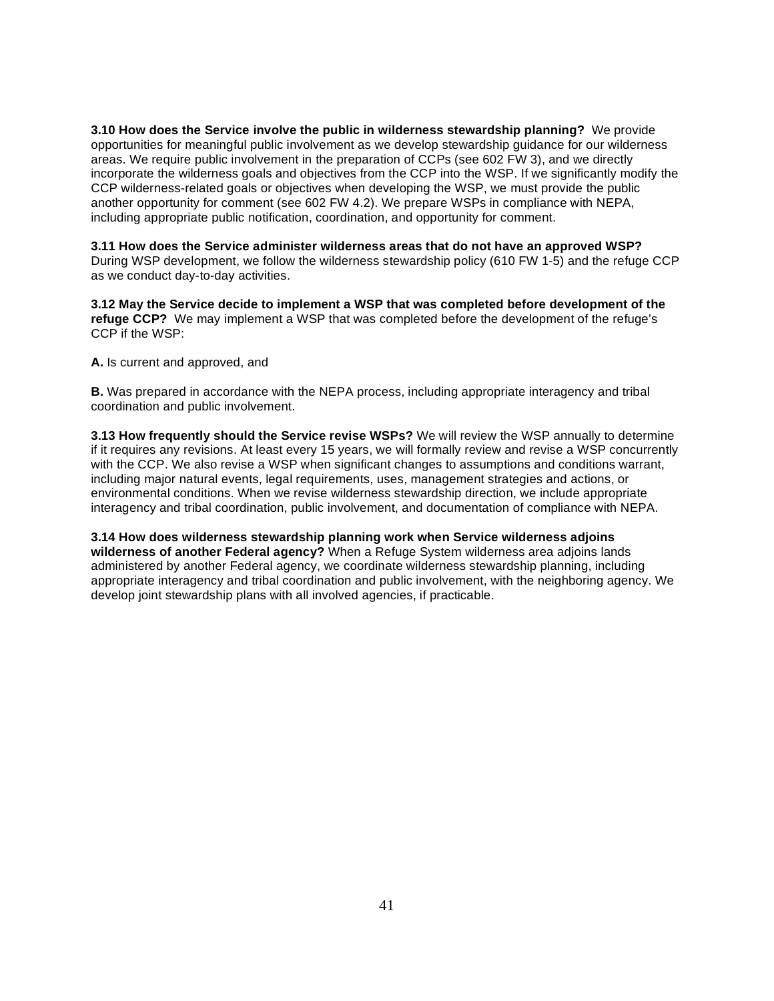**3.10 How does the Service involve the public in wilderness stewardship planning?** We provide opportunities for meaningful public involvement as we develop stewardship guidance for our wilderness areas. We require public involvement in the preparation of CCPs (see 602 FW 3), and we directly incorporate the wilderness goals and objectives from the CCP into the WSP. If we significantly modify the CCP wilderness-related goals or objectives when developing the WSP, we must provide the public another opportunity for comment (see 602 FW 4.2). We prepare WSPs in compliance with NEPA, including appropriate public notification, coordination, and opportunity for comment.

 **3.11 How does the Service administer wilderness areas that do not have an approved WSP?**  During WSP development, we follow the wilderness stewardship policy (610 FW 1-5) and the refuge CCP as we conduct day-to-day activities.

 **3.12 May the Service decide to implement a WSP that was completed before development of the refuge CCP?** We may implement a WSP that was completed before the development of the refuge's CCP if the WSP:

**A.** Is current and approved, and

 **B.** Was prepared in accordance with the NEPA process, including appropriate interagency and tribal coordination and public involvement.

 **3.13 How frequently should the Service revise WSPs?** We will review the WSP annually to determine if it requires any revisions. At least every 15 years, we will formally review and revise a WSP concurrently with the CCP. We also revise a WSP when significant changes to assumptions and conditions warrant, including major natural events, legal requirements, uses, management strategies and actions, or environmental conditions. When we revise wilderness stewardship direction, we include appropriate interagency and tribal coordination, public involvement, and documentation of compliance with NEPA.

 **3.14 How does wilderness stewardship planning work when Service wilderness adjoins wilderness of another Federal agency?** When a Refuge System wilderness area adjoins lands administered by another Federal agency, we coordinate wilderness stewardship planning, including appropriate interagency and tribal coordination and public involvement, with the neighboring agency. We develop joint stewardship plans with all involved agencies, if practicable.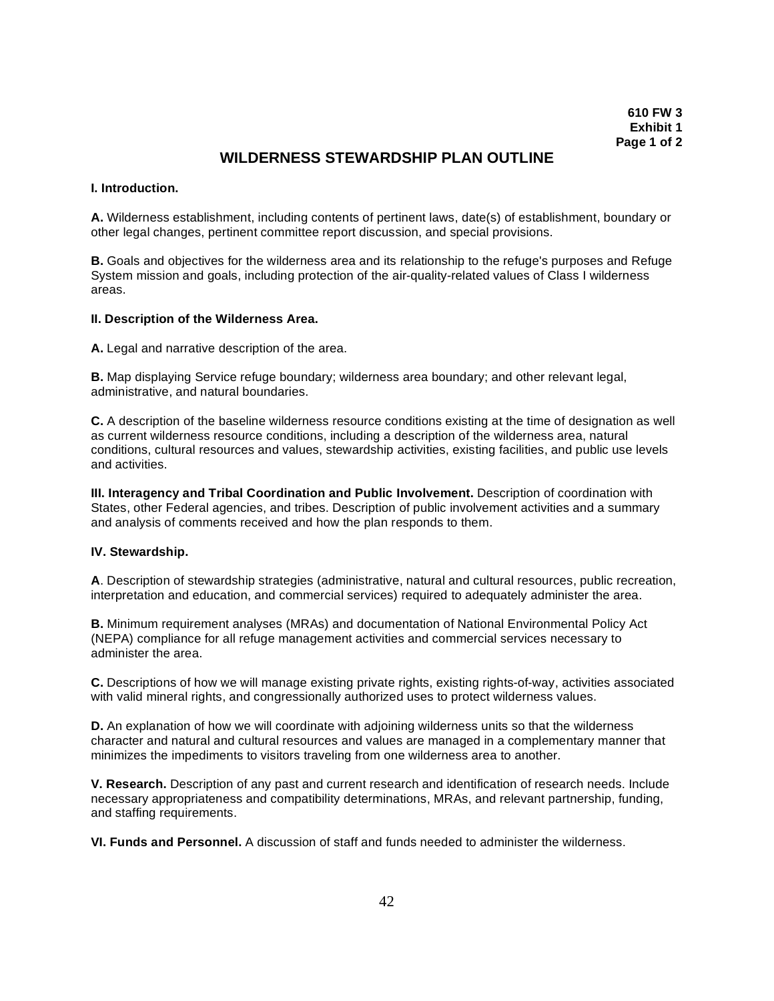# **WILDERNESS STEWARDSHIP PLAN OUTLINE**

### **I. Introduction.**

 **A.** Wilderness establishment, including contents of pertinent laws, date(s) of establishment, boundary or other legal changes, pertinent committee report discussion, and special provisions.

 **B.** Goals and objectives for the wilderness area and its relationship to the refuge's purposes and Refuge System mission and goals, including protection of the air-quality-related values of Class I wilderness areas.

#### **II. Description of the Wilderness Area.**

**A.** Legal and narrative description of the area.

 **B.** Map displaying Service refuge boundary; wilderness area boundary; and other relevant legal, administrative, and natural boundaries.

 **C.** A description of the baseline wilderness resource conditions existing at the time of designation as well as current wilderness resource conditions, including a description of the wilderness area, natural conditions, cultural resources and values, stewardship activities, existing facilities, and public use levels and activities.

**III. Interagency and Tribal Coordination and Public Involvement.**  Description of coordination with States, other Federal agencies, and tribes. Description of public involvement activities and a summary and analysis of comments received and how the plan responds to them.

#### **IV. Stewardship.**

 **A**. Description of stewardship strategies (administrative, natural and cultural resources, public recreation, interpretation and education, and commercial services) required to adequately administer the area.

 **B.** Minimum requirement analyses (MRAs) and documentation of National Environmental Policy Act (NEPA) compliance for all refuge management activities and commercial services necessary to administer the area.

 **C.** Descriptions of how we will manage existing private rights, existing rights-of-way, activities associated with valid mineral rights, and congressionally authorized uses to protect wilderness values.

 **D.** An explanation of how we will coordinate with adjoining wilderness units so that the wilderness character and natural and cultural resources and values are managed in a complementary manner that minimizes the impediments to visitors traveling from one wilderness area to another.

**V. Research.** Description of any past and current research and identification of research needs. Include necessary appropriateness and compatibility determinations, MRAs, and relevant partnership, funding, and staffing requirements.

**VI. Funds and Personnel.** A discussion of staff and funds needed to administer the wilderness.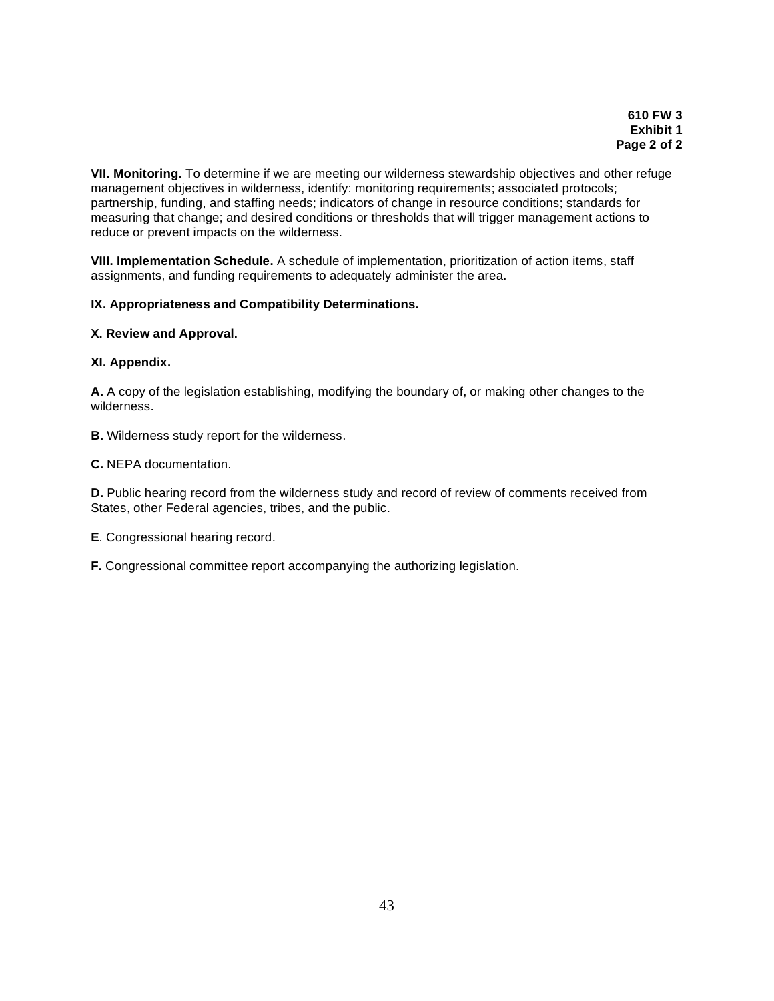**VII. Monitoring.** To determine if we are meeting our wilderness stewardship objectives and other refuge management objectives in wilderness, identify: monitoring requirements; associated protocols; partnership, funding, and staffing needs; indicators of change in resource conditions; standards for measuring that change; and desired conditions or thresholds that will trigger management actions to reduce or prevent impacts on the wilderness.

**VIII. Implementation Schedule.** A schedule of implementation, prioritization of action items, staff assignments, and funding requirements to adequately administer the area.

# **IX. Appropriateness and Compatibility Determinations.**

# **X. Review and Approval.**

# **XI. Appendix.**

 **A.** A copy of the legislation establishing, modifying the boundary of, or making other changes to the wilderness.

**B.** Wilderness study report for the wilderness.

**C.** NEPA documentation.

 **D.** Public hearing record from the wilderness study and record of review of comments received from States, other Federal agencies, tribes, and the public.

**E**. Congressional hearing record.

**F.** Congressional committee report accompanying the authorizing legislation.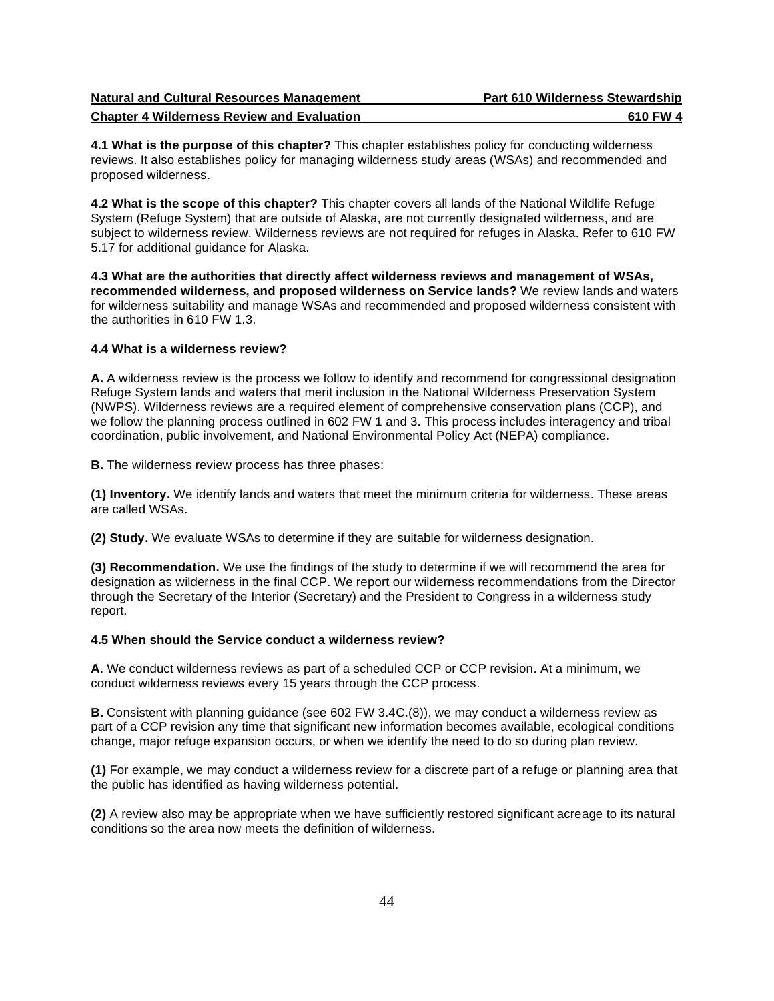| <b>Natural and Cultural Resources Management</b>  | <b>Part 610 Wilderness Stewardship</b> |
|---------------------------------------------------|----------------------------------------|
| <b>Chapter 4 Wilderness Review and Evaluation</b> | 610 FW 4                               |

 **4.1 What is the purpose of this chapter?** This chapter establishes policy for conducting wilderness reviews. It also establishes policy for managing wilderness study areas (WSAs) and recommended and proposed wilderness.

 **4.2 What is the scope of this chapter?** This chapter covers all lands of the National Wildlife Refuge System (Refuge System) that are outside of Alaska, are not currently designated wilderness, and are subject to wilderness review. Wilderness reviews are not required for refuges in Alaska. Refer to 610 FW 5.17 for additional guidance for Alaska.

 **4.3 What are the authorities that directly affect wilderness reviews and management of WSAs, recommended wilderness, and proposed wilderness on Service lands?** We review lands and waters for wilderness suitability and manage WSAs and recommended and proposed wilderness consistent with the authorities in 610 FW 1.3.

### **4.4 What is a wilderness review?**

 **A.** A wilderness review is the process we follow to identify and recommend for congressional designation Refuge System lands and waters that merit inclusion in the National Wilderness Preservation System (NWPS). Wilderness reviews are a required element of comprehensive conservation plans (CCP), and we follow the planning process outlined in 602 FW 1 and 3. This process includes interagency and tribal coordination, public involvement, and National Environmental Policy Act (NEPA) compliance.

**B.** The wilderness review process has three phases:

 **(1) Inventory.** We identify lands and waters that meet the minimum criteria for wilderness. These areas are called WSAs.

**(2) Study.** We evaluate WSAs to determine if they are suitable for wilderness designation.

 **(3) Recommendation.** We use the findings of the study to determine if we will recommend the area for designation as wilderness in the final CCP. We report our wilderness recommendations from the Director through the Secretary of the Interior (Secretary) and the President to Congress in a wilderness study report.

### **4.5 When should the Service conduct a wilderness review?**

 **A**. We conduct wilderness reviews as part of a scheduled CCP or CCP revision. At a minimum, we conduct wilderness reviews every 15 years through the CCP process.

 **B.** Consistent with planning guidance (see 602 FW 3.4C.(8)), we may conduct a wilderness review as part of a CCP revision any time that significant new information becomes available, ecological conditions change, major refuge expansion occurs, or when we identify the need to do so during plan review.

 **(1)** For example, we may conduct a wilderness review for a discrete part of a refuge or planning area that the public has identified as having wilderness potential.

 **(2)** A review also may be appropriate when we have sufficiently restored significant acreage to its natural conditions so the area now meets the definition of wilderness.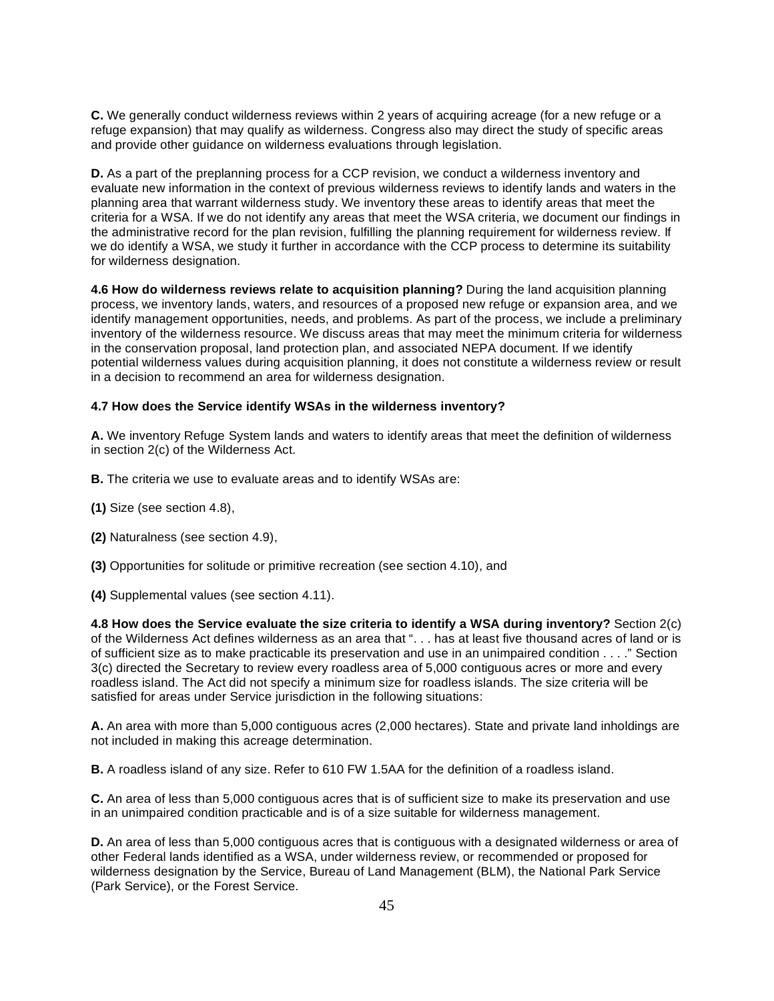**C.** We generally conduct wilderness reviews within 2 years of acquiring acreage (for a new refuge or a refuge expansion) that may qualify as wilderness. Congress also may direct the study of specific areas and provide other guidance on wilderness evaluations through legislation.

 **D.** As a part of the preplanning process for a CCP revision, we conduct a wilderness inventory and evaluate new information in the context of previous wilderness reviews to identify lands and waters in the planning area that warrant wilderness study. We inventory these areas to identify areas that meet the criteria for a WSA. If we do not identify any areas that meet the WSA criteria, we document our findings in the administrative record for the plan revision, fulfilling the planning requirement for wilderness review. If we do identify a WSA, we study it further in accordance with the CCP process to determine its suitability for wilderness designation.

 **4.6 How do wilderness reviews relate to acquisition planning?** During the land acquisition planning process, we inventory lands, waters, and resources of a proposed new refuge or expansion area, and we identify management opportunities, needs, and problems. As part of the process, we include a preliminary inventory of the wilderness resource. We discuss areas that may meet the minimum criteria for wilderness in the conservation proposal, land protection plan, and associated NEPA document. If we identify potential wilderness values during acquisition planning, it does not constitute a wilderness review or result in a decision to recommend an area for wilderness designation.

## **4.7 How does the Service identify WSAs in the wilderness inventory?**

 **A.** We inventory Refuge System lands and waters to identify areas that meet the definition of wilderness in section 2(c) of the Wilderness Act.

**B.** The criteria we use to evaluate areas and to identify WSAs are:

- **(1)** Size (see section 4.8),
- **(2)** Naturalness (see section 4.9),
- **(3)** Opportunities for solitude or primitive recreation (see section 4.10), and

**(4)** Supplemental values (see section 4.11).

 **4.8 How does the Service evaluate the size criteria to identify a WSA during inventory?** Section 2(c) of the Wilderness Act defines wilderness as an area that ". . . has at least five thousand acres of land or is of sufficient size as to make practicable its preservation and use in an unimpaired condition . . . ." Section 3(c) directed the Secretary to review every roadless area of 5,000 contiguous acres or more and every roadless island. The Act did not specify a minimum size for roadless islands. The size criteria will be satisfied for areas under Service jurisdiction in the following situations:

 **A.** An area with more than 5,000 contiguous acres (2,000 hectares). State and private land inholdings are not included in making this acreage determination.

**B.** A roadless island of any size. Refer to 610 FW 1.5AA for the definition of a roadless island.

 **C.** An area of less than 5,000 contiguous acres that is of sufficient size to make its preservation and use in an unimpaired condition practicable and is of a size suitable for wilderness management.

 **D.** An area of less than 5,000 contiguous acres that is contiguous with a designated wilderness or area of other Federal lands identified as a WSA, under wilderness review, or recommended or proposed for wilderness designation by the Service, Bureau of Land Management (BLM), the National Park Service (Park Service), or the Forest Service.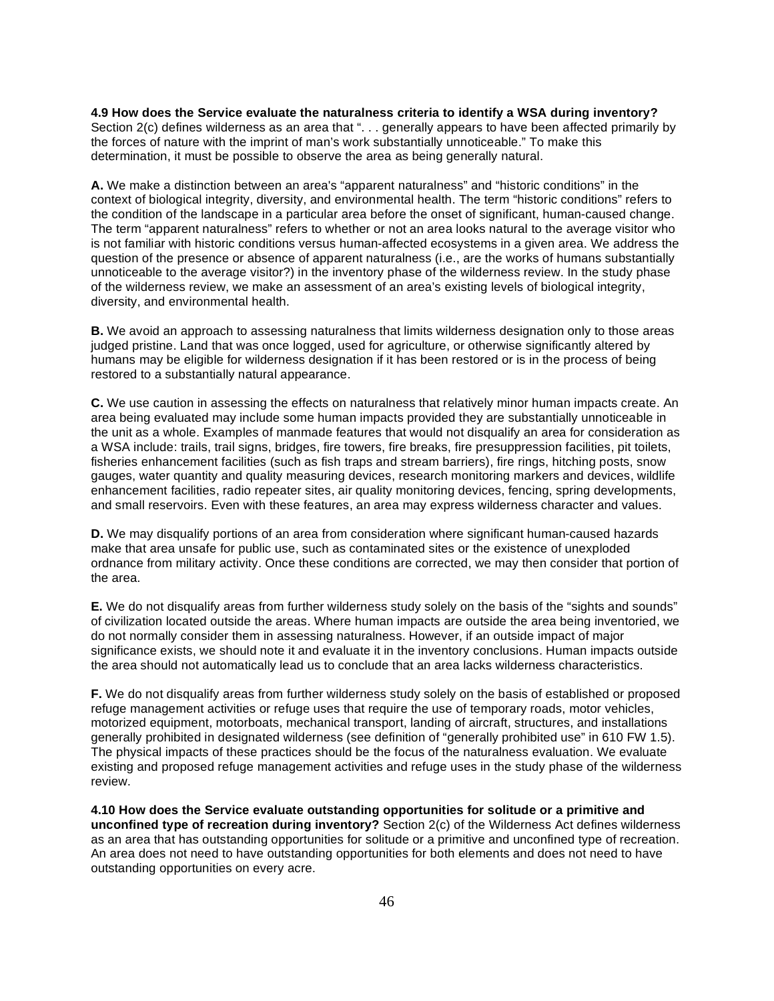**4.9 How does the Service evaluate the naturalness criteria to identify a WSA during inventory?**  Section 2(c) defines wilderness as an area that ". . . generally appears to have been affected primarily by the forces of nature with the imprint of man's work substantially unnoticeable." To make this determination, it must be possible to observe the area as being generally natural.

 **A.** We make a distinction between an area's "apparent naturalness" and "historic conditions" in the context of biological integrity, diversity, and environmental health. The term "historic conditions" refers to the condition of the landscape in a particular area before the onset of significant, human-caused change. The term "apparent naturalness" refers to whether or not an area looks natural to the average visitor who is not familiar with historic conditions versus human-affected ecosystems in a given area. We address the question of the presence or absence of apparent naturalness (i.e., are the works of humans substantially unnoticeable to the average visitor?) in the inventory phase of the wilderness review. In the study phase of the wilderness review, we make an assessment of an area's existing levels of biological integrity, diversity, and environmental health.

 **B.** We avoid an approach to assessing naturalness that limits wilderness designation only to those areas judged pristine. Land that was once logged, used for agriculture, or otherwise significantly altered by humans may be eligible for wilderness designation if it has been restored or is in the process of being restored to a substantially natural appearance.

 **C.** We use caution in assessing the effects on naturalness that relatively minor human impacts create. An area being evaluated may include some human impacts provided they are substantially unnoticeable in the unit as a whole. Examples of manmade features that would not disqualify an area for consideration as a WSA include: trails, trail signs, bridges, fire towers, fire breaks, fire presuppression facilities, pit toilets, fisheries enhancement facilities (such as fish traps and stream barriers), fire rings, hitching posts, snow gauges, water quantity and quality measuring devices, research monitoring markers and devices, wildlife enhancement facilities, radio repeater sites, air quality monitoring devices, fencing, spring developments, and small reservoirs. Even with these features, an area may express wilderness character and values.

 **D.** We may disqualify portions of an area from consideration where significant human-caused hazards make that area unsafe for public use, such as contaminated sites or the existence of unexploded ordnance from military activity. Once these conditions are corrected, we may then consider that portion of the area.

 **E.** We do not disqualify areas from further wilderness study solely on the basis of the "sights and sounds" of civilization located outside the areas. Where human impacts are outside the area being inventoried, we do not normally consider them in assessing naturalness. However, if an outside impact of major significance exists, we should note it and evaluate it in the inventory conclusions. Human impacts outside the area should not automatically lead us to conclude that an area lacks wilderness characteristics.

 **F.** We do not disqualify areas from further wilderness study solely on the basis of established or proposed refuge management activities or refuge uses that require the use of temporary roads, motor vehicles, motorized equipment, motorboats, mechanical transport, landing of aircraft, structures, and installations generally prohibited in designated wilderness (see definition of "generally prohibited use" in 610 FW 1.5). The physical impacts of these practices should be the focus of the naturalness evaluation. We evaluate existing and proposed refuge management activities and refuge uses in the study phase of the wilderness review.

 **4.10 How does the Service evaluate outstanding opportunities for solitude or a primitive and unconfined type of recreation during inventory?** Section 2(c) of the Wilderness Act defines wilderness as an area that has outstanding opportunities for solitude or a primitive and unconfined type of recreation. An area does not need to have outstanding opportunities for both elements and does not need to have outstanding opportunities on every acre.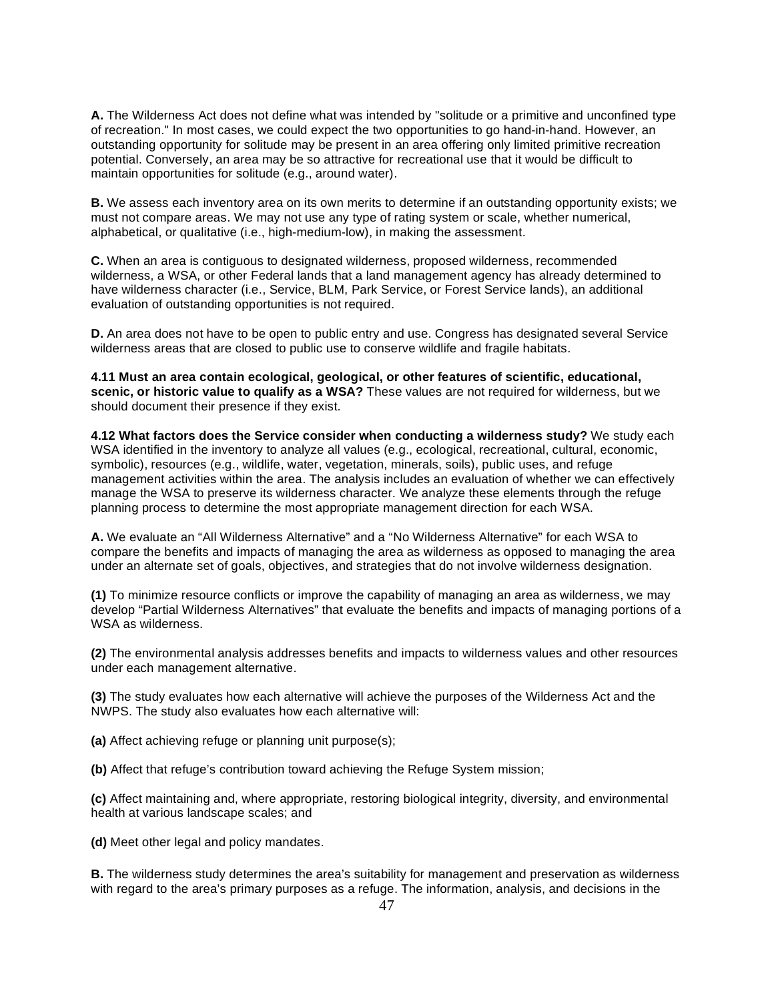**A.** The Wilderness Act does not define what was intended by "solitude or a primitive and unconfined type of recreation." In most cases, we could expect the two opportunities to go hand-in-hand. However, an outstanding opportunity for solitude may be present in an area offering only limited primitive recreation potential. Conversely, an area may be so attractive for recreational use that it would be difficult to maintain opportunities for solitude (e.g., around water).

 **B.** We assess each inventory area on its own merits to determine if an outstanding opportunity exists; we must not compare areas. We may not use any type of rating system or scale, whether numerical, alphabetical, or qualitative (i.e., high-medium-low), in making the assessment.

 **C.** When an area is contiguous to designated wilderness, proposed wilderness, recommended wilderness, a WSA, or other Federal lands that a land management agency has already determined to have wilderness character (i.e., Service, BLM, Park Service, or Forest Service lands), an additional evaluation of outstanding opportunities is not required.

 **D.** An area does not have to be open to public entry and use. Congress has designated several Service wilderness areas that are closed to public use to conserve wildlife and fragile habitats.

 **4.11 Must an area contain ecological, geological, or other features of scientific, educational, scenic, or historic value to qualify as a WSA?** These values are not required for wilderness, but we should document their presence if they exist.

 **4.12 What factors does the Service consider when conducting a wilderness study?** We study each WSA identified in the inventory to analyze all values (e.g., ecological, recreational, cultural, economic, symbolic), resources (e.g., wildlife, water, vegetation, minerals, soils), public uses, and refuge management activities within the area. The analysis includes an evaluation of whether we can effectively manage the WSA to preserve its wilderness character. We analyze these elements through the refuge planning process to determine the most appropriate management direction for each WSA.

 **A.** We evaluate an "All Wilderness Alternative" and a "No Wilderness Alternative" for each WSA to compare the benefits and impacts of managing the area as wilderness as opposed to managing the area under an alternate set of goals, objectives, and strategies that do not involve wilderness designation.

 **(1)** To minimize resource conflicts or improve the capability of managing an area as wilderness, we may develop "Partial Wilderness Alternatives" that evaluate the benefits and impacts of managing portions of a WSA as wilderness.

 **(2)** The environmental analysis addresses benefits and impacts to wilderness values and other resources under each management alternative.

 **(3)** The study evaluates how each alternative will achieve the purposes of the Wilderness Act and the NWPS. The study also evaluates how each alternative will:

**(a)** Affect achieving refuge or planning unit purpose(s);

**(b)** Affect that refuge's contribution toward achieving the Refuge System mission;

 **(c)** Affect maintaining and, where appropriate, restoring biological integrity, diversity, and environmental health at various landscape scales; and

**(d)** Meet other legal and policy mandates.

 **B.** The wilderness study determines the area's suitability for management and preservation as wilderness with regard to the area's primary purposes as a refuge. The information, analysis, and decisions in the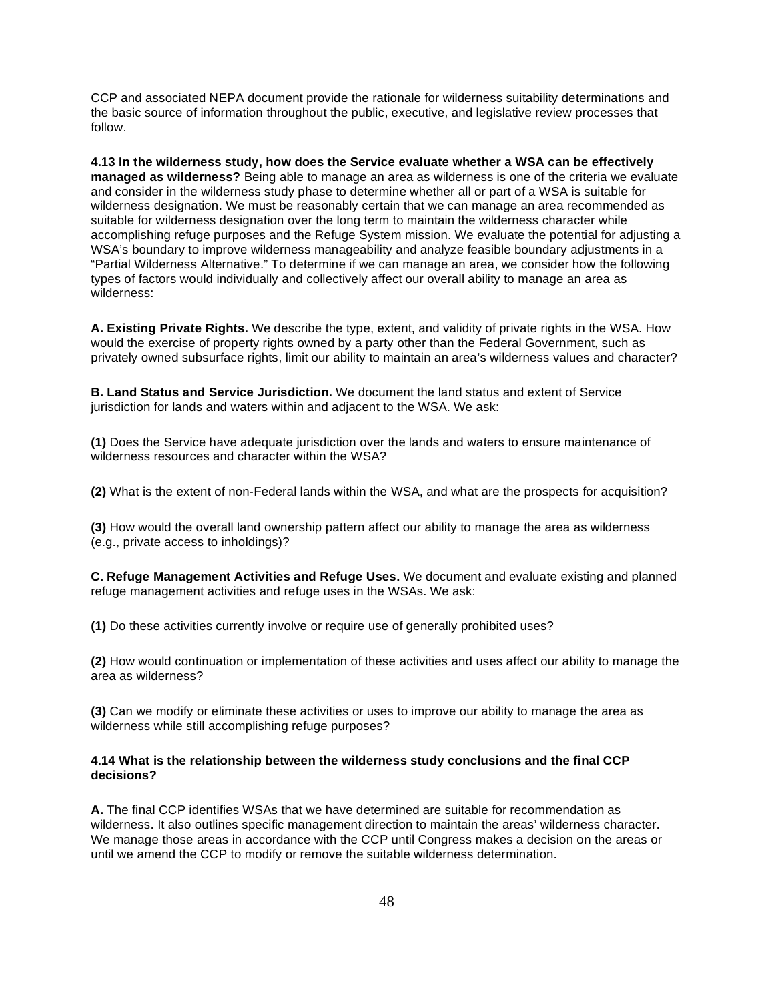CCP and associated NEPA document provide the rationale for wilderness suitability determinations and the basic source of information throughout the public, executive, and legislative review processes that follow.

 **4.13 In the wilderness study, how does the Service evaluate whether a WSA can be effectively managed as wilderness?** Being able to manage an area as wilderness is one of the criteria we evaluate and consider in the wilderness study phase to determine whether all or part of a WSA is suitable for wilderness designation. We must be reasonably certain that we can manage an area recommended as suitable for wilderness designation over the long term to maintain the wilderness character while accomplishing refuge purposes and the Refuge System mission. We evaluate the potential for adjusting a WSA's boundary to improve wilderness manageability and analyze feasible boundary adjustments in a "Partial Wilderness Alternative." To determine if we can manage an area, we consider how the following types of factors would individually and collectively affect our overall ability to manage an area as wilderness:

 **A. Existing Private Rights.** We describe the type, extent, and validity of private rights in the WSA. How would the exercise of property rights owned by a party other than the Federal Government, such as privately owned subsurface rights, limit our ability to maintain an area's wilderness values and character?

 **B. Land Status and Service Jurisdiction.** We document the land status and extent of Service jurisdiction for lands and waters within and adjacent to the WSA. We ask:

 **(1)** Does the Service have adequate jurisdiction over the lands and waters to ensure maintenance of wilderness resources and character within the WSA?

**(2)** What is the extent of non-Federal lands within the WSA, and what are the prospects for acquisition?

 **(3)** How would the overall land ownership pattern affect our ability to manage the area as wilderness (e.g., private access to inholdings)?

 **C. Refuge Management Activities and Refuge Uses.** We document and evaluate existing and planned refuge management activities and refuge uses in the WSAs. We ask:

**(1)** Do these activities currently involve or require use of generally prohibited uses?

 **(2)** How would continuation or implementation of these activities and uses affect our ability to manage the area as wilderness?

 **(3)** Can we modify or eliminate these activities or uses to improve our ability to manage the area as wilderness while still accomplishing refuge purposes?

#### **4.14 What is the relationship between the wilderness study conclusions and the final CCP decisions?**

 **A.** The final CCP identifies WSAs that we have determined are suitable for recommendation as wilderness. It also outlines specific management direction to maintain the areas' wilderness character. We manage those areas in accordance with the CCP until Congress makes a decision on the areas or until we amend the CCP to modify or remove the suitable wilderness determination.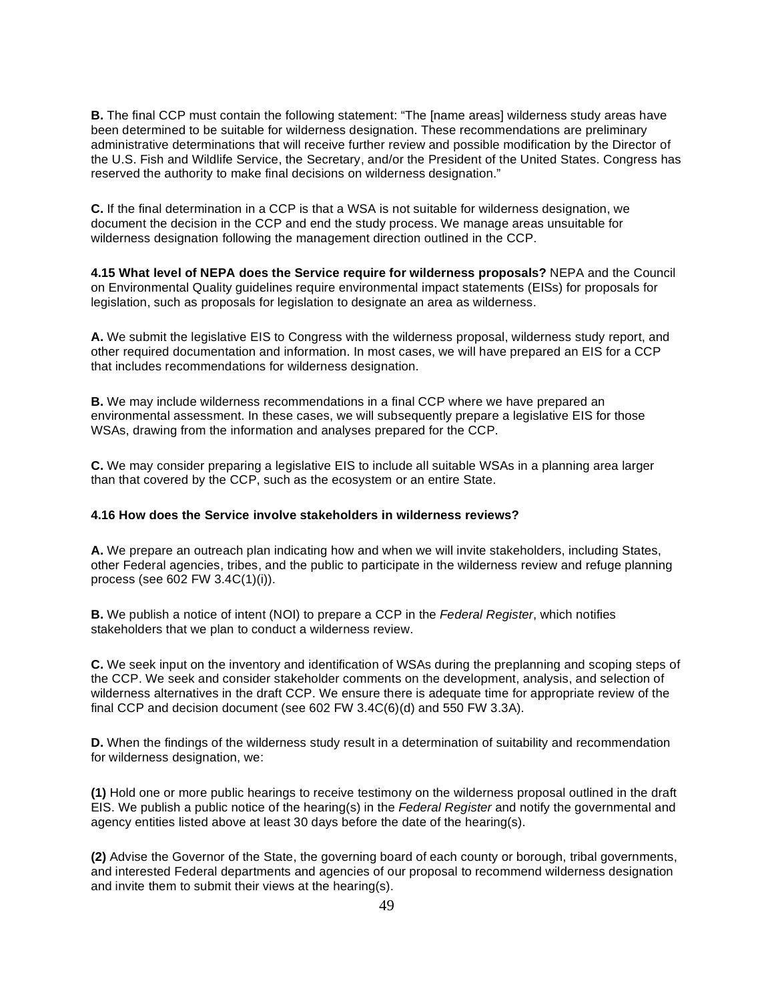**B.** The final CCP must contain the following statement: "The [name areas] wilderness study areas have been determined to be suitable for wilderness designation. These recommendations are preliminary administrative determinations that will receive further review and possible modification by the Director of the U.S. Fish and Wildlife Service, the Secretary, and/or the President of the United States. Congress has reserved the authority to make final decisions on wilderness designation."

 **C.** If the final determination in a CCP is that a WSA is not suitable for wilderness designation, we document the decision in the CCP and end the study process. We manage areas unsuitable for wilderness designation following the management direction outlined in the CCP.

 **4.15 What level of NEPA does the Service require for wilderness proposals?** NEPA and the Council on Environmental Quality guidelines require environmental impact statements (EISs) for proposals for legislation, such as proposals for legislation to designate an area as wilderness.

 **A.** We submit the legislative EIS to Congress with the wilderness proposal, wilderness study report, and other required documentation and information. In most cases, we will have prepared an EIS for a CCP that includes recommendations for wilderness designation.

 **B.** We may include wilderness recommendations in a final CCP where we have prepared an environmental assessment. In these cases, we will subsequently prepare a legislative EIS for those WSAs, drawing from the information and analyses prepared for the CCP.

 **C.** We may consider preparing a legislative EIS to include all suitable WSAs in a planning area larger than that covered by the CCP, such as the ecosystem or an entire State.

#### **4.16 How does the Service involve stakeholders in wilderness reviews?**

 **A.** We prepare an outreach plan indicating how and when we will invite stakeholders, including States, other Federal agencies, tribes, and the public to participate in the wilderness review and refuge planning process (see 602 FW 3.4C(1)(i)).

 **B.** We publish a notice of intent (NOI) to prepare a CCP in the *Federal Register*, which notifies stakeholders that we plan to conduct a wilderness review.

 **C.** We seek input on the inventory and identification of WSAs during the preplanning and scoping steps of the CCP. We seek and consider stakeholder comments on the development, analysis, and selection of wilderness alternatives in the draft CCP. We ensure there is adequate time for appropriate review of the final CCP and decision document (see 602 FW 3.4C(6)(d) and 550 FW 3.3A).

 **D.** When the findings of the wilderness study result in a determination of suitability and recommendation for wilderness designation, we:

 **(1)** Hold one or more public hearings to receive testimony on the wilderness proposal outlined in the draft EIS. We publish a public notice of the hearing(s) in the *Federal Register* and notify the governmental and agency entities listed above at least 30 days before the date of the hearing(s).

 **(2)** Advise the Governor of the State, the governing board of each county or borough, tribal governments, and interested Federal departments and agencies of our proposal to recommend wilderness designation and invite them to submit their views at the hearing(s).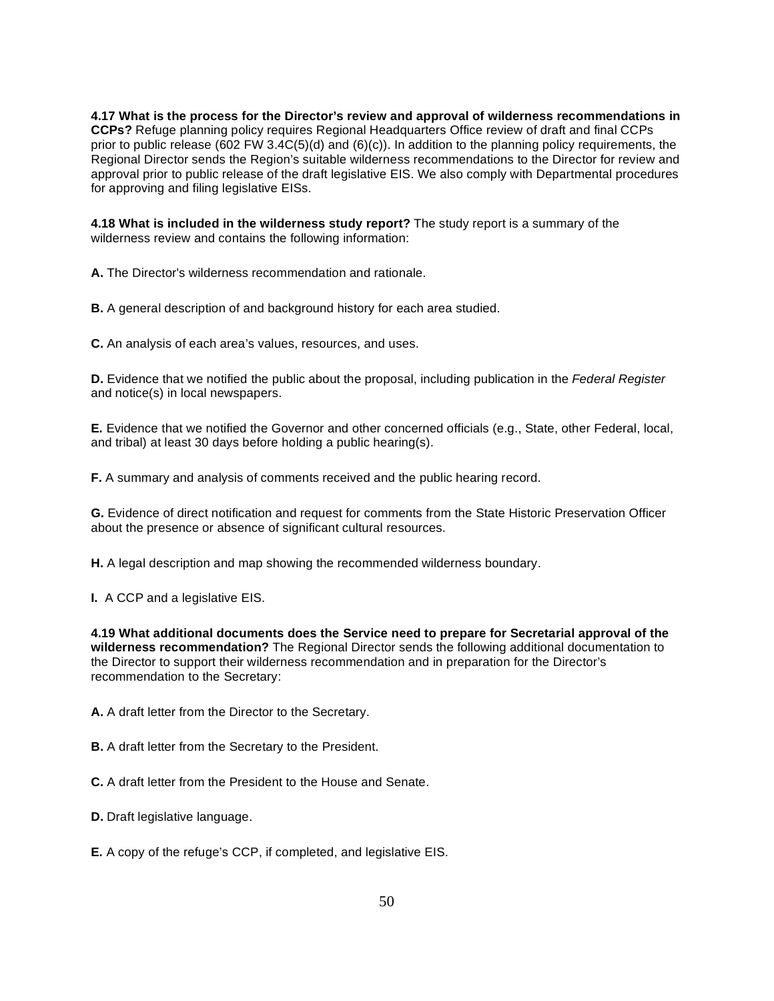**4.17 What is the process for the Director's review and approval of wilderness recommendations in CCPs?** Refuge planning policy requires Regional Headquarters Office review of draft and final CCPs prior to public release (602 FW 3.4C(5)(d) and (6)(c)). In addition to the planning policy requirements, the Regional Director sends the Region's suitable wilderness recommendations to the Director for review and approval prior to public release of the draft legislative EIS. We also comply with Departmental procedures for approving and filing legislative EISs.

 **4.18 What is included in the wilderness study report?** The study report is a summary of the wilderness review and contains the following information:

**A.** The Director's wilderness recommendation and rationale.

**B.** A general description of and background history for each area studied.

**C.** An analysis of each area's values, resources, and uses.

 **D.** Evidence that we notified the public about the proposal, including publication in the *Federal Register*  and notice(s) in local newspapers.

 **E.** Evidence that we notified the Governor and other concerned officials (e.g., State, other Federal, local, and tribal) at least 30 days before holding a public hearing(s).

**F.** A summary and analysis of comments received and the public hearing record.

 **G.** Evidence of direct notification and request for comments from the State Historic Preservation Officer about the presence or absence of significant cultural resources.

**H.** A legal description and map showing the recommended wilderness boundary.

**I.** A CCP and a legislative EIS.

 **4.19 What additional documents does the Service need to prepare for Secretarial approval of the wilderness recommendation?** The Regional Director sends the following additional documentation to the Director to support their wilderness recommendation and in preparation for the Director's recommendation to the Secretary:

**A.** A draft letter from the Director to the Secretary.

**B.** A draft letter from the Secretary to the President.

**C.** A draft letter from the President to the House and Senate.

**D.** Draft legislative language.

**E.** A copy of the refuge's CCP, if completed, and legislative EIS.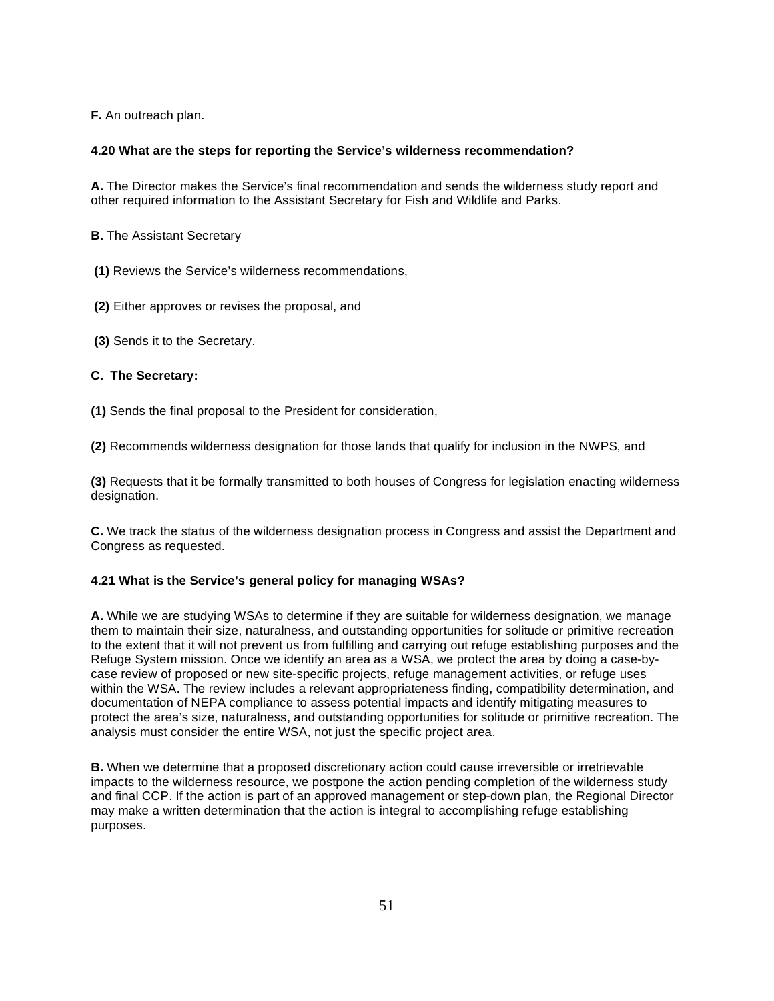**F.** An outreach plan.

# **4.20 What are the steps for reporting the Service's wilderness recommendation?**

 **A.** The Director makes the Service's final recommendation and sends the wilderness study report and other required information to the Assistant Secretary for Fish and Wildlife and Parks.

**B.** The Assistant Secretary

**(1)** Reviews the Service's wilderness recommendations,

 **(2)** Either approves or revises the proposal, and

**(3)** Sends it to the Secretary.

# **C. The Secretary:**

**(1)** Sends the final proposal to the President for consideration,

**(2)** Recommends wilderness designation for those lands that qualify for inclusion in the NWPS, and

 **(3)** Requests that it be formally transmitted to both houses of Congress for legislation enacting wilderness designation.

 **C.** We track the status of the wilderness designation process in Congress and assist the Department and Congress as requested.

# **4.21 What is the Service's general policy for managing WSAs?**

 **A.** While we are studying WSAs to determine if they are suitable for wilderness designation, we manage them to maintain their size, naturalness, and outstanding opportunities for solitude or primitive recreation to the extent that it will not prevent us from fulfilling and carrying out refuge establishing purposes and the Refuge System mission. Once we identify an area as a WSA, we protect the area by doing a case-by- case review of proposed or new site-specific projects, refuge management activities, or refuge uses within the WSA. The review includes a relevant appropriateness finding, compatibility determination, and documentation of NEPA compliance to assess potential impacts and identify mitigating measures to protect the area's size, naturalness, and outstanding opportunities for solitude or primitive recreation. The analysis must consider the entire WSA, not just the specific project area.

 **B.** When we determine that a proposed discretionary action could cause irreversible or irretrievable impacts to the wilderness resource, we postpone the action pending completion of the wilderness study and final CCP. If the action is part of an approved management or step-down plan, the Regional Director may make a written determination that the action is integral to accomplishing refuge establishing purposes.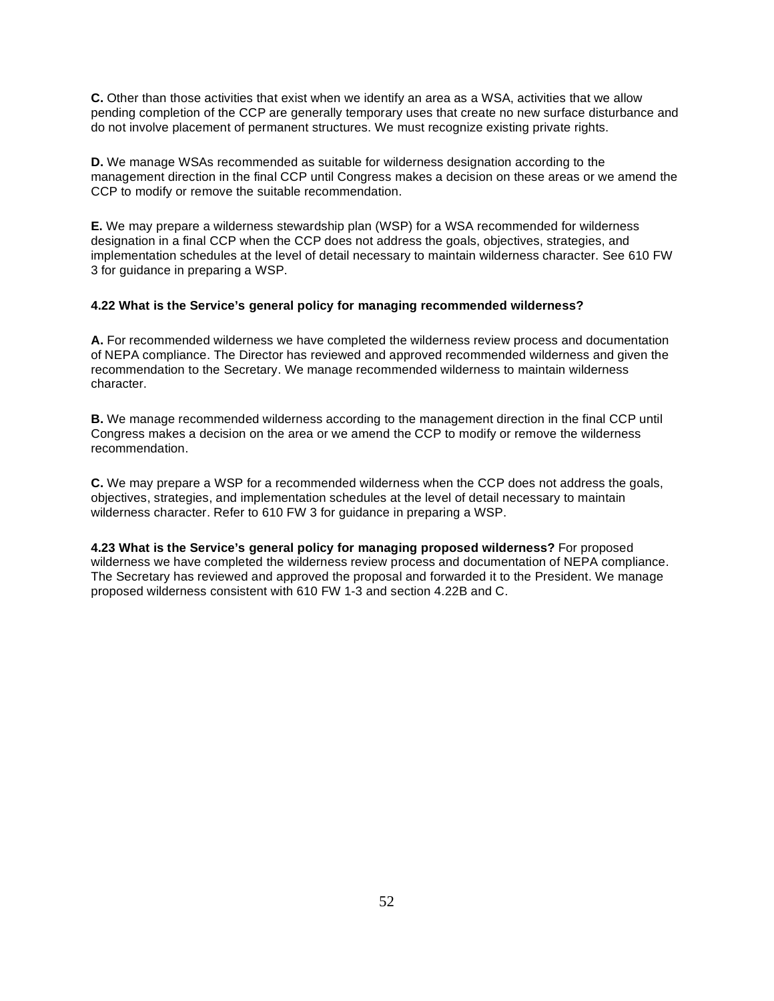**C.** Other than those activities that exist when we identify an area as a WSA, activities that we allow pending completion of the CCP are generally temporary uses that create no new surface disturbance and do not involve placement of permanent structures. We must recognize existing private rights.

 **D.** We manage WSAs recommended as suitable for wilderness designation according to the management direction in the final CCP until Congress makes a decision on these areas or we amend the CCP to modify or remove the suitable recommendation.

 **E.** We may prepare a wilderness stewardship plan (WSP) for a WSA recommended for wilderness designation in a final CCP when the CCP does not address the goals, objectives, strategies, and implementation schedules at the level of detail necessary to maintain wilderness character. See 610 FW 3 for guidance in preparing a WSP.

# **4.22 What is the Service's general policy for managing recommended wilderness?**

 **A.** For recommended wilderness we have completed the wilderness review process and documentation of NEPA compliance. The Director has reviewed and approved recommended wilderness and given the recommendation to the Secretary. We manage recommended wilderness to maintain wilderness character.

 **B.** We manage recommended wilderness according to the management direction in the final CCP until Congress makes a decision on the area or we amend the CCP to modify or remove the wilderness recommendation.

 **C.** We may prepare a WSP for a recommended wilderness when the CCP does not address the goals, objectives, strategies, and implementation schedules at the level of detail necessary to maintain wilderness character. Refer to 610 FW 3 for guidance in preparing a WSP.

 **4.23 What is the Service's general policy for managing proposed wilderness?** For proposed wilderness we have completed the wilderness review process and documentation of NEPA compliance. The Secretary has reviewed and approved the proposal and forwarded it to the President. We manage proposed wilderness consistent with 610 FW 1-3 and section 4.22B and C.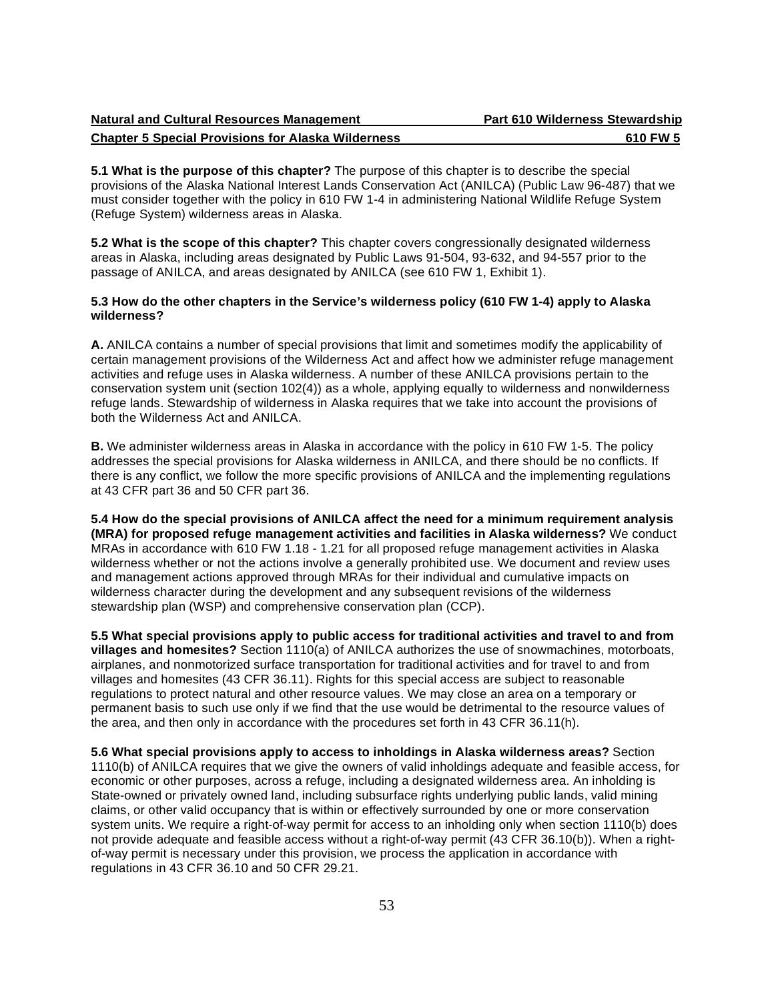| Natural and Cultural Resources Management                 | Part 610 Wilderness Stewardship |
|-----------------------------------------------------------|---------------------------------|
| <b>Chapter 5 Special Provisions for Alaska Wilderness</b> | 610 FW 5                        |

 **5.1 What is the purpose of this chapter?** The purpose of this chapter is to describe the special provisions of the Alaska National Interest Lands Conservation Act (ANILCA) (Public Law 96-487) that we must consider together with the policy in 610 FW 1-4 in administering National Wildlife Refuge System (Refuge System) wilderness areas in Alaska.

 **5.2 What is the scope of this chapter?** This chapter covers congressionally designated wilderness areas in Alaska, including areas designated by Public Laws 91-504, 93-632, and 94-557 prior to the passage of ANILCA, and areas designated by ANILCA (see 610 FW 1, Exhibit 1).

### **5.3 How do the other chapters in the Service's wilderness policy (610 FW 1-4) apply to Alaska wilderness?**

 **A.** ANILCA contains a number of special provisions that limit and sometimes modify the applicability of certain management provisions of the Wilderness Act and affect how we administer refuge management activities and refuge uses in Alaska wilderness. A number of these ANILCA provisions pertain to the conservation system unit (section 102(4)) as a whole, applying equally to wilderness and nonwilderness refuge lands. Stewardship of wilderness in Alaska requires that we take into account the provisions of both the Wilderness Act and ANILCA.

 **B.** We administer wilderness areas in Alaska in accordance with the policy in 610 FW 1-5. The policy addresses the special provisions for Alaska wilderness in ANILCA, and there should be no conflicts. If there is any conflict, we follow the more specific provisions of ANILCA and the implementing regulations at 43 CFR part 36 and 50 CFR part 36.

 **5.4 How do the special provisions of ANILCA affect the need for a minimum requirement analysis (MRA) for proposed refuge management activities and facilities in Alaska wilderness?** We conduct MRAs in accordance with 610 FW 1.18 - 1.21 for all proposed refuge management activities in Alaska wilderness whether or not the actions involve a generally prohibited use. We document and review uses and management actions approved through MRAs for their individual and cumulative impacts on wilderness character during the development and any subsequent revisions of the wilderness stewardship plan (WSP) and comprehensive conservation plan (CCP).

 **5.5 What special provisions apply to public access for traditional activities and travel to and from villages and homesites?** Section 1110(a) of ANILCA authorizes the use of snowmachines, motorboats, airplanes, and nonmotorized surface transportation for traditional activities and for travel to and from villages and homesites (43 CFR 36.11). Rights for this special access are subject to reasonable regulations to protect natural and other resource values. We may close an area on a temporary or permanent basis to such use only if we find that the use would be detrimental to the resource values of the area, and then only in accordance with the procedures set forth in 43 CFR 36.11(h).

 **5.6 What special provisions apply to access to inholdings in Alaska wilderness areas?** Section 1110(b) of ANILCA requires that we give the owners of valid inholdings adequate and feasible access, for economic or other purposes, across a refuge, including a designated wilderness area. An inholding is State-owned or privately owned land, including subsurface rights underlying public lands, valid mining claims, or other valid occupancy that is within or effectively surrounded by one or more conservation system units. We require a right-of-way permit for access to an inholding only when section 1110(b) does not provide adequate and feasible access without a right-of-way permit (43 CFR 36.10(b)). When a right- of-way permit is necessary under this provision, we process the application in accordance with regulations in 43 CFR 36.10 and 50 CFR 29.21.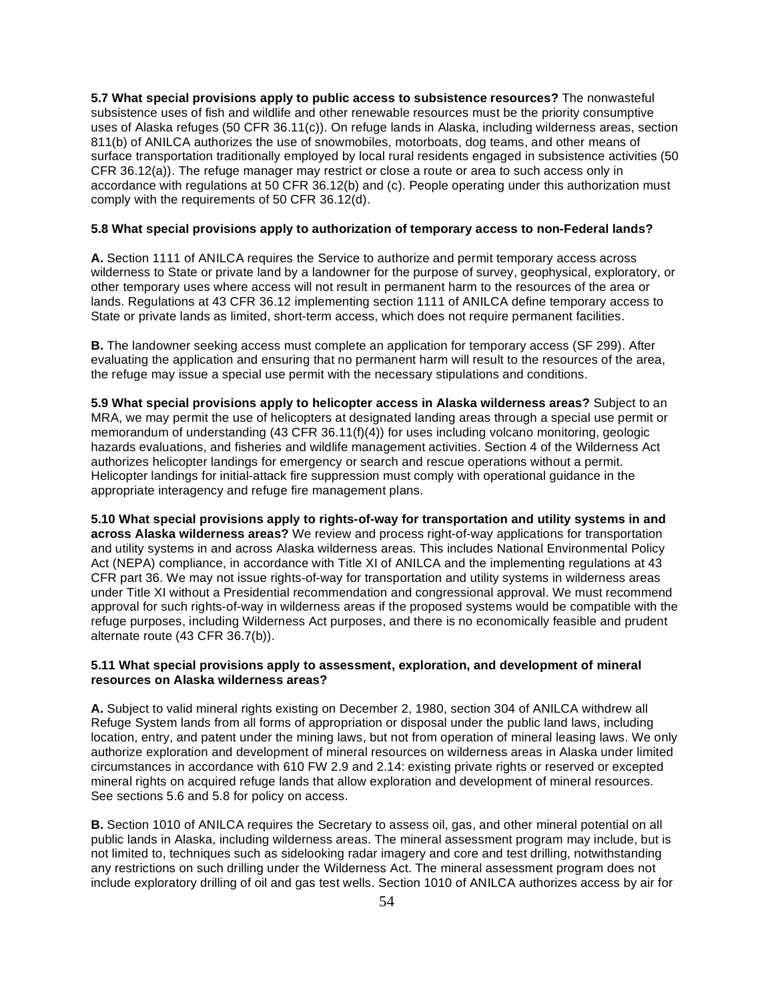**5.7 What special provisions apply to public access to subsistence resources?** The nonwasteful subsistence uses of fish and wildlife and other renewable resources must be the priority consumptive uses of Alaska refuges (50 CFR 36.11(c)). On refuge lands in Alaska, including wilderness areas, section 811(b) of ANILCA authorizes the use of snowmobiles, motorboats, dog teams, and other means of surface transportation traditionally employed by local rural residents engaged in subsistence activities (50 CFR 36.12(a)). The refuge manager may restrict or close a route or area to such access only in accordance with regulations at 50 CFR 36.12(b) and (c). People operating under this authorization must comply with the requirements of 50 CFR 36.12(d).

#### **5.8 What special provisions apply to authorization of temporary access to non-Federal lands?**

 **A.** Section 1111 of ANILCA requires the Service to authorize and permit temporary access across wilderness to State or private land by a landowner for the purpose of survey, geophysical, exploratory, or other temporary uses where access will not result in permanent harm to the resources of the area or lands. Regulations at 43 CFR 36.12 implementing section 1111 of ANILCA define temporary access to State or private lands as limited, short-term access, which does not require permanent facilities.

 **B.** The landowner seeking access must complete an application for temporary access (SF 299). After evaluating the application and ensuring that no permanent harm will result to the resources of the area, the refuge may issue a special use permit with the necessary stipulations and conditions.

 **5.9 What special provisions apply to helicopter access in Alaska wilderness areas?** Subject to an MRA, we may permit the use of helicopters at designated landing areas through a special use permit or memorandum of understanding (43 CFR 36.11(f)(4)) for uses including volcano monitoring, geologic hazards evaluations, and fisheries and wildlife management activities. Section 4 of the Wilderness Act authorizes helicopter landings for emergency or search and rescue operations without a permit. Helicopter landings for initial-attack fire suppression must comply with operational guidance in the appropriate interagency and refuge fire management plans.

 **5.10 What special provisions apply to rights-of-way for transportation and utility systems in and across Alaska wilderness areas?** We review and process right-of-way applications for transportation and utility systems in and across Alaska wilderness areas. This includes National Environmental Policy Act (NEPA) compliance, in accordance with Title XI of ANILCA and the implementing regulations at 43 CFR part 36. We may not issue rights-of-way for transportation and utility systems in wilderness areas under Title XI without a Presidential recommendation and congressional approval. We must recommend approval for such rights-of-way in wilderness areas if the proposed systems would be compatible with the refuge purposes, including Wilderness Act purposes, and there is no economically feasible and prudent alternate route (43 CFR 36.7(b)).

#### **5.11 What special provisions apply to assessment, exploration, and development of mineral resources on Alaska wilderness areas?**

 **A.** Subject to valid mineral rights existing on December 2, 1980, section 304 of ANILCA withdrew all Refuge System lands from all forms of appropriation or disposal under the public land laws, including location, entry, and patent under the mining laws, but not from operation of mineral leasing laws. We only authorize exploration and development of mineral resources on wilderness areas in Alaska under limited circumstances in accordance with 610 FW 2.9 and 2.14: existing private rights or reserved or excepted mineral rights on acquired refuge lands that allow exploration and development of mineral resources. See sections 5.6 and 5.8 for policy on access.

 **B.** Section 1010 of ANILCA requires the Secretary to assess oil, gas, and other mineral potential on all public lands in Alaska, including wilderness areas. The mineral assessment program may include, but is not limited to, techniques such as sidelooking radar imagery and core and test drilling, notwithstanding any restrictions on such drilling under the Wilderness Act. The mineral assessment program does not include exploratory drilling of oil and gas test wells. Section 1010 of ANILCA authorizes access by air for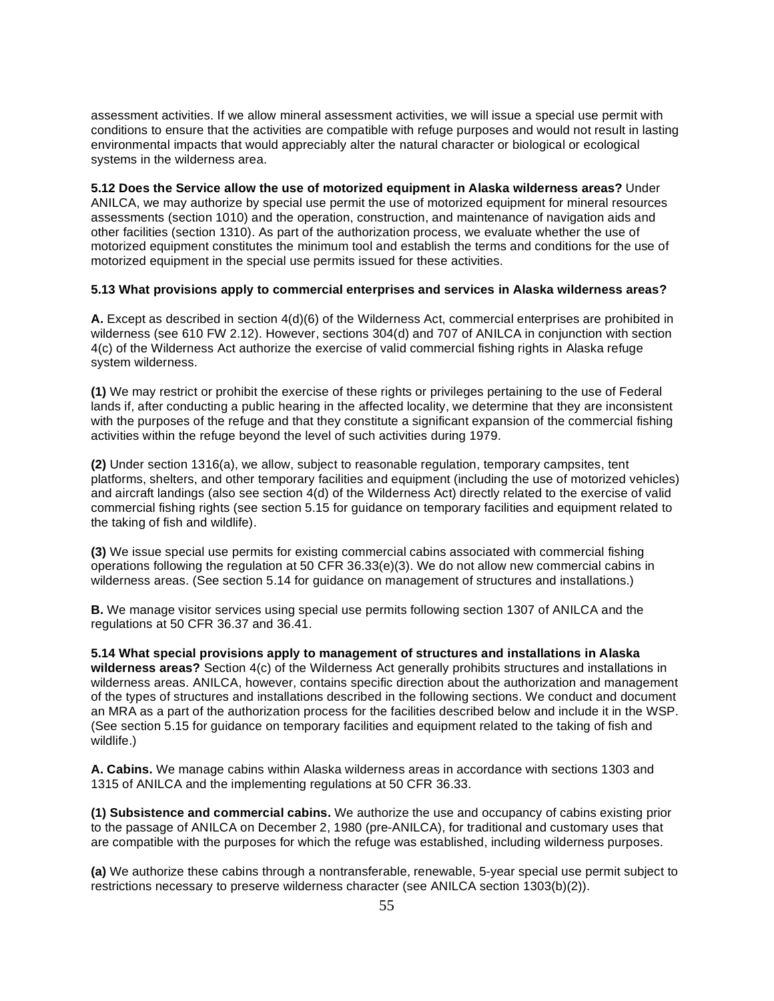assessment activities. If we allow mineral assessment activities, we will issue a special use permit with conditions to ensure that the activities are compatible with refuge purposes and would not result in lasting environmental impacts that would appreciably alter the natural character or biological or ecological systems in the wilderness area.

 **5.12 Does the Service allow the use of motorized equipment in Alaska wilderness areas?** Under ANILCA, we may authorize by special use permit the use of motorized equipment for mineral resources assessments (section 1010) and the operation, construction, and maintenance of navigation aids and other facilities (section 1310). As part of the authorization process, we evaluate whether the use of motorized equipment constitutes the minimum tool and establish the terms and conditions for the use of motorized equipment in the special use permits issued for these activities.

#### **5.13 What provisions apply to commercial enterprises and services in Alaska wilderness areas?**

 **A.** Except as described in section 4(d)(6) of the Wilderness Act, commercial enterprises are prohibited in wilderness (see 610 FW 2.12). However, sections 304(d) and 707 of ANILCA in conjunction with section 4(c) of the Wilderness Act authorize the exercise of valid commercial fishing rights in Alaska refuge system wilderness.

 **(1)** We may restrict or prohibit the exercise of these rights or privileges pertaining to the use of Federal lands if, after conducting a public hearing in the affected locality, we determine that they are inconsistent with the purposes of the refuge and that they constitute a significant expansion of the commercial fishing activities within the refuge beyond the level of such activities during 1979.

 **(2)** Under section 1316(a), we allow, subject to reasonable regulation, temporary campsites, tent platforms, shelters, and other temporary facilities and equipment (including the use of motorized vehicles) and aircraft landings (also see section 4(d) of the Wilderness Act) directly related to the exercise of valid commercial fishing rights (see section 5.15 for guidance on temporary facilities and equipment related to the taking of fish and wildlife).

 **(3)** We issue special use permits for existing commercial cabins associated with commercial fishing operations following the regulation at 50 CFR 36.33(e)(3). We do not allow new commercial cabins in wilderness areas. (See section 5.14 for guidance on management of structures and installations.)

 **B.** We manage visitor services using special use permits following section 1307 of ANILCA and the regulations at 50 CFR 36.37 and 36.41.

 **5.14 What special provisions apply to management of structures and installations in Alaska wilderness areas?** Section 4(c) of the Wilderness Act generally prohibits structures and installations in wilderness areas. ANILCA, however, contains specific direction about the authorization and management of the types of structures and installations described in the following sections. We conduct and document an MRA as a part of the authorization process for the facilities described below and include it in the WSP. (See section 5.15 for guidance on temporary facilities and equipment related to the taking of fish and wildlife.)

 **A. Cabins.** We manage cabins within Alaska wilderness areas in accordance with sections 1303 and 1315 of ANILCA and the implementing regulations at 50 CFR 36.33.

 **(1) Subsistence and commercial cabins.** We authorize the use and occupancy of cabins existing prior to the passage of ANILCA on December 2, 1980 (pre-ANILCA), for traditional and customary uses that are compatible with the purposes for which the refuge was established, including wilderness purposes.

 **(a)** We authorize these cabins through a nontransferable, renewable, 5-year special use permit subject to restrictions necessary to preserve wilderness character (see ANILCA section 1303(b)(2)).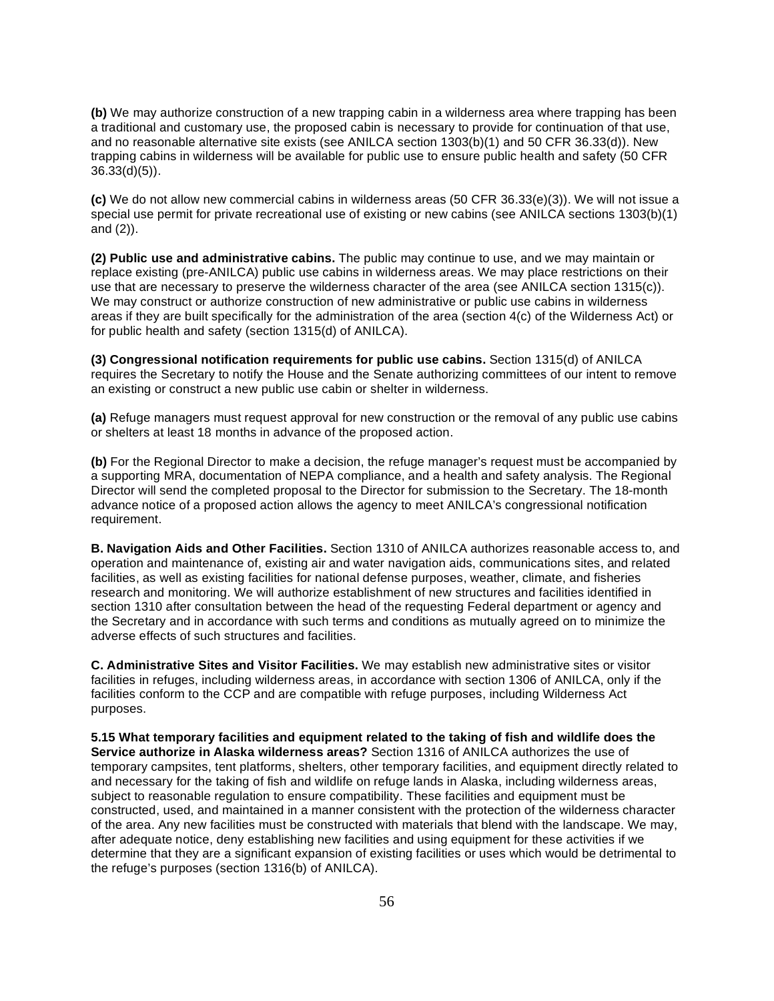**(b)** We may authorize construction of a new trapping cabin in a wilderness area where trapping has been a traditional and customary use, the proposed cabin is necessary to provide for continuation of that use, and no reasonable alternative site exists (see ANILCA section 1303(b)(1) and 50 CFR 36.33(d)). New trapping cabins in wilderness will be available for public use to ensure public health and safety (50 CFR 36.33(d)(5)).

 **(c)** We do not allow new commercial cabins in wilderness areas (50 CFR 36.33(e)(3)). We will not issue a special use permit for private recreational use of existing or new cabins (see ANILCA sections 1303(b)(1) and (2)).

 **(2) Public use and administrative cabins.** The public may continue to use, and we may maintain or replace existing (pre-ANILCA) public use cabins in wilderness areas. We may place restrictions on their use that are necessary to preserve the wilderness character of the area (see ANILCA section 1315(c)). We may construct or authorize construction of new administrative or public use cabins in wilderness areas if they are built specifically for the administration of the area (section 4(c) of the Wilderness Act) or for public health and safety (section 1315(d) of ANILCA).

 **(3) Congressional notification requirements for public use cabins.** Section 1315(d) of ANILCA requires the Secretary to notify the House and the Senate authorizing committees of our intent to remove an existing or construct a new public use cabin or shelter in wilderness.

 **(a)** Refuge managers must request approval for new construction or the removal of any public use cabins or shelters at least 18 months in advance of the proposed action.

 **(b)** For the Regional Director to make a decision, the refuge manager's request must be accompanied by a supporting MRA, documentation of NEPA compliance, and a health and safety analysis. The Regional Director will send the completed proposal to the Director for submission to the Secretary. The 18-month advance notice of a proposed action allows the agency to meet ANILCA's congressional notification requirement.

 **B. Navigation Aids and Other Facilities.** Section 1310 of ANILCA authorizes reasonable access to, and operation and maintenance of, existing air and water navigation aids, communications sites, and related facilities, as well as existing facilities for national defense purposes, weather, climate, and fisheries research and monitoring. We will authorize establishment of new structures and facilities identified in section 1310 after consultation between the head of the requesting Federal department or agency and the Secretary and in accordance with such terms and conditions as mutually agreed on to minimize the adverse effects of such structures and facilities.

 **C. Administrative Sites and Visitor Facilities.** We may establish new administrative sites or visitor facilities in refuges, including wilderness areas, in accordance with section 1306 of ANILCA, only if the facilities conform to the CCP and are compatible with refuge purposes, including Wilderness Act purposes.

 **5.15 What temporary facilities and equipment related to the taking of fish and wildlife does the Service authorize in Alaska wilderness areas?** Section 1316 of ANILCA authorizes the use of temporary campsites, tent platforms, shelters, other temporary facilities, and equipment directly related to and necessary for the taking of fish and wildlife on refuge lands in Alaska, including wilderness areas, subject to reasonable regulation to ensure compatibility. These facilities and equipment must be constructed, used, and maintained in a manner consistent with the protection of the wilderness character of the area. Any new facilities must be constructed with materials that blend with the landscape. We may, after adequate notice, deny establishing new facilities and using equipment for these activities if we determine that they are a significant expansion of existing facilities or uses which would be detrimental to the refuge's purposes (section 1316(b) of ANILCA).